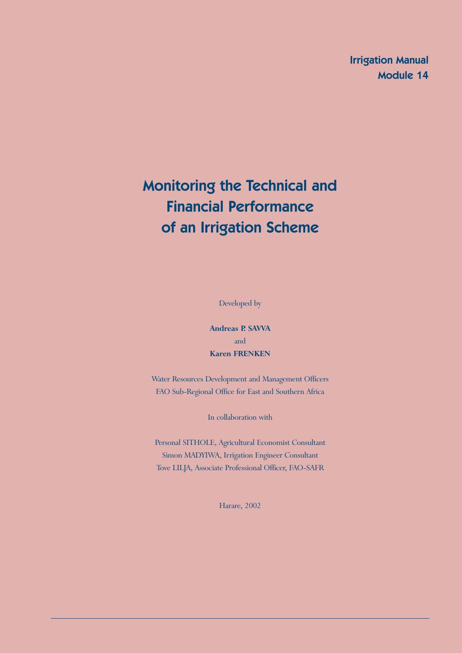Irrigation Manual Module 14

# Monitoring the Technical and Financial Performance of an Irrigation Scheme

Developed by

**Andreas P. SAVVA** and **Karen FRENKEN**

Water Resources Development and Management Officers FAO Sub-Regional Office for East and Southern Africa

In collaboration with

Personal SITHOLE, Agricultural Economist Consultant Simon MADYIWA, Irrigation Engineer Consultant Tove LILJA, Associate Professional Officer, FAO-SAFR

Harare, 2002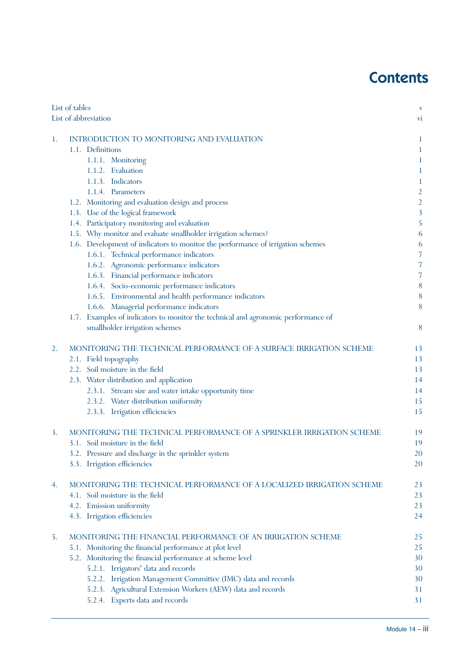# **Contents**

| List of tables                                                            |                                                                                   | $\mathbf{V}$   |
|---------------------------------------------------------------------------|-----------------------------------------------------------------------------------|----------------|
|                                                                           | List of abbreviation                                                              | <b>VI</b>      |
| 1.                                                                        | INTRODUCTION TO MONITORING AND EVALUATION                                         | $\mathbf 1$    |
|                                                                           | 1.1. Definitions                                                                  | 1              |
|                                                                           | 1.1.1. Monitoring                                                                 | 1              |
|                                                                           | 1.1.2. Evaluation                                                                 | $\mathbf 1$    |
|                                                                           | 1.1.3. Indicators                                                                 | $\mathbf{1}$   |
|                                                                           | 1.1.4. Parameters                                                                 | $\overline{2}$ |
|                                                                           | 1.2. Monitoring and evaluation design and process                                 | $\overline{c}$ |
|                                                                           | 1.3. Use of the logical framework                                                 | $\overline{3}$ |
|                                                                           | 1.4. Participatory monitoring and evaluation                                      | 5              |
|                                                                           | 1.5. Why monitor and evaluate smallholder irrigation schemes?                     | 6              |
|                                                                           | 1.6. Development of indicators to monitor the performance of irrigation schemes   | 6              |
|                                                                           | 1.6.1. Technical performance indicators                                           | 7              |
|                                                                           | 1.6.2. Agronomic performance indicators                                           | 7              |
|                                                                           | 1.6.3. Financial performance indicators                                           | 7              |
|                                                                           | 1.6.4. Socio-economic performance indicators                                      | 8              |
|                                                                           | 1.6.5. Environmental and health performance indicators                            | 8              |
|                                                                           | 1.6.6. Managerial performance indicators                                          | 8              |
|                                                                           | 1.7. Examples of indicators to monitor the technical and agronomic performance of |                |
|                                                                           | smallholder irrigation schemes                                                    | 8              |
| 2.<br>MONITORING THE TECHNICAL PERFORMANCE OF A SURFACE IRRIGATION SCHEME |                                                                                   | 13             |
|                                                                           | 2.1. Field topography                                                             | 13             |
|                                                                           | 2.2. Soil moisture in the field                                                   | 13             |
|                                                                           | 2.3. Water distribution and application                                           | 14             |
|                                                                           | 2.3.1. Stream size and water intake opportunity time                              | 14             |
|                                                                           | 2.3.2. Water distribution uniformity                                              | 15             |
|                                                                           | 2.3.3. Irrigation efficiencies                                                    | 15             |
| 3.                                                                        | MONITORING THE TECHNICAL PERFORMANCE OF A SPRINKLER IRRIGATION SCHEME             | 19             |
|                                                                           | 3.1. Soil moisture in the field                                                   | 19             |
|                                                                           | 3.2. Pressure and discharge in the sprinkler system                               | 20             |
|                                                                           | 3.3. Irrigation efficiencies                                                      | 20             |
| 4.                                                                        | MONITORING THE TECHNICAL PERFORMANCE OF A LOCALIZED IRRIGATION SCHEME             | 23             |
|                                                                           | 4.1. Soil moisture in the field                                                   | 23             |
|                                                                           | 4.2. Emission uniformity                                                          | 23             |
|                                                                           | 4.3. Irrigation efficiencies                                                      | 24             |
| 5.                                                                        | MONITORING THE FINANCIAL PERFORMANCE OF AN IRRIGATION SCHEME                      | 25             |
|                                                                           | 5.1. Monitoring the financial performance at plot level                           | 25             |
|                                                                           | 5.2. Monitoring the financial performance at scheme level                         | 30             |
|                                                                           | 5.2.1. Irrigators' data and records                                               | 30             |
|                                                                           | 5.2.2. Irrigation Management Committee (IMC) data and records                     | 30             |
|                                                                           | 5.2.3. Agricultural Extension Workers (AEW) data and records                      | 31             |
|                                                                           | 5.2.4. Experts data and records                                                   | 31             |
|                                                                           |                                                                                   |                |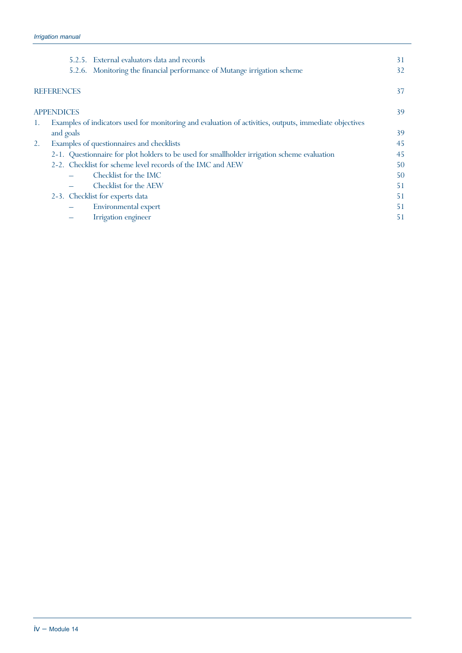|    | 5.2.5. External evaluators data and records                                                            | 31 |
|----|--------------------------------------------------------------------------------------------------------|----|
|    | 5.2.6. Monitoring the financial performance of Mutange irrigation scheme                               | 32 |
|    | <b>REFERENCES</b>                                                                                      | 37 |
|    | <b>APPENDICES</b>                                                                                      | 39 |
| 1. | Examples of indicators used for monitoring and evaluation of activities, outputs, immediate objectives |    |
|    | and goals                                                                                              | 39 |
| 2. | Examples of questionnaires and checklists                                                              | 45 |
|    | 2-1. Questionnaire for plot holders to be used for smallholder irrigation scheme evaluation            | 45 |
|    | 2-2. Checklist for scheme level records of the IMC and AEW                                             | 50 |
|    | Checklist for the IMC                                                                                  | 50 |
|    | Checklist for the AEW                                                                                  | 51 |
|    | 2-3. Checklist for experts data                                                                        | 51 |
|    | Environmental expert                                                                                   | 51 |
|    | Irrigation engineer                                                                                    | 51 |
|    |                                                                                                        |    |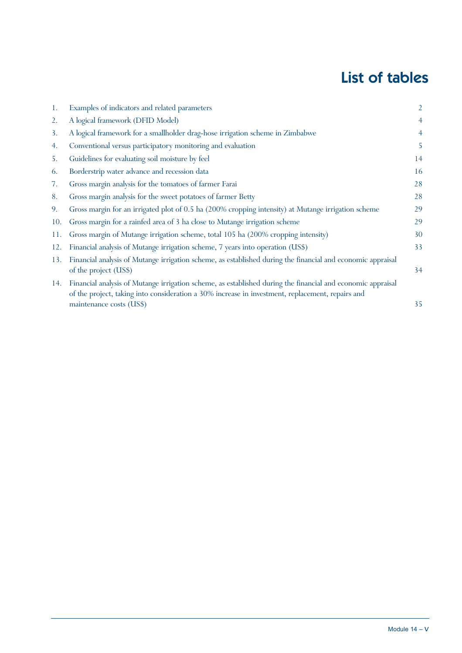# List of tables

| 1.  | Examples of indicators and related parameters                                                                                                                                                                       | 2               |
|-----|---------------------------------------------------------------------------------------------------------------------------------------------------------------------------------------------------------------------|-----------------|
| 2.  | A logical framework (DFID Model)                                                                                                                                                                                    | $\overline{4}$  |
| 3.  | A logical framework for a smallholder drag-hose irrigation scheme in Zimbabwe                                                                                                                                       | $\overline{4}$  |
| 4.  | Conventional versus participatory monitoring and evaluation                                                                                                                                                         | 5               |
| 5.  | Guidelines for evaluating soil moisture by feel                                                                                                                                                                     | 14              |
| 6.  | Borderstrip water advance and recession data                                                                                                                                                                        | 16              |
| 7.  | Gross margin analysis for the tomatoes of farmer Farai                                                                                                                                                              | 28              |
| 8.  | Gross margin analysis for the sweet potatoes of farmer Betty                                                                                                                                                        | 28              |
| 9.  | Gross margin for an irrigated plot of 0.5 ha (200% cropping intensity) at Mutange irrigation scheme                                                                                                                 | 29              |
| 10. | Gross margin for a rainfed area of 3 ha close to Mutange irrigation scheme                                                                                                                                          | 29              |
| 11. | Gross margin of Mutange irrigation scheme, total 105 ha (200% cropping intensity)                                                                                                                                   | 30              |
| 12. | Financial analysis of Mutange irrigation scheme, 7 years into operation (US\$)                                                                                                                                      | 33 <sup>2</sup> |
| 13. | Financial analysis of Mutange irrigation scheme, as established during the financial and economic appraisal<br>of the project (US\$)                                                                                | 34              |
|     | 14. Financial analysis of Mutange irrigation scheme, as established during the financial and economic appraisal<br>of the project, taking into consideration a 30% increase in investment, replacement, repairs and |                 |
|     | maintenance costs (US\$)                                                                                                                                                                                            | 35              |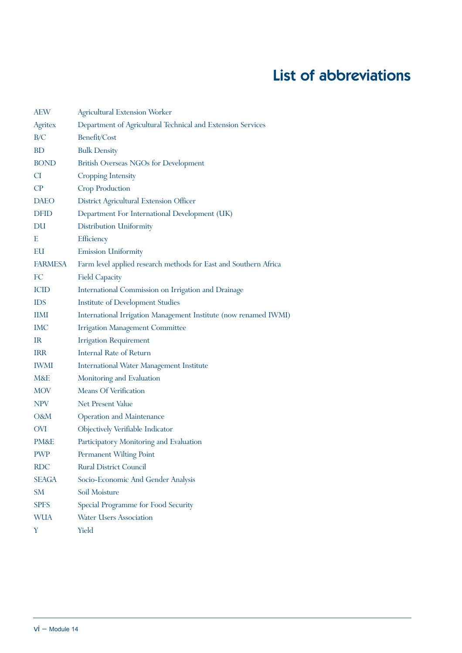# List of abbreviations

| <b>AEW</b>   | <b>Agricultural Extension Worker</b>                             |
|--------------|------------------------------------------------------------------|
| Agritex      | Department of Agricultural Technical and Extension Services      |
| B/C          | Benefit/Cost                                                     |
| <b>BD</b>    | <b>Bulk Density</b>                                              |
| <b>BOND</b>  | British Overseas NGOs for Development                            |
| CI.          | <b>Cropping Intensity</b>                                        |
| CP           | Crop Production                                                  |
| <b>DAEO</b>  | District Agricultural Extension Officer                          |
| <b>DFID</b>  | Department For International Development (UK)                    |
| DU           | Distribution Uniformity                                          |
| E            | Efficiency                                                       |
| EU           | <b>Emission Uniformity</b>                                       |
| FARMESA      | Farm level applied research methods for East and Southern Africa |
| FC           | <b>Field Capacity</b>                                            |
| <b>ICID</b>  | International Commission on Irrigation and Drainage              |
| <b>IDS</b>   | Institute of Development Studies                                 |
| <b>IIMI</b>  | International Irrigation Management Institute (now renamed IWMI) |
| <b>IMC</b>   | <b>Irrigation Management Committee</b>                           |
| IR           | <b>Irrigation Requirement</b>                                    |
| <b>IRR</b>   | <b>Internal Rate of Return</b>                                   |
| <b>IWMI</b>  | <b>International Water Management Institute</b>                  |
| M&E          | Monitoring and Evaluation                                        |
| <b>MOV</b>   | <b>Means Of Verification</b>                                     |
| <b>NPV</b>   | Net Present Value                                                |
| O&M          | <b>Operation and Maintenance</b>                                 |
| <b>OVI</b>   | Objectively Verifiable Indicator                                 |
| PM&E         | Participatory Monitoring and Evaluation                          |
| PWP          | Permanent Wilting Point                                          |
| <b>RDC</b>   | <b>Rural District Council</b>                                    |
| <b>SEAGA</b> | Socio-Economic And Gender Analysis                               |
| SМ           | Soil Moisture                                                    |
| <b>SPFS</b>  | Special Programme for Food Security                              |
| <b>WUA</b>   | <b>Water Users Association</b>                                   |
| Y            | Yield                                                            |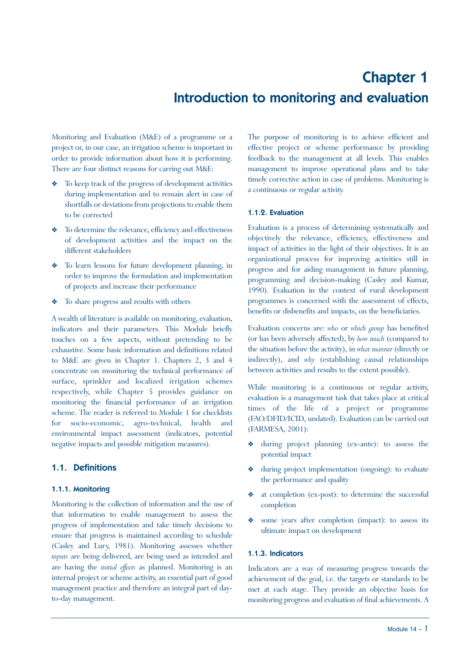# Chapter 1 Introduction to monitoring and evaluation

Monitoring and Evaluation (M&E) of a programme or a project or, in our case, an irrigation scheme is important in order to provide information about how it is performing. There are four distinct reasons for carring out M&E:

- To keep track of the progress of development activities during implementation and to remain alert in case of shortfalls or deviations from projections to enable them to be corrected
- Y To determine the relevance, efficiency and effectiveness of development activities and the impact on the different stakeholders
- Y To learn lessons for future development planning, in order to improve the formulation and implementation of projects and increase their performance
- $\triangleleft$  To share progress and results with others

A wealth of literature is available on monitoring, evaluation, indicators and their parameters. This Module briefly touches on a few aspects, without pretending to be exhaustive. Some basic information and definitions related to M&E are given in Chapter 1. Chapters 2, 3 and 4 concentrate on monitoring the technical performance of surface, sprinkler and localized irrigation schemes respectively, while Chapter 5 provides guidance on monitoring the financial performance of an irrigation scheme. The reader is referred to Module 1 for checklists for socio-economic, agro-technical, health and environmental impact assessment (indicators, potential negative impacts and possible mitigation measures).

### 1.1. Definitions

#### 1.1.1. Monitoring

Monitoring is the collection of information and the use of that information to enable management to assess the progress of implementation and take timely decisions to ensure that progress is maintained according to schedule (Casley and Lury, 1981). Monitoring assesses whether *inputs* are being delivered, are being used as intended and are having the *initial effects* as planned. Monitoring is an internal project or scheme activity, an essential part of good management practice and therefore an integral part of dayto-day management.

The purpose of monitoring is to achieve efficient and effective project or scheme performance by providing feedback to the management at all levels. This enables management to improve operational plans and to take timely corrective action in case of problems. Monitoring is a continuous or regular activity.

#### 1.1.2. Evaluation

Evaluation is a process of determining systematically and objectively the relevance, efficiency, effectiveness and impact of activities in the light of their objectives. It is an organizational process for improving activities still in progress and for aiding management in future planning, programming and decision-making (Casley and Kumar, 1990). Evaluation in the context of rural development programmes is concerned with the assessment of effects, benefits or disbenefits and impacts, on the beneficiaries.

Evaluation concerns are: *who* or *which group* has benefited (or has been adversely affected), by *how much* (compared to the situation before the activity), in *what manner* (directly or indirectly), and *why* (establishing causal relationships between activities and results to the extent possible).

While monitoring is a continuous or regular activity, evaluation is a management task that takes place at critical times of the life of a project or programme (FAO/DFID/ICID, undated). Evaluation can be carried out (FARMESA, 2001):

- Y during project planning (ex-ante): to assess the potential impact
- Y during project implementation (ongoing): to evaluate the performance and quality
- at completion (ex-post): to determine the successful completion
- some years after completion (impact): to assess its ultimate impact on development

#### 1.1.3. Indicators

Indicators are a way of measuring progress towards the achievement of the goal, i.e. the targets or standards to be met at each stage. They provide an objective basis for monitoring progress and evaluation of final achievements. A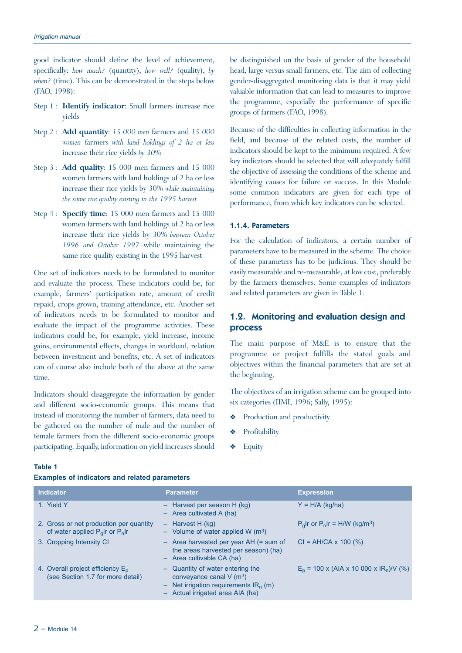good indicator should define the level of achievement, specifically: *how much?* (quantity), *how well?* (quality), *by when?* (time). This can be demonstrated in the steps below (FAO, 1998):

- Step 1 : **Identify indicator**: Small farmers increase rice yields
- Step 2 : **Add quantity**: *15 000 men* farmers and *15 000 women* farmers *with land holdings of 2 ha or less* increase their rice yields *by 30%*
- Step 3 : **Add quality**: 15 000 men farmers and 15 000 women farmers with land holdings of 2 ha or less increase their rice yields by 30% *while maintaining the same rice quality existing in the 1995 harvest*
- Step 4 : **Specify time**: 15 000 men farmers and 15 000 women farmers with land holdings of 2 ha or less increase their rice yields by 30% *between October 1996 and October 1997* while maintaining the same rice quality existing in the 1995 harvest

One set of indicators needs to be formulated to monitor and evaluate the process. These indicators could be, for example, farmers' participation rate, amount of credit repaid, crops grown, training attendance, etc. Another set of indicators needs to be formulated to monitor and evaluate the impact of the programme activities. These indicators could be, for example, yield increase, income gains, environmental effects, changes in workload, relation between investment and benefits, etc. A set of indicators can of course also include both of the above at the same time.

Indicators should disaggregate the information by gender and different socio-economic groups. This means that instead of monitoring the number of farmers, data need to be gathered on the number of male and the number of female farmers from the different socio-economic groups participating. Equally, information on yield increases should be distinguished on the basis of gender of the household head, large versus small farmers, etc. The aim of collecting gender-disaggregated monitoring data is that it may yield valuable information that can lead to measures to improve the programme, especially the performance of specific groups of farmers (FAO, 1998).

Because of the difficulties in collecting information in the field, and because of the related costs, the number of indicators should be kept to the minimum required. A few key indicators should be selected that will adequately fulfill the objective of assessing the conditions of the scheme and identifying causes for failure or success. In this Module some common indicators are given for each type of performance, from which key indicators can be selected.

#### 1.1.4. Parameters

For the calculation of indicators, a certain number of parameters have to be measured in the scheme. The choice of these parameters has to be judicious. They should be easily measurable and re-measurable, at low cost, preferably by the farmers themselves. Some examples of indicators and related parameters are given in Table 1.

### 1.2. Monitoring and evaluation design and process

The main purpose of M&E is to ensure that the programme or project fulfills the stated goals and objectives within the financial parameters that are set at the beginning.

The objectives of an irrigation scheme can be grouped into six categories (IIMI, 1996; Sally, 1995):

- Production and productivity
- Profitability
- **Equity**

| × | × |  |
|---|---|--|

**Examples of indicators and related parameters**

| <b>Indicator</b>                                                                 | <b>Parameter</b>                                                                                                                                          | <b>Expression</b>                                     |
|----------------------------------------------------------------------------------|-----------------------------------------------------------------------------------------------------------------------------------------------------------|-------------------------------------------------------|
| 1. Yield Y                                                                       | $-$ Harvest per season H (kg)<br>$-$ Area cultivated A (ha)                                                                                               | $Y = H/A$ (kg/ha)                                     |
| 2. Gross or net production per quantity<br>of water applied $P_q$ Ir or $P_n$ Ir | $-$ Harvest H (kg)<br>- Volume of water applied W $(m3)$                                                                                                  | $P_q$ Ir or $P_n$ Ir = H/W (kg/m <sup>3</sup> )       |
| 3. Cropping Intensity CI                                                         | $-$ Area harvested per year AH (= sum of<br>the areas harvested per season) (ha)<br>$-$ Area cultivable CA (ha)                                           | $Cl = AH/CA \times 100$ (%)                           |
| 4. Overall project efficiency $E_p$<br>(see Section 1.7 for more detail)         | - Quantity of water entering the<br>conveyance canal $V$ (m <sup>3</sup> )<br>- Net irrigation requirements $IR_n(m)$<br>- Actual irrigated area AIA (ha) | $E_p$ = 100 x (AIA x 10 000 x IR <sub>n</sub> )/V (%) |
|                                                                                  |                                                                                                                                                           |                                                       |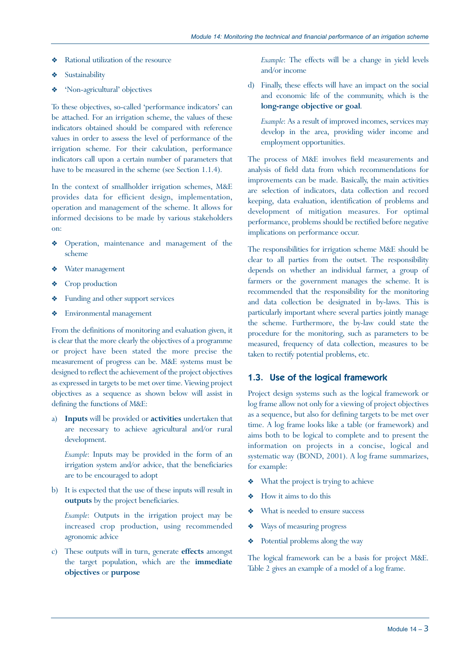- Rational utilization of the resource
- Sustainability
- 'Non-agricultural' objectives

To these objectives, so-called 'performance indicators' can be attached. For an irrigation scheme, the values of these indicators obtained should be compared with reference values in order to assess the level of performance of the irrigation scheme. For their calculation, performance indicators call upon a certain number of parameters that have to be measured in the scheme (see Section 1.1.4).

In the context of smallholder irrigation schemes, M&E provides data for efficient design, implementation, operation and management of the scheme. It allows for informed decisions to be made by various stakeholders on:

- Operation, maintenance and management of the scheme
- Water management
- ◆ Crop production
- \* Funding and other support services
- Y Environmental management

From the definitions of monitoring and evaluation given, it is clear that the more clearly the objectives of a programme or project have been stated the more precise the measurement of progress can be. M&E systems must be designed to reflect the achievement of the project objectives as expressed in targets to be met over time. Viewing project objectives as a sequence as shown below will assist in defining the functions of M&E:

a) **Inputs** will be provided or **activities** undertaken that are necessary to achieve agricultural and/or rural development.

*Example*: Inputs may be provided in the form of an irrigation system and/or advice, that the beneficiaries are to be encouraged to adopt

b) It is expected that the use of these inputs will result in **outputs** by the project beneficiaries.

*Example*: Outputs in the irrigation project may be increased crop production, using recommended agronomic advice

c) These outputs will in turn, generate **effects** amongst the target population, which are the **immediate objectives** or **purpose**

*Example*: The effects will be a change in yield levels and/or income

d) Finally, these effects will have an impact on the social and economic life of the community, which is the **long-range objective or goal**.

*Example*: As a result of improved incomes, services may develop in the area, providing wider income and employment opportunities.

The process of M&E involves field measurements and analysis of field data from which recommendations for improvements can be made. Basically, the main activities are selection of indicators, data collection and record keeping, data evaluation, identification of problems and development of mitigation measures. For optimal performance, problems should be rectified before negative implications on performance occur.

The responsibilities for irrigation scheme M&E should be clear to all parties from the outset. The responsibility depends on whether an individual farmer, a group of farmers or the government manages the scheme. It is recommended that the responsibility for the monitoring and data collection be designated in by-laws. This is particularly important where several parties jointly manage the scheme. Furthermore, the by-law could state the procedure for the monitoring, such as parameters to be measured, frequency of data collection, measures to be taken to rectify potential problems, etc.

# 1.3. Use of the logical framework

Project design systems such as the logical framework or log frame allow not only for a viewing of project objectives as a sequence, but also for defining targets to be met over time. A log frame looks like a table (or framework) and aims both to be logical to complete and to present the information on projects in a concise, logical and systematic way (BOND, 2001). A log frame summarizes, for example:

- $\triangleleft$  What the project is trying to achieve
- Y How it aims to do this
- $\triangleleft$  What is needed to ensure success
- $\triangleleft$  Ways of measuring progress
- $\triangleleft$  Potential problems along the way

The logical framework can be a basis for project M&E. Table 2 gives an example of a model of a log frame.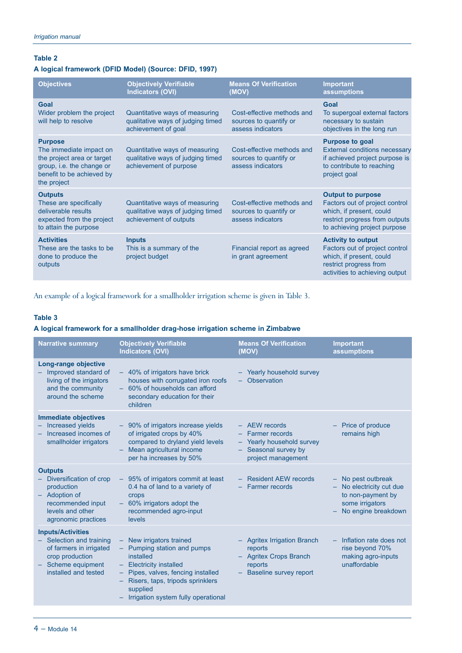# **Table 2**

# **A logical framework (DFID Model) (Source: DFID, 1997)**

| <b>Objectives</b>                                                                                                                                | <b>Objectively Verifiable</b><br><b>Indicators (OVI)</b>                                      | <b>Means Of Verification</b><br>(MOV)                                     | <b>Important</b><br>assumptions                                                                                                                          |
|--------------------------------------------------------------------------------------------------------------------------------------------------|-----------------------------------------------------------------------------------------------|---------------------------------------------------------------------------|----------------------------------------------------------------------------------------------------------------------------------------------------------|
| Goal<br>Wider problem the project<br>will help to resolve                                                                                        | Quantitative ways of measuring<br>qualitative ways of judging timed<br>achievement of goal    | Cost-effective methods and<br>sources to quantify or<br>assess indicators | Goal<br>To supergoal external factors<br>necessary to sustain<br>objectives in the long run                                                              |
| <b>Purpose</b><br>The immediate impact on<br>the project area or target<br>group, i.e. the change or<br>benefit to be achieved by<br>the project | Quantitative ways of measuring<br>qualitative ways of judging timed<br>achievement of purpose | Cost-effective methods and<br>sources to quantify or<br>assess indicators | <b>Purpose to goal</b><br><b>External conditions necessary</b><br>if achieved project purpose is<br>to contribute to reaching<br>project goal            |
| <b>Outputs</b><br>These are specifically<br>deliverable results<br>expected from the project<br>to attain the purpose                            | Quantitative ways of measuring<br>qualitative ways of judging timed<br>achievement of outputs | Cost-effective methods and<br>sources to quantify or<br>assess indicators | <b>Output to purpose</b><br>Factors out of project control<br>which, if present, could<br>restrict progress from outputs<br>to achieving project purpose |
| <b>Activities</b><br>These are the tasks to be<br>done to produce the<br>outputs                                                                 | <b>Inputs</b><br>This is a summary of the<br>project budget                                   | Financial report as agreed<br>in grant agreement                          | <b>Activity to output</b><br>Factors out of project control<br>which, if present, could<br>restrict progress from<br>activities to achieving output      |

An example of a logical framework for a smallholder irrigation scheme is given in Table 3.

### **Table 3**

### **A logical framework for a smallholder drag-hose irrigation scheme in Zimbabwe**

| <b>Narrative summary</b>                                                                                                                       | <b>Objectively Verifiable</b><br><b>Indicators (OVI)</b>                                                                                                                                                                     | <b>Means Of Verification</b><br>(MOV)                                                                          | <b>Important</b><br>assumptions                                                                               |
|------------------------------------------------------------------------------------------------------------------------------------------------|------------------------------------------------------------------------------------------------------------------------------------------------------------------------------------------------------------------------------|----------------------------------------------------------------------------------------------------------------|---------------------------------------------------------------------------------------------------------------|
| Long-range objective<br>- Improved standard of<br>living of the irrigators<br>and the community<br>around the scheme                           | - 40% of irrigators have brick<br>houses with corrugated iron roofs<br>- 60% of households can afford<br>secondary education for their<br>children                                                                           | - Yearly household survey<br>- Observation                                                                     |                                                                                                               |
| <b>Immediate objectives</b><br>- Increased yields<br>Increased incomes of<br>smallholder irrigators                                            | - 90% of irrigators increase yields<br>of irrigated crops by 40%<br>compared to dryland yield levels<br>Mean agricultural income<br>per ha increases by 50%                                                                  | $-$ AEW records<br>- Farmer records<br>- Yearly household survey<br>- Seasonal survey by<br>project management | Price of produce<br>remains high                                                                              |
| <b>Outputs</b><br>Diversification of crop<br>production<br>- Adoption of<br>recommended input<br>levels and other<br>agronomic practices       | - 95% of irrigators commit at least<br>0.4 ha of land to a variety of<br>crops<br>- 60% irrigators adopt the<br>recommended agro-input<br>levels                                                                             | - Resident AEW records<br>- Farmer records                                                                     | - No pest outbreak<br>- No electricity cut due<br>to non-payment by<br>some irrigators<br>No engine breakdown |
| <b>Inputs/Activities</b><br>- Selection and training<br>of farmers in irrigated<br>crop production<br>Scheme equipment<br>installed and tested | - New irrigators trained<br>- Pumping station and pumps<br>installed<br>- Electricity installed<br>- Pipes, valves, fencing installed<br>Risers, taps, tripods sprinklers<br>supplied<br>Irrigation system fully operational | <b>Agritex Irrigation Branch</b><br>reports<br>- Agritex Crops Branch<br>reports<br>- Baseline survey report   | Inflation rate does not<br>rise beyond 70%<br>making agro-inputs<br>unaffordable                              |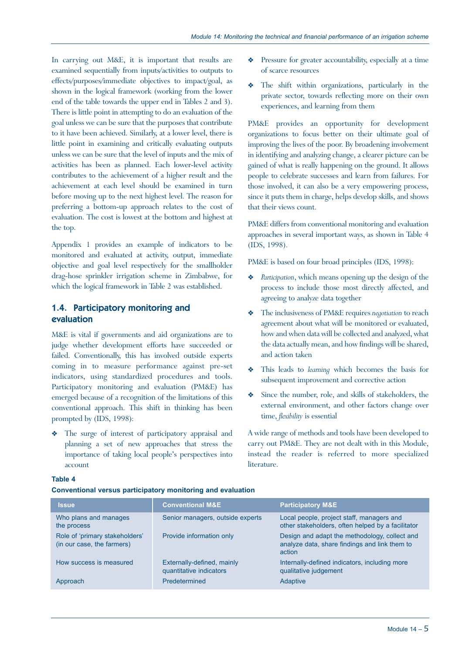In carrying out M&E, it is important that results are examined sequentially from inputs/activities to outputs to effects/purposes/immediate objectives to impact/goal, as shown in the logical framework (working from the lower end of the table towards the upper end in Tables 2 and 3). There is little point in attempting to do an evaluation of the goal unless we can be sure that the purposes that contribute to it have been achieved. Similarly, at a lower level, there is little point in examining and critically evaluating outputs unless we can be sure that the level of inputs and the mix of activities has been as planned. Each lower-level activity contributes to the achievement of a higher result and the achievement at each level should be examined in turn before moving up to the next highest level. The reason for preferring a bottom-up approach relates to the cost of evaluation. The cost is lowest at the bottom and highest at the top.

Appendix 1 provides an example of indicators to be monitored and evaluated at activity, output, immediate objective and goal level respectively for the smallholder drag-hose sprinkler irrigation scheme in Zimbabwe, for which the logical framework in Table 2 was established.

# 1.4. Participatory monitoring and evaluation

M&E is vital if governments and aid organizations are to judge whether development efforts have succeeded or failed. Conventionally, this has involved outside experts coming in to measure performance against pre-set indicators, using standardized procedures and tools. Participatory monitoring and evaluation (PM&E) has emerged because of a recognition of the limitations of this conventional approach. This shift in thinking has been prompted by (IDS, 1998):

The surge of interest of participatory appraisal and planning a set of new approaches that stress the importance of taking local people's perspectives into account

- Pressure for greater accountability, especially at a time of scarce resources
- Y The shift within organizations, particularly in the private sector, towards reflecting more on their own experiences, and learning from them

PM&E provides an opportunity for development organizations to focus better on their ultimate goal of improving the lives of the poor. By broadening involvement in identifying and analyzing change, a clearer picture can be gained of what is really happening on the ground. It allows people to celebrate successes and learn from failures. For those involved, it can also be a very empowering process, since it puts them in charge, helps develop skills, and shows that their views count.

PM&E differs from conventional monitoring and evaluation approaches in several important ways, as shown in Table 4 (IDS, 1998).

PM&E is based on four broad principles (IDS, 1998):

- *Participation*, which means opening up the design of the process to include those most directly affected, and agreeing to analyze data together
- Y The inclusiveness of PM&E requires *negotiation* to reach agreement about what will be monitored or evaluated, how and when data will be collected and analyzed, what the data actually mean, and how findings will be shared, and action taken
- Y This leads to *learning* which becomes the basis for subsequent improvement and corrective action
- Since the number, role, and skills of stakeholders, the external environment, and other factors change over time, *flexibility* is essential

A wide range of methods and tools have been developed to carry out PM&E. They are not dealt with in this Module, instead the reader is referred to more specialized literature.

| ۰.<br>٠<br>×<br>× |
|-------------------|
|-------------------|

**Conventional versus participatory monitoring and evaluation**

| <b>Issue</b>                                                 | <b>Conventional M&amp;E</b>                           | <b>Participatory M&amp;E</b>                                                                             |
|--------------------------------------------------------------|-------------------------------------------------------|----------------------------------------------------------------------------------------------------------|
| Who plans and manages<br>the process                         | Senior managers, outside experts                      | Local people, project staff, managers and<br>other stakeholders, often helped by a facilitator           |
| Role of 'primary stakeholders'<br>(in our case, the farmers) | Provide information only                              | Design and adapt the methodology, collect and<br>analyze data, share findings and link them to<br>action |
| How success is measured                                      | Externally-defined, mainly<br>quantitative indicators | Internally-defined indicators, including more<br>qualitative judgement                                   |
| Approach                                                     | Predetermined                                         | Adaptive                                                                                                 |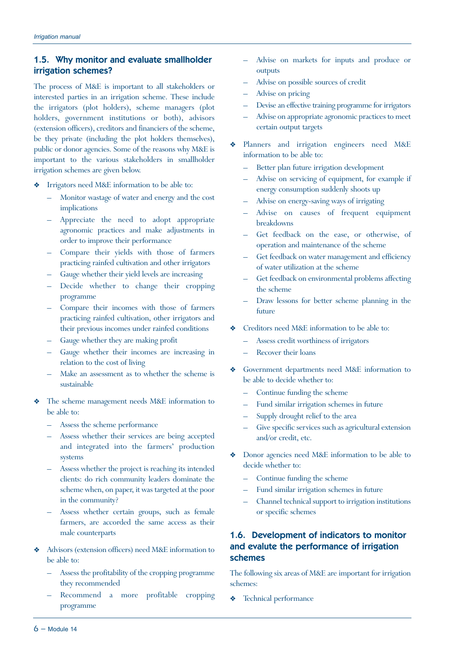# 1.5. Why monitor and evaluate smallholder irrigation schemes?

The process of M&E is important to all stakeholders or interested parties in an irrigation scheme. These include the irrigators (plot holders), scheme managers (plot holders, government institutions or both), advisors (extension officers), creditors and financiers of the scheme, be they private (including the plot holders themselves), public or donor agencies. Some of the reasons why M&E is important to the various stakeholders in smallholder irrigation schemes are given below.

- Irrigators need M&E information to be able to:
	- Monitor wastage of water and energy and the cost implications
	- Appreciate the need to adopt appropriate agronomic practices and make adjustments in order to improve their performance
	- Compare their yields with those of farmers practicing rainfed cultivation and other irrigators
	- Gauge whether their yield levels are increasing
	- Decide whether to change their cropping programme
	- Compare their incomes with those of farmers practicing rainfed cultivation, other irrigators and their previous incomes under rainfed conditions
	- Gauge whether they are making profit
	- Gauge whether their incomes are increasing in relation to the cost of living
	- Make an assessment as to whether the scheme is sustainable
- Y The scheme management needs M&E information to be able to:
	- Assess the scheme performance
	- Assess whether their services are being accepted and integrated into the farmers' production systems
	- Assess whether the project is reaching its intended clients: do rich community leaders dominate the scheme when, on paper, it was targeted at the poor in the community?
	- Assess whether certain groups, such as female farmers, are accorded the same access as their male counterparts
- Advisors (extension officers) need M&E information to be able to:
	- Assess the profitability of the cropping programme they recommended
	- Recommend a more profitable cropping programme
- Advise on markets for inputs and produce or outputs
- Advise on possible sources of credit
- Advise on pricing
- Devise an effective training programme for irrigators
- Advise on appropriate agronomic practices to meet certain output targets
- Y Planners and irrigation engineers need M&E information to be able to:
	- Better plan future irrigation development
	- Advise on servicing of equipment, for example if energy consumption suddenly shoots up
	- Advise on energy-saving ways of irrigating
	- Advise on causes of frequent equipment breakdowns
	- Get feedback on the ease, or otherwise, of operation and maintenance of the scheme
	- Get feedback on water management and efficiency of water utilization at the scheme
	- Get feedback on environmental problems affecting the scheme
	- Draw lessons for better scheme planning in the future
- Creditors need M&E information to be able to:
	- Assess credit worthiness of irrigators
	- Recover their loans
- Government departments need M&E information to be able to decide whether to:
	- Continue funding the scheme
	- Fund similar irrigation schemes in future
	- Supply drought relief to the area
	- Give specific services such as agricultural extension and/or credit, etc.
- Y Donor agencies need M&E information to be able to decide whether to:
	- Continue funding the scheme
	- Fund similar irrigation schemes in future
	- Channel technical support to irrigation institutions or specific schemes

# 1.6. Development of indicators to monitor and evalute the performance of irrigation schemes

The following six areas of M&E are important for irrigation schemes:

Technical performance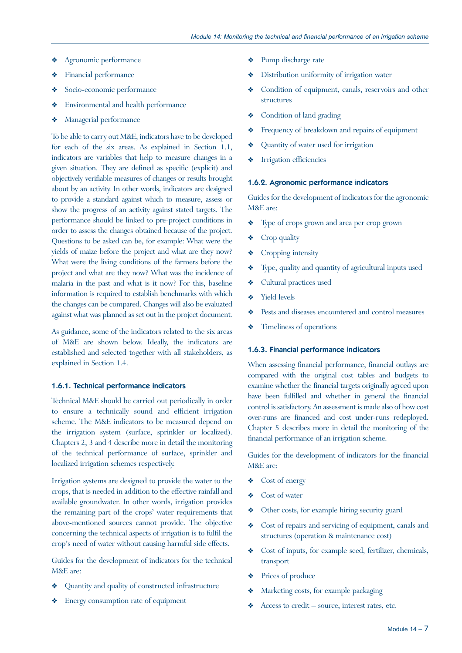- Agronomic performance
- Financial performance
- Socio-economic performance
- Y Environmental and health performance
- **\*** Managerial performance

To be able to carry out M&E, indicators have to be developed for each of the six areas. As explained in Section 1.1, indicators are variables that help to measure changes in a given situation. They are defined as specific (explicit) and objectively verifiable measures of changes or results brought about by an activity. In other words, indicators are designed to provide a standard against which to measure, assess or show the progress of an activity against stated targets. The performance should be linked to pre-project conditions in order to assess the changes obtained because of the project. Questions to be asked can be, for example: What were the yields of maize before the project and what are they now? What were the living conditions of the farmers before the project and what are they now? What was the incidence of malaria in the past and what is it now? For this, baseline information is required to establish benchmarks with which the changes can be compared. Changes will also be evaluated against what was planned as set out in the project document.

As guidance, some of the indicators related to the six areas of M&E are shown below. Ideally, the indicators are established and selected together with all stakeholders, as explained in Section 1.4.

#### 1.6.1. Technical performance indicators

Technical M&E should be carried out periodically in order to ensure a technically sound and efficient irrigation scheme. The M&E indicators to be measured depend on the irrigation system (surface, sprinkler or localized). Chapters 2, 3 and 4 describe more in detail the monitoring of the technical performance of surface, sprinkler and localized irrigation schemes respectively.

Irrigation systems are designed to provide the water to the crops, that is needed in addition to the effective rainfall and available groundwater. In other words, irrigation provides the remaining part of the crops' water requirements that above-mentioned sources cannot provide. The objective concerning the technical aspects of irrigation is to fulfil the crop's need of water without causing harmful side effects.

Guides for the development of indicators for the technical M&E are:

- Y Quantity and quality of constructed infrastructure
- Y Energy consumption rate of equipment
- $\triangleleft$  Pump discharge rate
- Distribution uniformity of irrigation water
- Condition of equipment, canals, reservoirs and other structures
- Condition of land grading
- Frequency of breakdown and repairs of equipment
- ◆ Quantity of water used for irrigation
- Y Irrigation efficiencies

#### 1.6.2. Agronomic performance indicators

Guides for the development of indicators for the agronomic M&E are:

- Y Type of crops grown and area per crop grown
- $\triangleleft$  Crop quality
- $\triangleleft$  Cropping intensity
- Y Type, quality and quantity of agricultural inputs used
- ◆ Cultural practices used
- $\bullet$  Yield levels
- Y Pests and diseases encountered and control measures
- $\triangleleft$  Timeliness of operations

#### 1.6.3. Financial performance indicators

When assessing financial performance, financial outlays are compared with the original cost tables and budgets to examine whether the financial targets originally agreed upon have been fulfilled and whether in general the financial control is satisfactory. An assessment is made also of how cost over-runs are financed and cost under-runs redeployed. Chapter 5 describes more in detail the monitoring of the financial performance of an irrigation scheme.

Guides for the development of indicators for the financial M&E are:

- ◆ Cost of energy
- ◆ Cost of water
- Other costs, for example hiring security guard
- Y Cost of repairs and servicing of equipment, canals and structures (operation & maintenance cost)
- Cost of inputs, for example seed, fertilizer, chemicals, transport
- ◆ Prices of produce
- Y Marketing costs, for example packaging
- Y Access to credit source, interest rates, etc.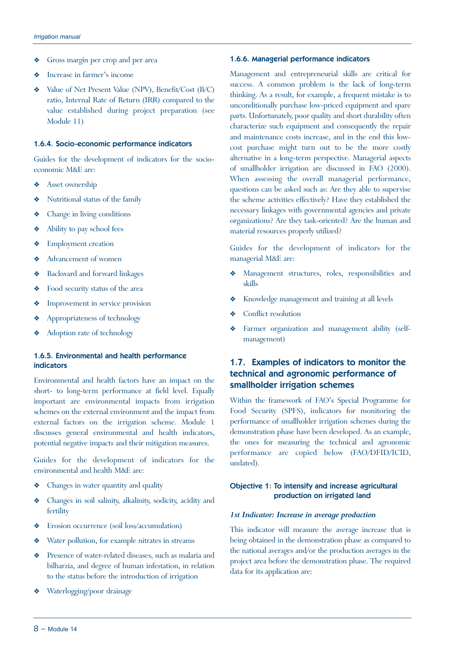- Y Gross margin per crop and per area
- Increase in farmer's income
- Y Value of Net Present Value (NPV), Benefit/Cost (B/C) ratio, Internal Rate of Return (IRR) compared to the value established during project preparation (see Module 11)

#### 1.6.4. Socio-economic performance indicators

Guides for the development of indicators for the socioeconomic M&E are:

- $\triangleleft$  Asset ownership
- Y Nutritional status of the family
- Y Change in living conditions
- $\triangleleft$  Ability to pay school fees
- Y Employment creation
- Y Advancement of women
- ◆ Backward and forward linkages
- Y Food security status of the area
- $\triangleleft$  Improvement in service provision
- Y Appropriateness of technology
- Adoption rate of technology

#### 1.6.5. Environmental and health performance indicators

Environmental and health factors have an impact on the short- to long-term performance at field level. Equally important are environmental impacts from irrigation schemes on the external environment and the impact from external factors on the irrigation scheme. Module 1 discusses general environmental and health indicators, potential negative impacts and their mitigation measures.

Guides for the development of indicators for the environmental and health M&E are:

- Y Changes in water quantity and quality
- Y Changes in soil salinity, alkalinity, sodicity, acidity and fertility
- Y Erosion occurrence (soil loss/accumulation)
- $\triangleleft$  Water pollution, for example nitrates in streams
- Y Presence of water-related diseases, such as malaria and bilharzia, and degree of human infestation, in relation to the status before the introduction of irrigation
- Waterlogging/poor drainage

#### 1.6.6. Managerial performance indicators

Management and entrepreneurial skills are critical for success. A common problem is the lack of long-term thinking. As a result, for example, a frequent mistake is to unconditionally purchase low-priced equipment and spare parts. Unfortunately, poor quality and short durability often characterize such equipment and consequently the repair and maintenance costs increase, and in the end this lowcost purchase might turn out to be the more costly alternative in a long-term perspective. Managerial aspects of smallholder irrigation are discussed in FAO (2000). When assessing the overall managerial performance, questions can be asked such as: Are they able to supervise the scheme activities effectively? Have they established the necessary linkages with governmental agencies and private organizations? Are they task-oriented? Are the human and material resources properly utilized?

Guides for the development of indicators for the managerial M&E are:

- Y Management structures, roles, responsibilities and skills
- Y Knowledge management and training at all levels
- Conflict resolution
- Y Farmer organization and management ability (selfmanagement)

# 1.7. Examples of indicators to monitor the technical and agronomic performance of smallholder irrigation schemes

Within the framework of FAO's Special Programme for Food Security (SPFS), indicators for monitoring the performance of smallholder irrigation schemes during the demonstration phase have been developed. As an example, the ones for measuring the technical and agronomic performance are copied below (FAO/DFID/ICID, undated).

### Objective 1: To intensify and increase agricultural production on irrigated land

#### *1st Indicator: Increase in average production*

This indicator will measure the average increase that is being obtained in the demonstration phase as compared to the national averages and/or the production averages in the project area before the demonstration phase. The required data for its application are: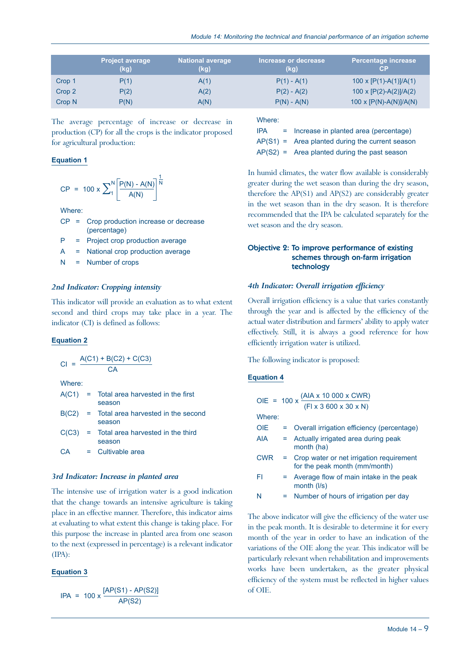|                   | <b>Project average</b><br>(kg) | National average<br>(kg) | Increase or decrease<br>(kg) | <b>Percentage increase</b><br>СP |
|-------------------|--------------------------------|--------------------------|------------------------------|----------------------------------|
| Crop 1            | P(1)                           | A(1)                     | $P(1) - A(1)$                | 100 x $[P(1)-A(1)]/A(1)$         |
| Crop 2            | P(2)                           | A(2)                     | $P(2) - A(2)$                | 100 x $[P(2)-A(2)]/A(2)$         |
| Crop <sub>N</sub> | P(N)                           | A(N)                     | $P(N) - A(N)$                | 100 x $[P(N)-A(N)]/A(N)$         |

The average percentage of increase or decrease in production (CP) for all the crops is the indicator proposed for agricultural production:

#### **Equation 1**

$$
CP = 100 \times \sum_{1}^{N} \left[ \frac{P(N) - A(N)}{A(N)} \right]^{\frac{1}{N}}
$$

Where:

- CP = Crop production increase or decrease (percentage)
- P = Project crop production average
- A = National crop production average
- $N =$  Number of crops

#### *2nd Indicator: Cropping intensity*

This indicator will provide an evaluation as to what extent second and third crops may take place in a year. The indicator (CI) is defined as follows:

#### **Equation 2**

|        |  | $CI = \frac{A(C1) + B(C2) + C(C3)}{CA}$                |  |
|--------|--|--------------------------------------------------------|--|
|        |  |                                                        |  |
| Where: |  |                                                        |  |
|        |  | $A(C1)$ = Total area harvested in the first<br>season  |  |
|        |  | $B(C2)$ = Total area harvested in the second<br>season |  |
| C(C3)  |  | = Total area harvested in the third<br>season          |  |
| CА     |  | $=$ Cultivable area                                    |  |

#### *3rd Indicator: Increase in planted area*

The intensive use of irrigation water is a good indication that the change towards an intensive agriculture is taking place in an effective manner. Therefore, this indicator aims at evaluating to what extent this change is taking place. For this purpose the increase in planted area from one season to the next (expressed in percentage) is a relevant indicator (IPA):

#### **Equation 3**

 $IPA = 100 \times \frac{[AP(S1) - AP(S2)]}{AP(S2)}$ 

### Where:

| <b>IPA</b> | = Increase in planted area (percentage)           |
|------------|---------------------------------------------------|
|            | $AP(S1) =$ Area planted during the current season |
|            | $AP(S2) =$ Area planted during the past season    |

In humid climates, the water flow available is considerably greater during the wet season than during the dry season, therefore the AP(S1) and AP(S2) are considerably greater in the wet season than in the dry season. It is therefore recommended that the IPA be calculated separately for the wet season and the dry season.

#### Objective 2: To improve performance of existing schemes through on-farm irrigation technology

#### *4th Indicator: Overall irrigation efficiency*

Overall irrigation efficiency is a value that varies constantly through the year and is affected by the efficiency of the actual water distribution and farmers' ability to apply water effectively. Still, it is always a good reference for how efficiently irrigation water is utilized.

The following indicator is proposed:

#### **Equation 4**

|            |     | OIE = 100 x $\frac{(AIA \times 10\ 000 \times CWR)}{(FL \times 3\ 600 \times 30 \times N)}$ |
|------------|-----|---------------------------------------------------------------------------------------------|
|            |     |                                                                                             |
| Where:     |     |                                                                                             |
| <b>OIE</b> |     | = Overall irrigation efficiency (percentage)                                                |
| <b>AIA</b> |     | = Actually irrigated area during peak<br>month (ha)                                         |
| <b>CWR</b> |     | = Crop water or net irrigation requirement<br>for the peak month (mm/month)                 |
| FI         | $=$ | Average flow of main intake in the peak<br>month $(1/s)$                                    |
| N          |     | Number of hours of irrigation per day                                                       |

The above indicator will give the efficiency of the water use in the peak month. It is desirable to determine it for every month of the year in order to have an indication of the variations of the OIE along the year. This indicator will be particularly relevant when rehabilitation and improvements works have been undertaken, as the greater physical efficiency of the system must be reflected in higher values of OIE.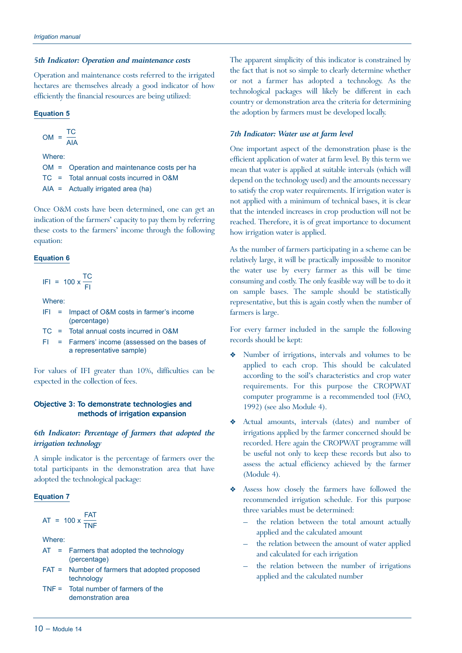#### *5th Indicator: Operation and maintenance costs*

Operation and maintenance costs referred to the irrigated hectares are themselves already a good indicator of how efficiently the financial resources are being utilized:

#### **Equation 5**

$$
OM = \frac{TC}{AIA}
$$

Where:

OM = Operation and maintenance costs per ha

TC = Total annual costs incurred in O&M

AIA = Actually irrigated area (ha)

Once O&M costs have been determined, one can get an indication of the farmers' capacity to pay them by referring these costs to the farmers' income through the following equation:

#### **Equation 6**

$$
IFI = 100 \times \frac{TC}{FI}
$$

Where:

- IFI = Impact of O&M costs in farmer's income (percentage)
- TC = Total annual costs incurred in O&M
- FI = Farmers' income (assessed on the bases of a representative sample)

For values of IFI greater than 10%, difficulties can be expected in the collection of fees.

#### Objective 3: To demonstrate technologies and methods of irrigation expansion

#### *6th Indicator: Percentage of farmers that adopted the irrigation technology*

A simple indicator is the percentage of farmers over the total participants in the demonstration area that have adopted the technological package:

#### **Equation 7**

$$
AT = 100 \times \frac{FAT}{TNF}
$$

Where:

- AT = Farmers that adopted the technology (percentage)
- FAT = Number of farmers that adopted proposed technology
- TNF = Total number of farmers of the demonstration area

The apparent simplicity of this indicator is constrained by the fact that is not so simple to clearly determine whether or not a farmer has adopted a technology. As the technological packages will likely be different in each country or demonstration area the criteria for determining the adoption by farmers must be developed locally.

#### *7th Indicator: Water use at farm level*

One important aspect of the demonstration phase is the efficient application of water at farm level. By this term we mean that water is applied at suitable intervals (which will depend on the technology used) and the amounts necessary to satisfy the crop water requirements. If irrigation water is not applied with a minimum of technical bases, it is clear that the intended increases in crop production will not be reached. Therefore, it is of great importance to document how irrigation water is applied.

As the number of farmers participating in a scheme can be relatively large, it will be practically impossible to monitor the water use by every farmer as this will be time consuming and costly. The only feasible way will be to do it on sample bases. The sample should be statistically representative, but this is again costly when the number of farmers is large.

For every farmer included in the sample the following records should be kept:

- Number of irrigations, intervals and volumes to be applied to each crop. This should be calculated according to the soil's characteristics and crop water requirements. For this purpose the CROPWAT computer programme is a recommended tool (FAO, 1992) (see also Module 4).
- Y Actual amounts, intervals (dates) and number of irrigations applied by the farmer concerned should be recorded. Here again the CROPWAT programme will be useful not only to keep these records but also to assess the actual efficiency achieved by the farmer (Module 4).
- \* Assess how closely the farmers have followed the recommended irrigation schedule. For this purpose three variables must be determined:
	- the relation between the total amount actually applied and the calculated amount
	- the relation between the amount of water applied and calculated for each irrigation
	- the relation between the number of irrigations applied and the calculated number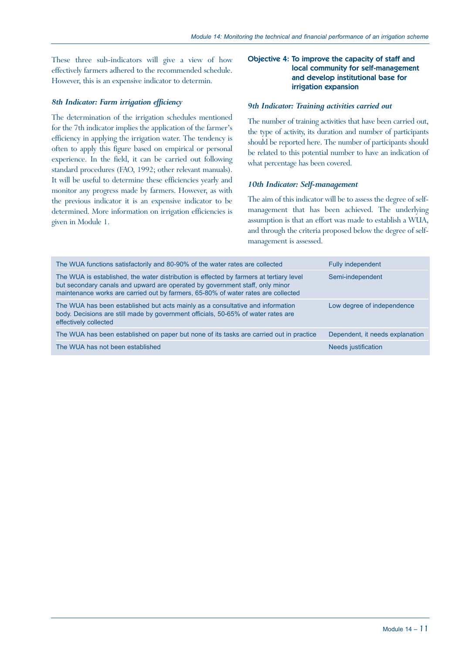These three sub-indicators will give a view of how effectively farmers adhered to the recommended schedule. However, this is an expensive indicator to determin.

#### *8th Indicator: Farm irrigation efficiency*

The determination of the irrigation schedules mentioned for the 7th indicator implies the application of the farmer's efficiency in applying the irrigation water. The tendency is often to apply this figure based on empirical or personal experience. In the field, it can be carried out following standard procedures (FAO, 1992; other relevant manuals). It will be useful to determine these efficiencies yearly and monitor any progress made by farmers. However, as with the previous indicator it is an expensive indicator to be determined. More information on irrigation efficiencies is given in Module 1.

#### Objective 4: To improve the capacity of staff and local community for self-management and develop institutional base for irrigation expansion

#### *9th Indicator: Training activities carried out*

The number of training activities that have been carried out, the type of activity, its duration and number of participants should be reported here. The number of participants should be related to this potential number to have an indication of what percentage has been covered.

#### *10th Indicator: Self-management*

The aim of this indicator will be to assess the degree of selfmanagement that has been achieved. The underlying assumption is that an effort was made to establish a WUA, and through the criteria proposed below the degree of selfmanagement is assessed.

| The WUA functions satisfactorily and 80-90% of the water rates are collected                                                                                                                                                                                 | Fully independent               |
|--------------------------------------------------------------------------------------------------------------------------------------------------------------------------------------------------------------------------------------------------------------|---------------------------------|
| The WUA is established, the water distribution is effected by farmers at tertiary level<br>but secondary canals and upward are operated by government staff, only minor<br>maintenance works are carried out by farmers, 65-80% of water rates are collected | Semi-independent                |
| The WUA has been established but acts mainly as a consultative and information<br>body. Decisions are still made by government officials, 50-65% of water rates are<br>effectively collected                                                                 | Low degree of independence      |
| The WUA has been established on paper but none of its tasks are carried out in practice                                                                                                                                                                      | Dependent, it needs explanation |
| The WUA has not been established                                                                                                                                                                                                                             | Needs justification             |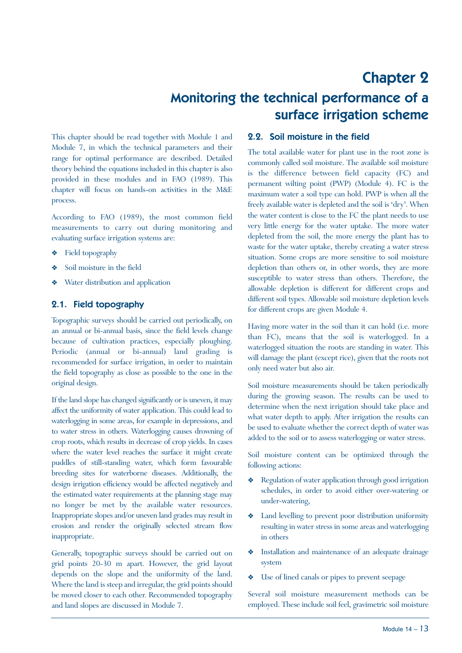# Chapter 2 Monitoring the technical performance of a surface irrigation scheme

This chapter should be read together with Module 1 and Module 7, in which the technical parameters and their range for optimal performance are described. Detailed theory behind the equations included in this chapter is also provided in these modules and in FAO (1989). This chapter will focus on hands-on activities in the M&E process.

According to FAO (1989), the most common field measurements to carry out during monitoring and evaluating surface irrigation systems are:

- Y Field topography
- Soil moisture in the field
- Water distribution and application

# 2.1. Field topography

Topographic surveys should be carried out periodically, on an annual or bi-annual basis, since the field levels change because of cultivation practices, especially ploughing. Periodic (annual or bi-annual) land grading is recommended for surface irrigation, in order to maintain the field topography as close as possible to the one in the original design.

If the land slope has changed significantly or is uneven, it may affect the uniformity of water application. This could lead to waterlogging in some areas, for example in depressions, and to water stress in others. Waterlogging causes drowning of crop roots, which results in decrease of crop yields. In cases where the water level reaches the surface it might create puddles of still-standing water, which form favourable breeding sites for waterborne diseases. Additionally, the design irrigation efficiency would be affected negatively and the estimated water requirements at the planning stage may no longer be met by the available water resources. Inappropriate slopes and/or uneven land grades may result in erosion and render the originally selected stream flow inappropriate.

Generally, topographic surveys should be carried out on grid points 20-30 m apart. However, the grid layout depends on the slope and the uniformity of the land. Where the land is steep and irregular, the grid points should be moved closer to each other. Recommended topography and land slopes are discussed in Module 7.

### 2.2. Soil moisture in the field

The total available water for plant use in the root zone is commonly called soil moisture. The available soil moisture is the difference between field capacity (FC) and permanent wilting point (PWP) (Module 4). FC is the maximum water a soil type can hold. PWP is when all the freely available water is depleted and the soil is 'dry'. When the water content is close to the FC the plant needs to use very little energy for the water uptake. The more water depleted from the soil, the more energy the plant has to waste for the water uptake, thereby creating a water stress situation. Some crops are more sensitive to soil moisture depletion than others or, in other words, they are more susceptible to water stress than others. Therefore, the allowable depletion is different for different crops and different soil types. Allowable soil moisture depletion levels for different crops are given Module 4.

Having more water in the soil than it can hold (i.e. more than FC), means that the soil is waterlogged. In a waterlogged situation the roots are standing in water. This will damage the plant (except rice), given that the roots not only need water but also air.

Soil moisture measurements should be taken periodically during the growing season. The results can be used to determine when the next irrigation should take place and what water depth to apply. After irrigation the results can be used to evaluate whether the correct depth of water was added to the soil or to assess waterlogging or water stress.

Soil moisture content can be optimized through the following actions:

- Regulation of water application through good irrigation schedules, in order to avoid either over-watering or under-watering,
- Y Land levelling to prevent poor distribution uniformity resulting in water stress in some areas and waterlogging in others
- Y Installation and maintenance of an adequate drainage system
- $\triangleleft$  Use of lined canals or pipes to prevent seepage

Several soil moisture measurement methods can be employed. These include soil feel, gravimetric soil moisture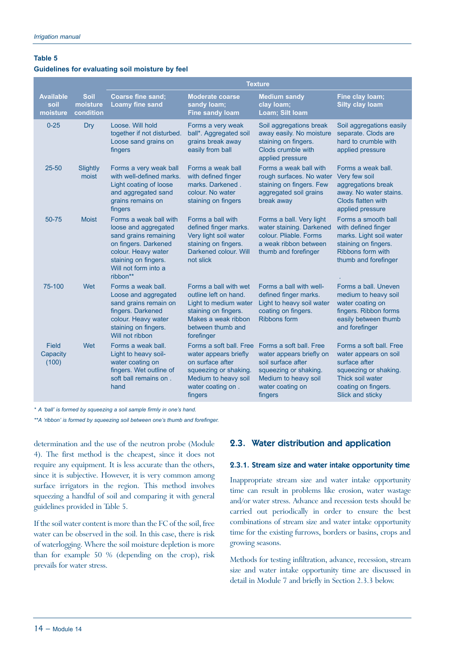#### **Table 5**

#### **Guidelines for evaluating soil moisture by feel**

|                                      |                                      | <b>Texture</b>                                                                                                                                                                     |                                                                                                                                                           |                                                                                                                                                           |                                                                                                                                                           |  |  |
|--------------------------------------|--------------------------------------|------------------------------------------------------------------------------------------------------------------------------------------------------------------------------------|-----------------------------------------------------------------------------------------------------------------------------------------------------------|-----------------------------------------------------------------------------------------------------------------------------------------------------------|-----------------------------------------------------------------------------------------------------------------------------------------------------------|--|--|
| <b>Available</b><br>soil<br>moisture | <b>Soil</b><br>moisture<br>condition | Coarse fine sand;<br><b>Loamy fine sand</b>                                                                                                                                        | <b>Moderate coarse</b><br>sandy loam;<br><b>Fine sandy loam</b>                                                                                           | <b>Medium sandy</b><br>clay loam;<br>Loam; Silt loam                                                                                                      | Fine clay loam;<br><b>Silty clay loam</b>                                                                                                                 |  |  |
| $0 - 25$                             | <b>Dry</b>                           | Loose. Will hold<br>together if not disturbed.<br>Loose sand grains on<br>fingers                                                                                                  | Forms a very weak<br>ball*. Aggregated soil<br>grains break away<br>easily from ball                                                                      | Soil aggregations break<br>away easily. No moisture<br>staining on fingers.<br>Clods crumble with<br>applied pressure                                     | Soil aggregations easily<br>separate. Clods are<br>hard to crumble with<br>applied pressure                                                               |  |  |
| $25 - 50$                            | Slightly<br>moist                    | Forms a very weak ball<br>with well-defined marks.<br>Light coating of loose<br>and aggregated sand<br>grains remains on<br>fingers                                                | Forms a weak ball<br>with defined finger<br>marks. Darkened.<br>colour. No water<br>staining on fingers                                                   | Forms a weak ball with<br>rough surfaces. No water<br>staining on fingers. Few<br>aggregated soil grains<br>break away                                    | Forms a weak ball.<br>Very few soil<br>aggregations break<br>away. No water stains.<br>Clods flatten with<br>applied pressure                             |  |  |
| 50-75                                | <b>Moist</b>                         | Forms a weak ball with<br>loose and aggregated<br>sand grains remaining<br>on fingers. Darkened<br>colour. Heavy water<br>staining on fingers.<br>Will not form into a<br>ribbon** | Forms a ball with<br>defined finger marks.<br>Very light soil water<br>staining on fingers.<br>Darkened colour. Will<br>not slick                         | Forms a ball. Very light<br>water staining. Darkened<br>colour. Pliable. Forms<br>a weak ribbon between<br>thumb and forefinger                           | Forms a smooth ball<br>with defined finger<br>marks. Light soil water<br>staining on fingers.<br>Ribbons form with<br>thumb and forefinger                |  |  |
| 75-100                               | Wet                                  | Forms a weak ball.<br>Loose and aggregated<br>sand grains remain on<br>fingers. Darkened<br>colour. Heavy water<br>staining on fingers.<br>Will not ribbon                         | Forms a ball with wet<br>outline left on hand.<br>Light to medium water<br>staining on fingers.<br>Makes a weak ribbon<br>between thumb and<br>forefinger | Forms a ball with well-<br>defined finger marks.<br>Light to heavy soil water<br>coating on fingers.<br>Ribbons form                                      | Forms a ball. Uneven<br>medium to heavy soil<br>water coating on<br>fingers. Ribbon forms<br>easily between thumb<br>and forefinger                       |  |  |
| Field<br>Capacity<br>(100)           | Wet                                  | Forms a weak ball.<br>Light to heavy soil-<br>water coating on<br>fingers. Wet outline of<br>soft ball remains on.<br>hand                                                         | Forms a soft ball. Free<br>water appears briefly<br>on surface after<br>squeezing or shaking.<br>Medium to heavy soil<br>water coating on.<br>fingers     | Forms a soft ball. Free<br>water appears briefly on<br>soil surface after<br>squeezing or shaking.<br>Medium to heavy soil<br>water coating on<br>fingers | Forms a soft ball. Free<br>water appears on soil<br>surface after<br>squeezing or shaking.<br>Thick soil water<br>coating on fingers.<br>Slick and sticky |  |  |

*\* A 'ball' is formed by squeezing a soil sample firmly in one's hand.*

*\*\*A 'ribbon' is formed by squeezing soil between one's thumb and forefinger.*

determination and the use of the neutron probe (Module 4). The first method is the cheapest, since it does not require any equipment. It is less accurate than the others, since it is subjective. However, it is very common among surface irrigators in the region. This method involves squeezing a handful of soil and comparing it with general guidelines provided in Table 5.

If the soil water content is more than the FC of the soil, free water can be observed in the soil. In this case, there is risk of waterlogging. Where the soil moisture depletion is more than for example 50 % (depending on the crop), risk prevails for water stress.

# 2.3. Water distribution and application

#### 2.3.1. Stream size and water intake opportunity time

Inappropriate stream size and water intake opportunity time can result in problems like erosion, water wastage and/or water stress. Advance and recession tests should be carried out periodically in order to ensure the best combinations of stream size and water intake opportunity time for the existing furrows, borders or basins, crops and growing seasons.

Methods for testing infiltration, advance, recession, stream size and water intake opportunity time are discussed in detail in Module 7 and briefly in Section 2.3.3 below.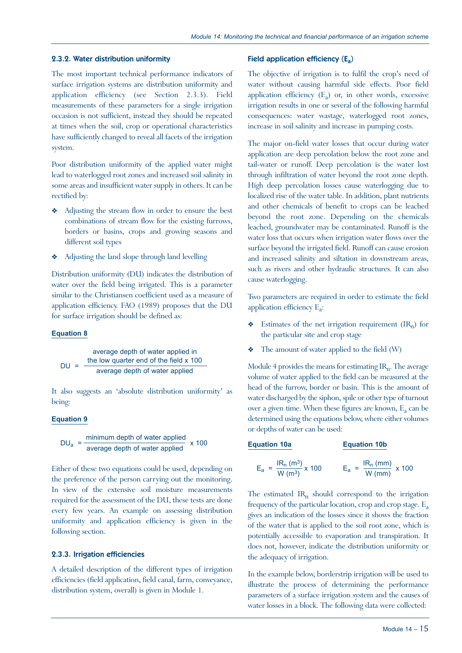#### 2.3.2. Water distribution uniformity

The most important technical performance indicators of surface irrigation systems are distribution uniformity and application efficiency (see Section 2.3.3). Field measurements of these parameters for a single irrigation occasion is not sufficient, instead they should be repeated at times when the soil, crop or operational characteristics have sufficiently changed to reveal all facets of the irrigation system.

Poor distribution uniformity of the applied water might lead to waterlogged root zones and increased soil salinity in some areas and insufficient water supply in others. It can be rectified by:

- Adjusting the stream flow in order to ensure the best combinations of stream flow for the existing furrows, borders or basins, crops and growing seasons and different soil types
- Y Adjusting the land slope through land levelling

Distribution uniformity (DU) indicates the distribution of water over the field being irrigated. This is a parameter similar to the Christiansen coefficient used as a measure of application efficiency. FAO (1989) proposes that the DU for surface irrigation should be defined as:

#### **Equation 8**

average depth of water applied in  
\nDU = 
$$
\frac{\text{the low quarter end of the field } \times 100}{\text{average depth of water applied}}
$$

It also suggests an 'absolute distribution uniformity' as being:

#### **Equation 9**

$$
DU_a = \frac{\text{minimum depth of water applied}}{\text{average depth of water applied}} \times 100
$$

Either of these two equations could be used, depending on the preference of the person carrying out the monitoring. In view of the extensive soil moisture measurements required for the assessment of the DU, these tests are done every few years. An example on assessing distribution uniformity and application efficiency is given in the following section.

#### 2.3.3. Irrigation efficiencies

A detailed description of the different types of irrigation efficiencies (field application, field canal, farm, conveyance, distribution system, overall) is given in Module 1.

#### Field application efficiency  $(E_a)$

The objective of irrigation is to fulfil the crop's need of water without causing harmful side effects. Poor field application efficiency  $(E_a)$  or, in other words, excessive irrigation results in one or several of the following harmful consequences: water wastage, waterlogged root zones, increase in soil salinity and increase in pumping costs.

The major on-field water losses that occur during water application are deep percolation below the root zone and tail-water or runoff. Deep percolation is the water lost through infiltration of water beyond the root zone depth. High deep percolation losses cause waterlogging due to localized rise of the water table. In addition, plant nutrients and other chemicals of benefit to crops can be leached beyond the root zone. Depending on the chemicals leached, groundwater may be contaminated. Runoff is the water loss that occurs when irrigation water flows over the surface beyond the irrigated field. Runoff can cause erosion and increased salinity and siltation in downstream areas, such as rivers and other hydraulic structures. It can also cause waterlogging.

Two parameters are required in order to estimate the field application efficiency  $E_a$ :

- $\triangleleft$  Estimates of the net irrigation requirement (IR<sub>n</sub>) for the particular site and crop stage
- $\bullet$  The amount of water applied to the field (W)

Module 4 provides the means for estimating  $IR_n$ . The average volume of water applied to the field can be measured at the head of the furrow, border or basin. This is the amount of water discharged by the siphon, spile or other type of turnout over a given time. When these figures are known,  $E_a$  can be determined using the equations below, where either volumes or depths of water can be used:

#### **Equation 10a Equation 10b**

$$
E_a = {IR_n (m^3) \over W (m^3)} \times 100
$$
  $E_a = {IR_n (mm) \over W (mm)} \times 100$ 

The estimated  $IR_n$  should correspond to the irrigation frequency of the particular location, crop and crop stage.  $E_a$ gives an indication of the losses since it shows the fraction of the water that is applied to the soil root zone, which is potentially accessible to evaporation and transpiration. It does not, however, indicate the distribution uniformity or the adequacy of irrigation.

In the example below, borderstrip irrigation will be used to illustrate the process of determining the performance parameters of a surface irrigation system and the causes of water losses in a block. The following data were collected: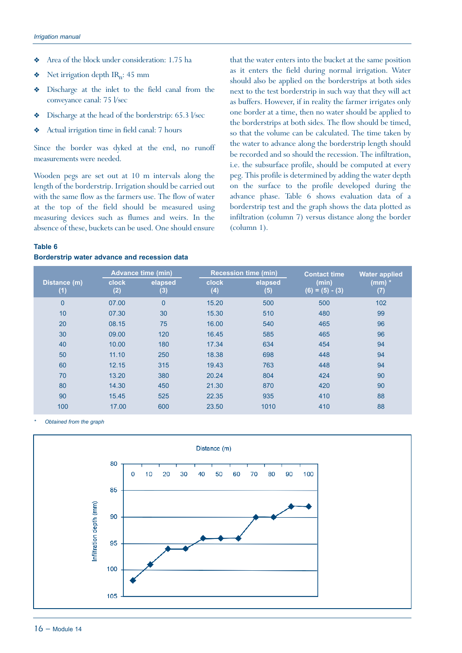- Y Area of the block under consideration: 1.75 ha
- $\bullet$  Net irrigation depth IR<sub>n</sub>: 45 mm
- Y Discharge at the inlet to the field canal from the conveyance canal: 75 l/sec
- $\bullet$  Discharge at the head of the borderstrip: 65.3 l/sec
- Y Actual irrigation time in field canal: 7 hours

Since the border was dyked at the end, no runoff measurements were needed.

Wooden pegs are set out at 10 m intervals along the length of the borderstrip. Irrigation should be carried out with the same flow as the farmers use. The flow of water at the top of the field should be measured using measuring devices such as flumes and weirs. In the absence of these, buckets can be used. One should ensure

that the water enters into the bucket at the same position as it enters the field during normal irrigation. Water should also be applied on the borderstrips at both sides next to the test borderstrip in such way that they will act as buffers. However, if in reality the farmer irrigates only one border at a time, then no water should be applied to the borderstrips at both sides. The flow should be timed, so that the volume can be calculated. The time taken by the water to advance along the borderstrip length should be recorded and so should the recession. The infiltration, i.e. the subsurface profile, should be computed at every peg. This profile is determined by adding the water depth on the surface to the profile developed during the advance phase. Table 6 shows evaluation data of a borderstrip test and the graph shows the data plotted as infiltration (column 7) versus distance along the border (column 1).

#### **Table 6**

#### **Borderstrip water advance and recession data**

|                     | <b>Advance time (min)</b> |                | <b>Recession time (min)</b> |                | <b>Contact time</b>        | <b>Water applied</b> |
|---------------------|---------------------------|----------------|-----------------------------|----------------|----------------------------|----------------------|
| Distance (m)<br>(1) | <b>clock</b><br>(2)       | elapsed<br>(3) | <b>clock</b><br>(4)         | elapsed<br>(5) | (min)<br>$(6) = (5) - (3)$ | $(mm)$ $*$<br>(7)    |
| $\overline{0}$      | 07.00                     | $\Omega$       | 15.20                       | 500            | 500                        | 102                  |
| 10                  | 07.30                     | 30             | 15.30                       | 510            | 480                        | 99                   |
| 20                  | 08.15                     | 75             | 16.00                       | 540            | 465                        | 96                   |
| 30                  | 09.00                     | 120            | 16.45                       | 585            | 465                        | 96                   |
| 40                  | 10.00                     | 180            | 17.34                       | 634            | 454                        | 94                   |
| 50                  | 11.10                     | 250            | 18.38                       | 698            | 448                        | 94                   |
| 60                  | 12.15                     | 315            | 19.43                       | 763            | 448                        | 94                   |
| 70                  | 13.20                     | 380            | 20.24                       | 804            | 424                        | 90                   |
| 80                  | 14.30                     | 450            | 21.30                       | 870            | 420                        | 90                   |
| 90                  | 15.45                     | 525            | 22.35                       | 935            | 410                        | 88                   |
| 100                 | 17.00                     | 600            | 23.50                       | 1010           | 410                        | 88                   |

*\* Obtained from the graph*

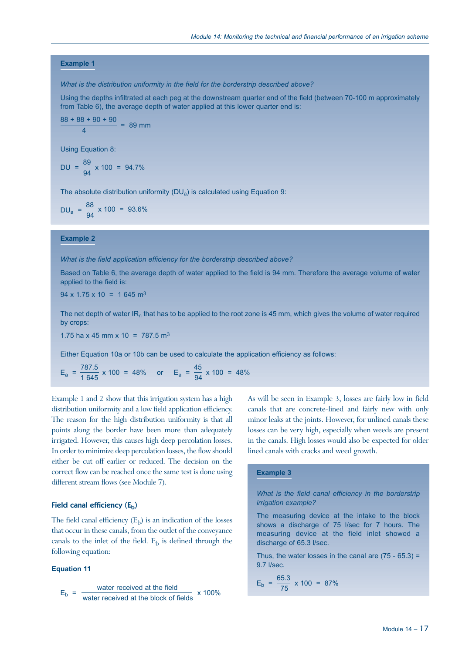#### **Example 1**

*What is the distribution uniformity in the field for the borderstrip described above?*

Using the depths infiltrated at each peg at the downstream quarter end of the field (between 70-100 m approximately from Table 6), the average depth of water applied at this lower quarter end is:

$$
\frac{88 + 88 + 90 + 90}{4} = 89 \text{ mm}
$$

Using Equation 8:

DU = 
$$
\frac{89}{94} \times 100 = 94.7\%
$$

The absolute distribution uniformity  $(DU_a)$  is calculated using Equation 9:

$$
DU_{a} = \frac{88}{94} \times 100 = 93.6\%
$$

#### **Example 2**

#### *What is the field application efficiency for the borderstrip described above?*

Based on Table 6, the average depth of water applied to the field is 94 mm. Therefore the average volume of water applied to the field is:

 $94 \times 1.75 \times 10 = 1645$  m<sup>3</sup>

The net depth of water IR<sub>n</sub> that has to be applied to the root zone is 45 mm, which gives the volume of water required by crops:

1.75 ha x 45 mm x 10 = 787.5 m<sup>3</sup>

Either Equation 10a or 10b can be used to calculate the application efficiency as follows:

 $E_a = \frac{787.5}{1.645} \times 100 = 48\%$  or  $E_a = \frac{45}{94} \times 100 = 48\%$ 

Example 1 and 2 show that this irrigation system has a high distribution uniformity and a low field application efficiency. The reason for the high distribution uniformity is that all points along the border have been more than adequately irrigated. However, this causes high deep percolation losses. In order to minimize deep percolation losses, the flow should either be cut off earlier or reduced. The decision on the correct flow can be reached once the same test is done using different stream flows (see Module 7).

#### Field canal efficiency  $(E_b)$

The field canal efficiency  $(E_b)$  is an indication of the losses that occur in these canals, from the outlet of the conveyance canals to the inlet of the field.  $E<sub>b</sub>$  is defined through the following equation:

#### **Equation 11**

water received at the field  $E_b =$ water received at the block of fields x 100% As will be seen in Example 3, losses are fairly low in field canals that are concrete-lined and fairly new with only minor leaks at the joints. However, for unlined canals these losses can be very high, especially when weeds are present in the canals. High losses would also be expected for older lined canals with cracks and weed growth.

#### **Example 3**

*What is the field canal efficiency in the borderstrip irrigation example?*

The measuring device at the intake to the block shows a discharge of 75 l/sec for 7 hours. The measuring device at the field inlet showed a discharge of 65.3 l/sec.

Thus, the water losses in the canal are  $(75 - 65.3) =$ 9.7 l/sec.

$$
E_{\rm b} = \frac{65.3}{75} \times 100 = 87\%
$$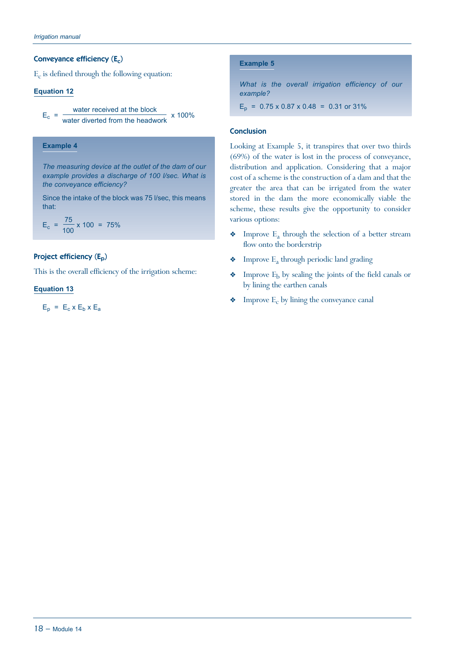#### Conveyance efficiency  $(E_c)$

 $E_c$  is defined through the following equation:

#### **Equation 12**

```
water received at the block
E_c = -water diverted from the headwork
                                     - x 100%
```
#### **Example 4**

*The measuring device at the outlet of the dam of our example provides a discharge of 100 l/sec. What is the conveyance efficiency?*

Since the intake of the block was 75 l/sec, this means that:

$$
E_c = \frac{75}{100} \times 100 = 75\%
$$

#### Project efficiency (E<sub>p</sub>)

This is the overall efficiency of the irrigation scheme:

#### **Equation 13**

 $E_p = E_c$  x  $E_b$  x  $E_a$ 

#### **Example 5**

*What is the overall irrigation efficiency of our example?*

 $E_p = 0.75 \times 0.87 \times 0.48 = 0.31$  or 31%

### **Conclusion**

Looking at Example 5, it transpires that over two thirds (69%) of the water is lost in the process of conveyance, distribution and application. Considering that a major cost of a scheme is the construction of a dam and that the greater the area that can be irrigated from the water stored in the dam the more economically viable the scheme, these results give the opportunity to consider various options:

- $\bullet$  Improve E<sub>a</sub> through the selection of a better stream flow onto the borderstrip
- $\bullet$  Improve E<sub>a</sub> through periodic land grading
- $\bullet$  Improve  $E_b$  by sealing the joints of the field canals or by lining the earthen canals
- $\bullet$  Improve E<sub>c</sub> by lining the conveyance canal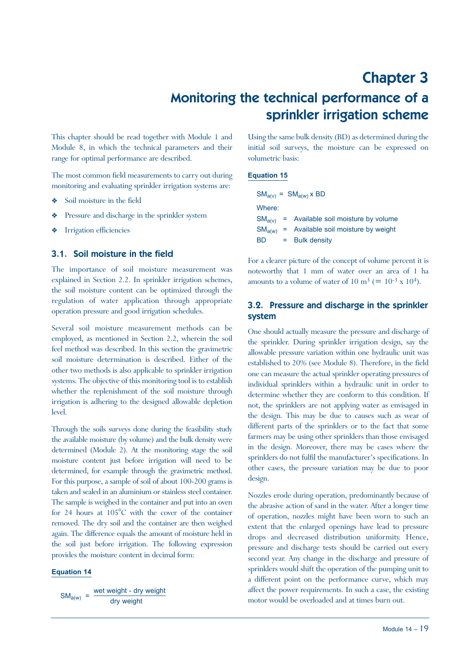# Chapter 3 Monitoring the technical performance of a sprinkler irrigation scheme

This chapter should be read together with Module 1 and Module 8, in which the technical parameters and their range for optimal performance are described.

The most common field measurements to carry out during monitoring and evaluating sprinkler irrigation systems are:

- Soil moisture in the field
- Pressure and discharge in the sprinkler system
- Irrigation efficiencies

### 3.1. Soil moisture in the field

The importance of soil moisture measurement was explained in Section 2.2. In sprinkler irrigation schemes, the soil moisture content can be optimized through the regulation of water application through appropriate operation pressure and good irrigation schedules.

Several soil moisture measurement methods can be employed, as mentioned in Section 2.2, wherein the soil feel method was described. In this section the gravimetric soil moisture determination is described. Either of the other two methods is also applicable to sprinkler irrigation systems. The objective of this monitoring tool is to establish whether the replenishment of the soil moisture through irrigation is adhering to the designed allowable depletion level.

Through the soils surveys done during the feasibility study the available moisture (by volume) and the bulk density were determined (Module 2). At the monitoring stage the soil moisture content just before irrigation will need to be determined, for example through the gravimetric method. For this purpose, a sample of soil of about 100-200 grams is taken and sealed in an aluminium or stainless steel container. The sample is weighed in the container and put into an oven for 24 hours at 105°C with the cover of the container removed. The dry soil and the container are then weighed again. The difference equals the amount of moisture held in the soil just before irrigation. The following expression provides the moisture content in decimal form:

#### **Equation 14**

 $SM_{a(w)} = \frac{\text{wet weight} - \text{dry weight}}{\text{dry weight}}$ 

Using the same bulk density (BD) as determined during the initial soil surveys, the moisture can be expressed on volumetric basis:

# **Equation 15**

| $SM_{a(v)} = SM_{a(w)}$ x BD |                                                 |  |  |  |  |
|------------------------------|-------------------------------------------------|--|--|--|--|
|                              |                                                 |  |  |  |  |
|                              | $SM_{a(v)}$ = Available soil moisture by volume |  |  |  |  |
|                              | = Available soil moisture by weight             |  |  |  |  |
|                              | $=$ Bulk density                                |  |  |  |  |
|                              |                                                 |  |  |  |  |

For a clearer picture of the concept of volume percent it is noteworthy that 1 mm of water over an area of 1 ha amounts to a volume of water of 10 m<sup>3</sup> (=  $10^{-3}$  x 10<sup>4</sup>).

# 3.2. Pressure and discharge in the sprinkler system

One should actually measure the pressure and discharge of the sprinkler. During sprinkler irrigation design, say the allowable pressure variation within one hydraulic unit was established to 20% (see Module 8). Therefore, in the field one can measure the actual sprinkler operating pressures of individual sprinklers within a hydraulic unit in order to determine whether they are conform to this condition. If not, the sprinklers are not applying water as envisaged in the design. This may be due to causes such as wear of different parts of the sprinklers or to the fact that some farmers may be using other sprinklers than those envisaged in the design. Moreover, there may be cases where the sprinklers do not fulfil the manufacturer's specifications. In other cases, the pressure variation may be due to poor design.

Nozzles erode during operation, predominantly because of the abrasive action of sand in the water. After a longer time of operation, nozzles might have been worn to such an extent that the enlarged openings have lead to pressure drops and decreased distribution uniformity. Hence, pressure and discharge tests should be carried out every second year. Any change in the discharge and pressure of sprinklers would shift the operation of the pumping unit to a different point on the performance curve, which may affect the power requirements. In such a case, the existing motor would be overloaded and at times burn out.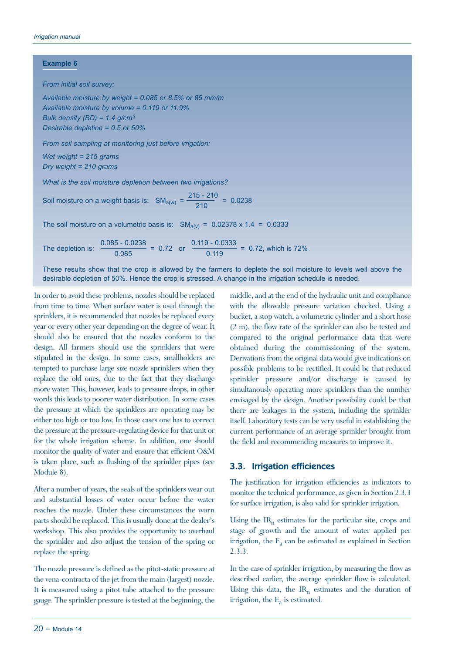#### **Example 6**

*From initial soil survey:*

*Available moisture by weight = 0.085 or 8.5% or 85 mm/m Available moisture by volume = 0.119 or 11.9% Bulk density (BD) = 1.4 g/cm3 Desirable depletion = 0.5 or 50%*

*From soil sampling at monitoring just before irrigation:*

*Wet weight = 215 grams Dry weight = 210 grams*

*What is the soil moisture depletion between two irrigations?*

Soil moisture on a weight basis is:  $SM_{a(w)} = \frac{215 - 210}{210} = 0.0238$ 

The soil moisture on a volumetric basis is:  $SM_{a(v)} = 0.02378 \times 1.4 = 0.0333$ 

The depletion is:  $\frac{0.085 - 0.0238}{0.085} = 0.72$  or  $\frac{0.119 - 0.0333}{0.119} = 0.72$ , which is 72%

These results show that the crop is allowed by the farmers to deplete the soil moisture to levels well above the desirable depletion of 50%. Hence the crop is stressed. A change in the irrigation schedule is needed.

In order to avoid these problems, nozzles should be replaced from time to time. When surface water is used through the sprinklers, it is recommended that nozzles be replaced every year or every other year depending on the degree of wear. It should also be ensured that the nozzles conform to the design. All farmers should use the sprinklers that were stipulated in the design. In some cases, smallholders are tempted to purchase large size nozzle sprinklers when they replace the old ones, due to the fact that they discharge more water. This, however, leads to pressure drops, in other words this leads to poorer water distribution. In some cases the pressure at which the sprinklers are operating may be either too high or too low. In those cases one has to correct the pressure at the pressure-regulating device for that unit or for the whole irrigation scheme. In addition, one should monitor the quality of water and ensure that efficient O&M is taken place, such as flushing of the sprinkler pipes (see Module 8).

After a number of years, the seals of the sprinklers wear out and substantial losses of water occur before the water reaches the nozzle. Under these circumstances the worn parts should be replaced. This is usually done at the dealer's workshop. This also provides the opportunity to overhaul the sprinkler and also adjust the tension of the spring or replace the spring.

The nozzle pressure is defined as the pitot-static pressure at the vena-contracta of the jet from the main (largest) nozzle. It is measured using a pitot tube attached to the pressure gauge. The sprinkler pressure is tested at the beginning, the middle, and at the end of the hydraulic unit and compliance with the allowable pressure variation checked. Using a bucket, a stop watch, a volumetric cylinder and a short hose (2 m), the flow rate of the sprinkler can also be tested and compared to the original performance data that were obtained during the commissioning of the system. Derivations from the original data would give indications on possible problems to be rectified. It could be that reduced sprinkler pressure and/or discharge is caused by simultanously operating more sprinklers than the number envisaged by the design. Another possibility could be that there are leakages in the system, including the sprinkler itself. Laboratory tests can be very useful in establishing the current performance of an average sprinkler brought from the field and recommending measures to improve it.

#### 3.3. Irrigation efficiences

The justification for irrigation efficiencies as indicators to monitor the technical performance, as given in Section 2.3.3 for surface irrigation, is also valid for sprinkler irrigation.

Using the  $IR<sub>n</sub>$  estimates for the particular site, crops and stage of growth and the amount of water applied per irrigation, the  $E_a$  can be estimated as explained in Section 2.3.3.

In the case of sprinkler irrigation, by measuring the flow as described earlier, the average sprinkler flow is calculated. Using this data, the  $IR_n$  estimates and the duration of irrigation, the  $E_a$  is estimated.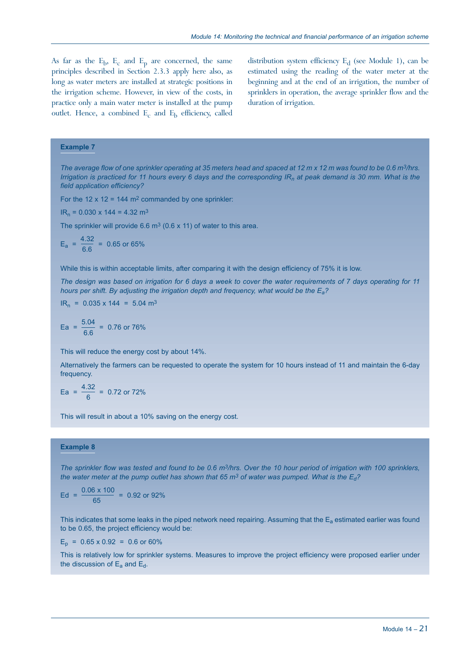As far as the  $E_b$ ,  $E_c$  and  $E_p$  are concerned, the same principles described in Section 2.3.3 apply here also, as long as water meters are installed at strategic positions in the irrigation scheme. However, in view of the costs, in practice only a main water meter is installed at the pump outlet. Hence, a combined  $E_c$  and  $E_b$  efficiency, called

distribution system efficiency  $E_d$  (see Module 1), can be estimated using the reading of the water meter at the beginning and at the end of an irrigation, the number of sprinklers in operation, the average sprinkler flow and the duration of irrigation.

#### **Example 7**

*The average flow of one sprinkler operating at 35 meters head and spaced at 12 m x 12 m was found to be 0.6 m3/hrs. Irrigation is practiced for 11 hours every 6 days and the corresponding IR<sub>n</sub> at peak demand is 30 mm. What is the field application efficiency?*

For the 12 x 12 = 144  $m^2$  commanded by one sprinkler:

 $IR_n = 0.030 \times 144 = 4.32 \text{ m}^3$ 

The sprinkler will provide 6.6  $m<sup>3</sup>$  (0.6 x 11) of water to this area.

$$
E_a = \frac{4.32}{6.6} = 0.65 \text{ or } 65\%
$$

While this is within acceptable limits, after comparing it with the design efficiency of 75% it is low.

*The design was based on irrigation for 6 days a week to cover the water requirements of 7 days operating for 11 hours per shift. By adjusting the irrigation depth and frequency, what would be the Ea?*

$$
IR_n = 0.035 \times 144 = 5.04 \text{ m}^3
$$

$$
Ea = \frac{5.04}{6.6} = 0.76 \text{ or } 76\%
$$

This will reduce the energy cost by about 14%.

Alternatively the farmers can be requested to operate the system for 10 hours instead of 11 and maintain the 6-day frequency.

$$
Ea = \frac{4.32}{6} = 0.72 \text{ or } 72\%
$$

This will result in about a 10% saving on the energy cost.

#### **Example 8**

*The sprinkler flow was tested and found to be 0.6 m3/hrs. Over the 10 hour period of irrigation with 100 sprinklers, the water meter at the pump outlet has shown that 65 m3 of water was pumped. What is the Ed?*

$$
Ed = \frac{0.06 \times 100}{65} = 0.92 \text{ or } 92\%
$$

This indicates that some leaks in the piped network need repairing. Assuming that the  $E_a$  estimated earlier was found to be 0.65, the project efficiency would be:

 $E_p = 0.65 \times 0.92 = 0.6$  or 60%

This is relatively low for sprinkler systems. Measures to improve the project efficiency were proposed earlier under the discussion of  $E_a$  and  $E_d$ .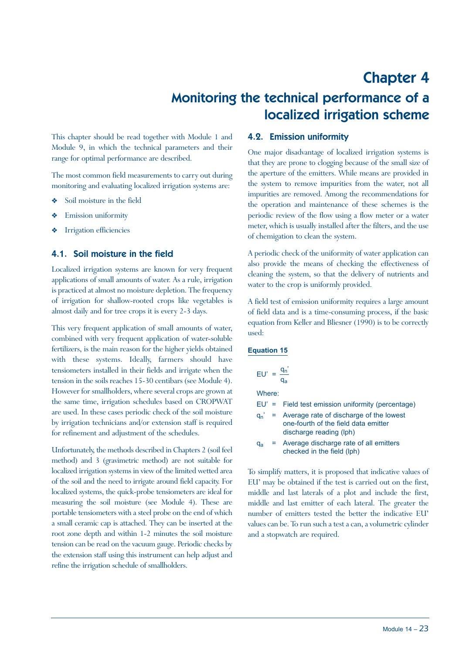# Chapter 4 Monitoring the technical performance of a localized irrigation scheme

This chapter should be read together with Module 1 and Module 9, in which the technical parameters and their range for optimal performance are described.

The most common field measurements to carry out during monitoring and evaluating localized irrigation systems are:

- Soil moisture in the field
- Emission uniformity
- Irrigation efficiencies

### 4.1. Soil moisture in the field

Localized irrigation systems are known for very frequent applications of small amounts of water. As a rule, irrigation is practiced at almost no moisture depletion. The frequency of irrigation for shallow-rooted crops like vegetables is almost daily and for tree crops it is every 2-3 days.

This very frequent application of small amounts of water, combined with very frequent application of water-soluble fertilizers, is the main reason for the higher yields obtained with these systems. Ideally, farmers should have tensiometers installed in their fields and irrigate when the tension in the soils reaches 15-30 centibars (see Module 4). However for smallholders, where several crops are grown at the same time, irrigation schedules based on CROPWAT are used. In these cases periodic check of the soil moisture by irrigation technicians and/or extension staff is required for refinement and adjustment of the schedules.

Unfortunately, the methods described in Chapters 2 (soil feel method) and 3 (gravimetric method) are not suitable for localized irrigation systems in view of the limited wetted area of the soil and the need to irrigate around field capacity. For localized systems, the quick-probe tensiometers are ideal for measuring the soil moisture (see Module 4). These are portable tensiometers with a steel probe on the end of which a small ceramic cap is attached. They can be inserted at the root zone depth and within 1-2 minutes the soil moisture tension can be read on the vacuum gauge. Periodic checks by the extension staff using this instrument can help adjust and refine the irrigation schedule of smallholders.

#### 4.2. Emission uniformity

One major disadvantage of localized irrigation systems is that they are prone to clogging because of the small size of the aperture of the emitters. While means are provided in the system to remove impurities from the water, not all impurities are removed. Among the recommendations for the operation and maintenance of these schemes is the periodic review of the flow using a flow meter or a water meter, which is usually installed after the filters, and the use of chemigation to clean the system.

A periodic check of the uniformity of water application can also provide the means of checking the effectiveness of cleaning the system, so that the delivery of nutrients and water to the crop is uniformly provided.

A field test of emission uniformity requires a large amount of field data and is a time-consuming process, if the basic equation from Keller and Bliesner (1990) is to be correctly used:

#### **Equation 15**

| $EU' = \frac{q_n^2}{n}$ | $q_{a}$                                                                                                             |
|-------------------------|---------------------------------------------------------------------------------------------------------------------|
| Where:                  |                                                                                                                     |
|                         | $EU' =$ Field test emission uniformity (percentage)                                                                 |
|                         | $q_n'$ = Average rate of discharge of the lowest<br>one-fourth of the field data emitter<br>discharge reading (lph) |

 $q_a$  = Average discharge rate of all emitters checked in the field (lph)

To simplify matters, it is proposed that indicative values of EU' may be obtained if the test is carried out on the first, middle and last laterals of a plot and include the first, middle and last emitter of each lateral. The greater the number of emitters tested the better the indicative EU' values can be. To run such a test a can, a volumetric cylinder and a stopwatch are required.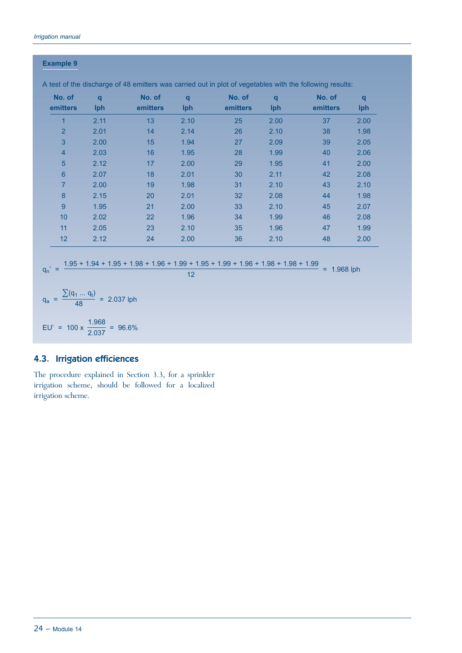#### **Example 9**

| No. of<br>emitters                                                                                                     | q<br>Iph                                   | No. of<br>emitters | $\mathbf{q}$<br>Iph | No. of<br>emitters | $\mathbf{q}$<br>Iph | No. of<br>emitters | $\mathbf{q}$<br>Iph |
|------------------------------------------------------------------------------------------------------------------------|--------------------------------------------|--------------------|---------------------|--------------------|---------------------|--------------------|---------------------|
| $\overline{1}$                                                                                                         | 2.11                                       | 13                 | 2.10                | 25                 | 2.00                | 37                 | 2.00                |
| $\overline{2}$                                                                                                         | 2.01                                       | 14                 | 2.14                | 26                 | 2.10                | 38                 | 1.98                |
| 3                                                                                                                      | 2.00                                       | 15                 | 1.94                | 27                 | 2.09                | 39                 | 2.05                |
| $\overline{4}$                                                                                                         | 2.03                                       | 16                 | 1.95                | 28                 | 1.99                | 40                 | 2.06                |
| 5                                                                                                                      | 2.12                                       | 17                 | 2.00                | 29                 | 1.95                | 41                 | 2.00                |
| $\bf 6$                                                                                                                | 2.07                                       | 18                 | 2.01                | 30                 | 2.11                | 42                 | 2.08                |
| $\overline{7}$                                                                                                         | 2.00                                       | 19                 | 1.98                | 31                 | 2.10                | 43                 | 2.10                |
| 8                                                                                                                      | 2.15                                       | 20                 | 2.01                | 32                 | 2.08                | 44                 | 1.98                |
| $\overline{9}$                                                                                                         | 1.95                                       | 21                 | 2.00                | 33                 | 2.10                | 45                 | 2.07                |
| 10                                                                                                                     | 2.02                                       | 22                 | 1.96                | 34                 | 1.99                | 46                 | 2.08                |
| 11                                                                                                                     | 2.05                                       | 23                 | 2.10                | 35                 | 1.96                | 47                 | 1.99                |
| 12                                                                                                                     | 2.12                                       | 24                 | 2.00                | 36                 | 2.10                | 48                 | 2.00                |
| $1.95 + 1.94 + 1.95 + 1.98 + 1.96 + 1.99 + 1.95 + 1.99 + 1.96 + 1.98 + 1.98 + 1.99$<br>$q_n' =$<br>$= 1.968$ lph<br>12 |                                            |                    |                     |                    |                     |                    |                     |
| $=\frac{\sum (q_1  q_t)}{48} = 2.037$ lph<br>$q_a$                                                                     |                                            |                    |                     |                    |                     |                    |                     |
| EU'                                                                                                                    | = $100 \times \frac{1.968}{2.037}$ = 96.6% |                    |                     |                    |                     |                    |                     |

A test of the discharge of 48 emitters was carried out in plot of vegetables with the following results:

# 4.3. Irrigation efficiences

The procedure explained in Section 3.3, for a sprinkler irrigation scheme, should be followed for a localized irrigation scheme.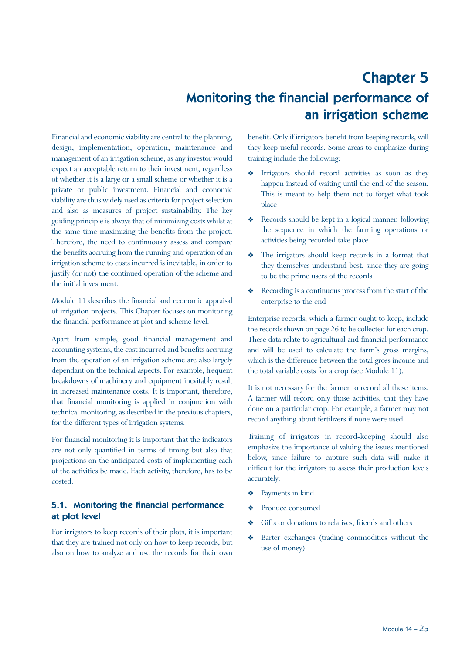# Chapter 5 Monitoring the financial performance of an irrigation scheme

Financial and economic viability are central to the planning, design, implementation, operation, maintenance and management of an irrigation scheme, as any investor would expect an acceptable return to their investment, regardless of whether it is a large or a small scheme or whether it is a private or public investment. Financial and economic viability are thus widely used as criteria for project selection and also as measures of project sustainability. The key guiding principle is always that of minimizing costs whilst at the same time maximizing the benefits from the project. Therefore, the need to continuously assess and compare the benefits accruing from the running and operation of an irrigation scheme to costs incurred is inevitable, in order to justify (or not) the continued operation of the scheme and the initial investment.

Module 11 describes the financial and economic appraisal of irrigation projects. This Chapter focuses on monitoring the financial performance at plot and scheme level.

Apart from simple, good financial management and accounting systems, the cost incurred and benefits accruing from the operation of an irrigation scheme are also largely dependant on the technical aspects. For example, frequent breakdowns of machinery and equipment inevitably result in increased maintenance costs. It is important, therefore, that financial monitoring is applied in conjunction with technical monitoring, as described in the previous chapters, for the different types of irrigation systems.

For financial monitoring it is important that the indicators are not only quantified in terms of timing but also that projections on the anticipated costs of implementing each of the activities be made. Each activity, therefore, has to be costed.

# 5.1. Monitoring the financial performance at plot level

For irrigators to keep records of their plots, it is important that they are trained not only on how to keep records, but also on how to analyze and use the records for their own benefit. Only if irrigators benefit from keeping records, will they keep useful records. Some areas to emphasize during training include the following:

- Irrigators should record activities as soon as they happen instead of waiting until the end of the season. This is meant to help them not to forget what took place
- Y Records should be kept in a logical manner, following the sequence in which the farming operations or activities being recorded take place
- The irrigators should keep records in a format that they themselves understand best, since they are going to be the prime users of the records
- Recording is a continuous process from the start of the enterprise to the end

Enterprise records, which a farmer ought to keep, include the records shown on page 26 to be collected for each crop. These data relate to agricultural and financial performance and will be used to calculate the farm's gross margins, which is the difference between the total gross income and the total variable costs for a crop (see Module 11).

It is not necessary for the farmer to record all these items. A farmer will record only those activities, that they have done on a particular crop. For example, a farmer may not record anything about fertilizers if none were used.

Training of irrigators in record-keeping should also emphasize the importance of valuing the issues mentioned below, since failure to capture such data will make it difficult for the irrigators to assess their production levels accurately:

- Y Payments in kind
- Y Produce consumed
- Gifts or donations to relatives, friends and others
- Y Barter exchanges (trading commodities without the use of money)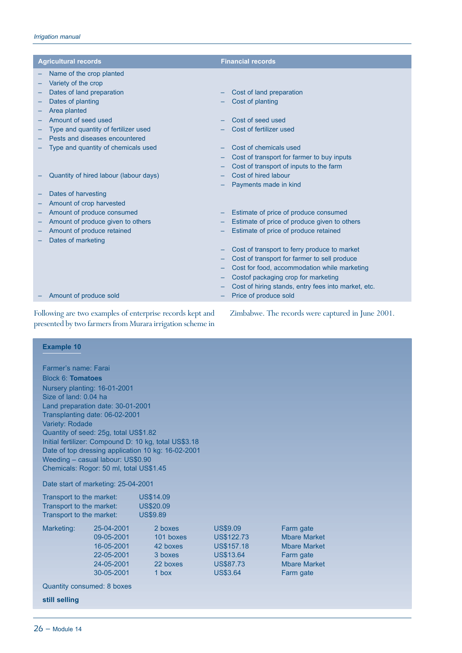| <b>Agricultural records</b>                     | <b>Financial records</b>                                                                     |
|-------------------------------------------------|----------------------------------------------------------------------------------------------|
| Name of the crop planted<br>Variety of the crop |                                                                                              |
| Dates of land preparation                       | Cost of land preparation                                                                     |
| Dates of planting                               | Cost of planting                                                                             |
| Area planted                                    |                                                                                              |
| Amount of seed used                             | Cost of seed used                                                                            |
| Type and quantity of fertilizer used            | Cost of fertilizer used                                                                      |
| Pests and diseases encountered                  |                                                                                              |
| Type and quantity of chemicals used             | Cost of chemicals used                                                                       |
|                                                 | Cost of transport for farmer to buy inputs                                                   |
|                                                 | Cost of transport of inputs to the farm                                                      |
| Quantity of hired labour (labour days)          | Cost of hired labour                                                                         |
|                                                 | Payments made in kind                                                                        |
| Dates of harvesting                             |                                                                                              |
| Amount of crop harvested                        |                                                                                              |
| Amount of produce consumed                      | Estimate of price of produce consumed                                                        |
| Amount of produce given to others               | Estimate of price of produce given to others                                                 |
| Amount of produce retained                      | Estimate of price of produce retained                                                        |
| Dates of marketing                              |                                                                                              |
|                                                 | Cost of transport to ferry produce to market                                                 |
|                                                 | Cost of transport for farmer to sell produce<br>Cost for food, accommodation while marketing |
|                                                 | Costof packaging crop for marketing                                                          |
|                                                 | Cost of hiring stands, entry fees into market, etc.                                          |
| Amount of produce sold                          | Price of produce sold                                                                        |

Following are two examples of enterprise records kept and presented by two farmers from Murara irrigation scheme in Zimbabwe. The records were captured in June 2001.

| <b>Example 10</b>                                                            |                  |                   |                     |  |  |  |
|------------------------------------------------------------------------------|------------------|-------------------|---------------------|--|--|--|
|                                                                              |                  |                   |                     |  |  |  |
| Farmer's name: Farai                                                         |                  |                   |                     |  |  |  |
| Block 6: Tomatoes                                                            |                  |                   |                     |  |  |  |
| Nursery planting: 16-01-2001                                                 |                  |                   |                     |  |  |  |
| Size of land: 0.04 ha                                                        |                  |                   |                     |  |  |  |
| Land preparation date: 30-01-2001                                            |                  |                   |                     |  |  |  |
| Transplanting date: 06-02-2001                                               |                  |                   |                     |  |  |  |
| Variety: Rodade                                                              |                  |                   |                     |  |  |  |
| Quantity of seed: 25g, total US\$1.82                                        |                  |                   |                     |  |  |  |
| Initial fertilizer: Compound D: 10 kg, total US\$3.18                        |                  |                   |                     |  |  |  |
| Date of top dressing application 10 kg: 16-02-2001                           |                  |                   |                     |  |  |  |
| Weeding - casual labour: US\$0.90<br>Chemicals: Rogor: 50 ml, total US\$1.45 |                  |                   |                     |  |  |  |
|                                                                              |                  |                   |                     |  |  |  |
| Date start of marketing: 25-04-2001                                          |                  |                   |                     |  |  |  |
| Transport to the market:                                                     | <b>US\$14.09</b> |                   |                     |  |  |  |
| Transport to the market:                                                     | <b>US\$20.09</b> |                   |                     |  |  |  |
| Transport to the market:                                                     | <b>US\$9.89</b>  |                   |                     |  |  |  |
| 25-04-2001<br>Marketing:                                                     | 2 boxes          | <b>US\$9.09</b>   | Farm gate           |  |  |  |
| 09-05-2001                                                                   | 101 boxes        | <b>US\$122.73</b> | <b>Mbare Market</b> |  |  |  |
| 16-05-2001                                                                   | 42 boxes         | <b>US\$157.18</b> | <b>Mbare Market</b> |  |  |  |
| 22-05-2001                                                                   | 3 boxes          | <b>US\$13.64</b>  | Farm gate           |  |  |  |
| 24-05-2001                                                                   | 22 boxes         | <b>US\$87.73</b>  | <b>Mbare Market</b> |  |  |  |
| 30-05-2001                                                                   | $1$ hox          | <b>US\$3.64</b>   | Farm gate           |  |  |  |
| Quantity consumed: 8 boxes                                                   |                  |                   |                     |  |  |  |
| still selling                                                                |                  |                   |                     |  |  |  |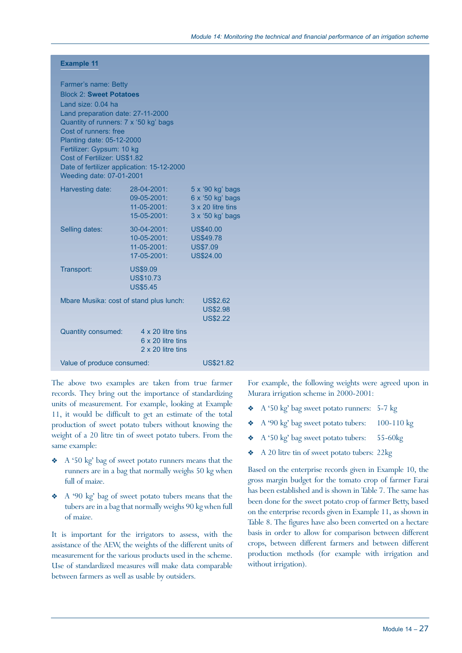### **Example 11**

| Farmer's name: Betty                                                       |                                            |                                       |
|----------------------------------------------------------------------------|--------------------------------------------|---------------------------------------|
| <b>Block 2: Sweet Potatoes</b>                                             |                                            |                                       |
| Land size: 0.04 ha                                                         |                                            |                                       |
| Land preparation date: 27-11-2000<br>Quantity of runners: 7 x '50 kg' bags |                                            |                                       |
| Cost of runners: free                                                      |                                            |                                       |
| Planting date: 05-12-2000                                                  |                                            |                                       |
| Fertilizer: Gypsum: 10 kg                                                  |                                            |                                       |
| Cost of Fertilizer: US\$1.82                                               |                                            |                                       |
|                                                                            | Date of fertilizer application: 15-12-2000 |                                       |
| Weeding date: 07-01-2001                                                   |                                            |                                       |
| Harvesting date:                                                           | 28-04-2001:                                | 5 x '90 kg' bags                      |
|                                                                            | 09-05-2001:<br>$11 - 05 - 2001$ :          | 6 x '50 kg' bags<br>3 x 20 litre tins |
|                                                                            | 15-05-2001:                                | 3 x '50 kg' bags                      |
|                                                                            | 30-04-2001:                                | <b>US\$40.00</b>                      |
| Selling dates:                                                             | 10-05-2001:                                | <b>US\$49.78</b>                      |
|                                                                            | $11 - 05 - 2001$ :                         | <b>US\$7.09</b>                       |
|                                                                            | 17-05-2001:                                | <b>US\$24.00</b>                      |
| Transport:                                                                 | <b>US\$9.09</b>                            |                                       |
|                                                                            | <b>US\$10.73</b>                           |                                       |
|                                                                            | <b>US\$5.45</b>                            |                                       |
|                                                                            | Mbare Musika: cost of stand plus lunch:    | <b>US\$2.62</b>                       |
|                                                                            |                                            | <b>US\$2.98</b>                       |
|                                                                            |                                            | <b>US\$2.22</b>                       |
| <b>Quantity consumed:</b>                                                  | 4 x 20 litre tins                          |                                       |
|                                                                            | 6 x 20 litre tins                          |                                       |
|                                                                            | 2 x 20 litre tins                          |                                       |
| Value of produce consumed:                                                 |                                            | <b>US\$21.82</b>                      |

The above two examples are taken from true farmer records. They bring out the importance of standardizing units of measurement. For example, looking at Example 11, it would be difficult to get an estimate of the total production of sweet potato tubers without knowing the weight of a 20 litre tin of sweet potato tubers. From the same example:

- Y A '50 kg' bag of sweet potato runners means that the runners are in a bag that normally weighs 50 kg when full of maize.
- Y A '90 kg' bag of sweet potato tubers means that the tubers are in a bag that normally weighs 90 kg when full of maize.

It is important for the irrigators to assess, with the assistance of the AEW, the weights of the different units of measurement for the various products used in the scheme. Use of standardized measures will make data comparable between farmers as well as usable by outsiders.

For example, the following weights were agreed upon in Murara irrigation scheme in 2000-2001:

- A '50 kg' bag sweet potato runners: 5-7 kg
- ◆ A '90 kg' bag sweet potato tubers: 100-110 kg
- Y A '50 kg' bag sweet potato tubers: 55-60kg
- \* A 20 litre tin of sweet potato tubers: 22kg

Based on the enterprise records given in Example 10, the gross margin budget for the tomato crop of farmer Farai has been established and is shown in Table 7. The same has been done for the sweet potato crop of farmer Betty, based on the enterprise records given in Example 11, as shown in Table 8. The figures have also been converted on a hectare basis in order to allow for comparison between different crops, between different farmers and between different production methods (for example with irrigation and without irrigation).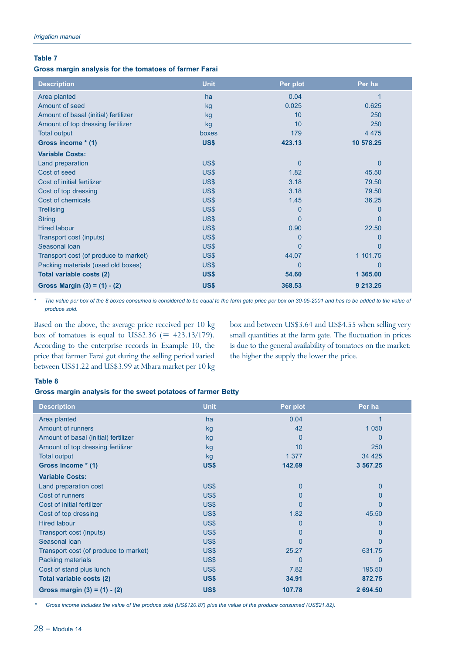#### **Table 7**

#### **Gross margin analysis for the tomatoes of farmer Farai**

| <b>Description</b>                    | <b>Unit</b> | Per plot    | Per ha       |
|---------------------------------------|-------------|-------------|--------------|
| Area planted                          | ha          | 0.04        |              |
| Amount of seed                        | kg          | 0.025       | 0.625        |
| Amount of basal (initial) fertilizer  | kg          | 10          | 250          |
| Amount of top dressing fertilizer     | kg          | 10          | 250          |
| <b>Total output</b>                   | boxes       | 179         | 4 4 7 5      |
| Gross income * (1)                    | US\$        | 423.13      | 10 578.25    |
| <b>Variable Costs:</b>                |             |             |              |
| Land preparation                      | US\$        | $\mathbf 0$ | $\mathbf{0}$ |
| Cost of seed                          | US\$        | 1.82        | 45.50        |
| Cost of initial fertilizer            | US\$        | 3.18        | 79.50        |
| Cost of top dressing                  | US\$        | 3.18        | 79.50        |
| Cost of chemicals                     | US\$        | 1.45        | 36.25        |
| <b>Trellising</b>                     | US\$        | $\Omega$    | 0            |
| <b>String</b>                         | US\$        | $\Omega$    | $\mathbf{0}$ |
| <b>Hired labour</b>                   | US\$        | 0.90        | 22.50        |
| Transport cost (inputs)               | US\$        | 0           | 0            |
| Seasonal Ioan                         | US\$        | $\Omega$    | $\Omega$     |
| Transport cost (of produce to market) | US\$        | 44.07       | 1 101.75     |
| Packing materials (used old boxes)    | US\$        | $\Omega$    | $\Omega$     |
| Total variable costs (2)              | US\$        | 54.60       | 1 365,00     |
| Gross Margin $(3) = (1) - (2)$        | US\$        | 368.53      | 9 213.25     |

*\* The value per box of the 8 boxes consumed is considered to be equal to the farm gate price per box on 30-05-2001 and has to be added to the value of produce sold.*

Based on the above, the average price received per 10 kg box of tomatoes is equal to US\$2.36 (=  $423.13/179$ ). According to the enterprise records in Example 10, the price that farmer Farai got during the selling period varied between US\$1.22 and US\$3.99 at Mbara market per 10 kg box and between US\$3.64 and US\$4.55 when selling very small quantities at the farm gate. The fluctuation in prices is due to the general availability of tomatoes on the market: the higher the supply the lower the price.

#### **Table 8**

#### **Gross margin analysis for the sweet potatoes of farmer Betty**

| <b>Description</b>                    | <b>Unit</b> | Per plot       | Per ha   |
|---------------------------------------|-------------|----------------|----------|
| Area planted                          | ha          | 0.04           |          |
| <b>Amount of runners</b>              | kg          | 42             | 1 0 5 0  |
| Amount of basal (initial) fertilizer  | kg          | 0              | 0        |
| Amount of top dressing fertilizer     | kg          | 10             | 250      |
| <b>Total output</b>                   | kg          | 1 3 7 7        | 34 4 25  |
| Gross income * (1)                    | US\$        | 142.69         | 3 567.25 |
| <b>Variable Costs:</b>                |             |                |          |
| Land preparation cost                 | US\$        | $\mathbf 0$    | 0        |
| Cost of runners                       | US\$        | $\overline{0}$ | 0        |
| Cost of initial fertilizer            | US\$        | $\overline{0}$ | 0        |
| Cost of top dressing                  | US\$        | 1.82           | 45.50    |
| <b>Hired labour</b>                   | US\$        | $\overline{0}$ | 0        |
| Transport cost (inputs)               | US\$        | 0              | 0        |
| Seasonal Ioan                         | US\$        | $\Omega$       | 0        |
| Transport cost (of produce to market) | US\$        | 25.27          | 631.75   |
| Packing materials                     | US\$        | $\Omega$       | 0        |
| Cost of stand plus lunch              | US\$        | 7.82           | 195.50   |
| Total variable costs (2)              | US\$        | 34.91          | 872.75   |
| Gross margin $(3) = (1) - (2)$        | US\$        | 107.78         | 2 694.50 |

*\* Gross income includes the value of the produce sold (US\$120.87) plus the value of the produce consumed (US\$21.82).*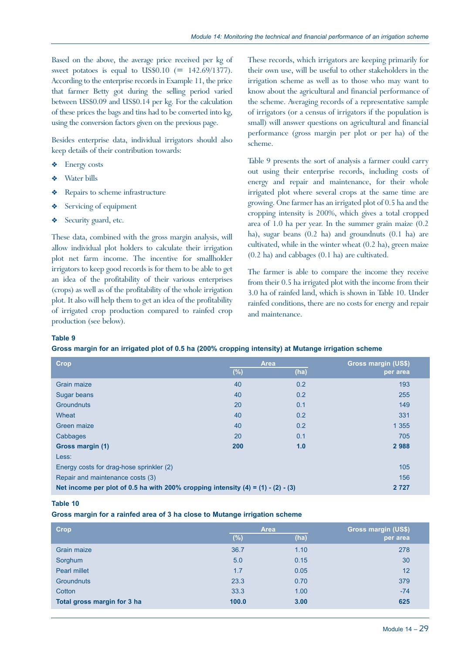Based on the above, the average price received per kg of sweet potatoes is equal to US\$0.10  $(= 142.69/1377)$ . According to the enterprise records in Example 11, the price that farmer Betty got during the selling period varied between US\$0.09 and US\$0.14 per kg. For the calculation of these prices the bags and tins had to be converted into kg, using the conversion factors given on the previous page.

Besides enterprise data, individual irrigators should also keep details of their contribution towards:

- Energy costs
- Water bills
- Repairs to scheme infrastructure
- Servicing of equipment
- Security guard, etc.

These data, combined with the gross margin analysis, will allow individual plot holders to calculate their irrigation plot net farm income. The incentive for smallholder irrigators to keep good records is for them to be able to get an idea of the profitability of their various enterprises (crops) as well as of the profitability of the whole irrigation plot. It also will help them to get an idea of the profitability of irrigated crop production compared to rainfed crop production (see below).

These records, which irrigators are keeping primarily for their own use, will be useful to other stakeholders in the irrigation scheme as well as to those who may want to know about the agricultural and financial performance of the scheme. Averaging records of a representative sample of irrigators (or a census of irrigators if the population is small) will answer questions on agricultural and financial performance (gross margin per plot or per ha) of the scheme.

Table 9 presents the sort of analysis a farmer could carry out using their enterprise records, including costs of energy and repair and maintenance, for their whole irrigated plot where several crops at the same time are growing. One farmer has an irrigated plot of 0.5 ha and the cropping intensity is 200%, which gives a total cropped area of 1.0 ha per year. In the summer grain maize (0.2 ha), sugar beans (0.2 ha) and groundnuts (0.1 ha) are cultivated, while in the winter wheat (0.2 ha), green maize (0.2 ha) and cabbages (0.1 ha) are cultivated.

The farmer is able to compare the income they receive from their 0.5 ha irrigated plot with the income from their 3.0 ha of rainfed land, which is shown in Table 10. Under rainfed conditions, there are no costs for energy and repair and maintenance.

#### **Table 9**

|  |  |  |  | Gross margin for an irrigated plot of 0.5 ha (200% cropping intensity) at Mutange irrigation scheme |
|--|--|--|--|-----------------------------------------------------------------------------------------------------|
|  |  |  |  |                                                                                                     |

| <b>Crop</b>                                                                        |        | <b>Area</b> | <b>Gross margin (US\$)</b> |
|------------------------------------------------------------------------------------|--------|-------------|----------------------------|
|                                                                                    | $(\%)$ | (ha)        | per area                   |
| <b>Grain maize</b>                                                                 | 40     | 0.2         | 193                        |
| Sugar beans                                                                        | 40     | 0.2         | 255                        |
| <b>Groundnuts</b>                                                                  | 20     | 0.1         | 149                        |
| Wheat                                                                              | 40     | 0.2         | 331                        |
| Green maize                                                                        | 40     | 0.2         | 1 3 5 5                    |
| Cabbages                                                                           | 20     | 0.1         | 705                        |
| Gross margin (1)                                                                   | 200    | 1.0         | 2988                       |
| Less:                                                                              |        |             |                            |
| Energy costs for drag-hose sprinkler (2)                                           |        |             | 105                        |
| Repair and maintenance costs (3)                                                   |        |             | 156                        |
| Net income per plot of 0.5 ha with 200% cropping intensity $(4) = (1) - (2) - (3)$ |        |             | 2 7 2 7                    |

#### **Table 10**

#### **Gross margin for a rainfed area of 3 ha close to Mutange irrigation scheme**

| <b>Crop</b>                 |        | <b>Area</b> | Gross margin (US\$) |
|-----------------------------|--------|-------------|---------------------|
|                             | $(\%)$ | (ha)        | per area            |
| <b>Grain maize</b>          | 36.7   | 1.10        | 278                 |
| Sorghum                     | 5.0    | 0.15        | 30                  |
| <b>Pearl millet</b>         | 1.7    | 0.05        | 12                  |
| <b>Groundnuts</b>           | 23.3   | 0.70        | 379                 |
| Cotton                      | 33.3   | 1.00        | $-74$               |
| Total gross margin for 3 ha | 100.0  | 3.00        | 625                 |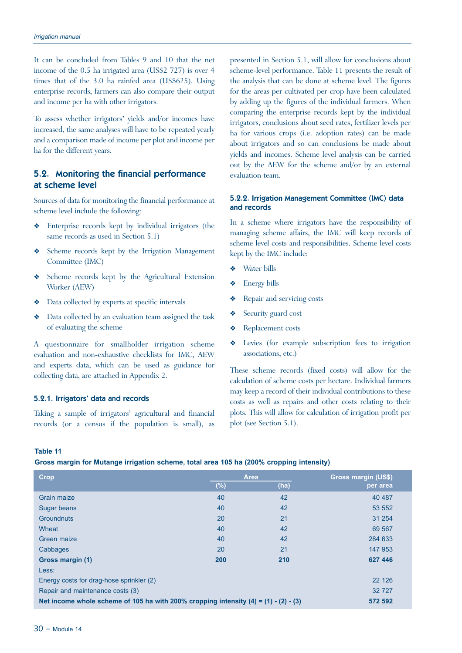It can be concluded from Tables 9 and 10 that the net income of the 0.5 ha irrigated area (US\$2 727) is over 4 times that of the 3.0 ha rainfed area (US\$625). Using enterprise records, farmers can also compare their output and income per ha with other irrigators.

To assess whether irrigators' yields and/or incomes have increased, the same analyses will have to be repeated yearly and a comparison made of income per plot and income per ha for the different years.

# 5.2. Monitoring the financial performance at scheme level

Sources of data for monitoring the financial performance at scheme level include the following:

- Y Enterprise records kept by individual irrigators (the same records as used in Section 5.1)
- Y Scheme records kept by the Irrigation Management Committee (IMC)
- Y Scheme records kept by the Agricultural Extension Worker (AEW)
- $\triangleleft$  Data collected by experts at specific intervals
- Y Data collected by an evaluation team assigned the task of evaluating the scheme

A questionnaire for smallholder irrigation scheme evaluation and non-exhaustive checklists for IMC, AEW and experts data, which can be used as guidance for collecting data, are attached in Appendix 2.

#### 5.2.1. Irrigators' data and records

Taking a sample of irrigators' agricultural and financial records (or a census if the population is small), as

presented in Section 5.1, will allow for conclusions about scheme-level performance. Table 11 presents the result of the analysis that can be done at scheme level. The figures for the areas per cultivated per crop have been calculated by adding up the figures of the individual farmers. When comparing the enterprise records kept by the individual irrigators, conclusions about seed rates, fertilizer levels per ha for various crops (i.e. adoption rates) can be made about irrigators and so can conclusions be made about yields and incomes. Scheme level analysis can be carried out by the AEW for the scheme and/or by an external evaluation team.

#### 5.2.2. Irrigation Management Committee (IMC) data and records

In a scheme where irrigators have the responsibility of managing scheme affairs, the IMC will keep records of scheme level costs and responsibilities. Scheme level costs kept by the IMC include:

- Water bills
- Y Energy bills
- **\*** Repair and servicing costs
- Security guard cost
- Replacement costs
- Y Levies (for example subscription fees to irrigation associations, etc.)

These scheme records (fixed costs) will allow for the calculation of scheme costs per hectare. Individual farmers may keep a record of their individual contributions to these costs as well as repairs and other costs relating to their plots. This will allow for calculation of irrigation profit per plot (see Section 5.1).

#### **Table 11**

**Gross margin for Mutange irrigation scheme, total area 105 ha (200% cropping intensity)** 

| <b>Crop</b>                                                                            |         | <b>Area</b> | <b>Gross margin (US\$)</b> |
|----------------------------------------------------------------------------------------|---------|-------------|----------------------------|
|                                                                                        | $(\% )$ | (ha)        | per area                   |
| Grain maize                                                                            | 40      | 42          | 40 487                     |
| Sugar beans                                                                            | 40      | 42          | 53 552                     |
| <b>Groundnuts</b>                                                                      | 20      | 21          | 31 254                     |
| Wheat                                                                                  | 40      | 42          | 69 567                     |
| Green maize                                                                            | 40      | 42          | 284 633                    |
| Cabbages                                                                               | 20      | 21          | 147 953                    |
| Gross margin (1)                                                                       | 200     | 210         | 627 446                    |
| Less:                                                                                  |         |             |                            |
| Energy costs for drag-hose sprinkler (2)                                               |         |             | 22 1 26                    |
| Repair and maintenance costs (3)                                                       |         |             | 32 727                     |
| Net income whole scheme of 105 ha with 200% cropping intensity $(4) = (1) - (2) - (3)$ |         |             | 572 592                    |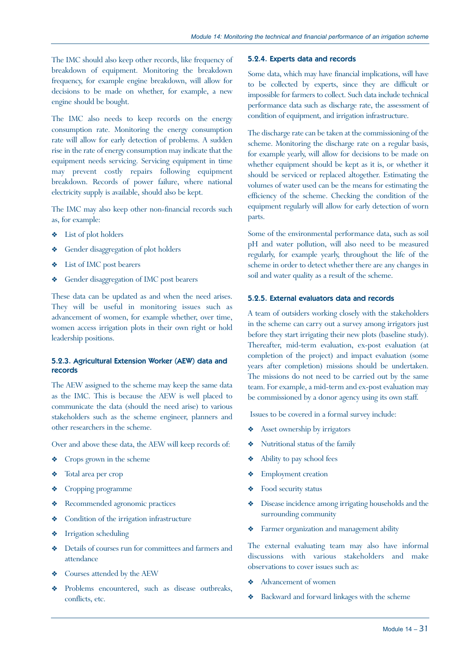The IMC should also keep other records, like frequency of breakdown of equipment. Monitoring the breakdown frequency, for example engine breakdown, will allow for decisions to be made on whether, for example, a new engine should be bought.

The IMC also needs to keep records on the energy consumption rate. Monitoring the energy consumption rate will allow for early detection of problems. A sudden rise in the rate of energy consumption may indicate that the equipment needs servicing. Servicing equipment in time may prevent costly repairs following equipment breakdown. Records of power failure, where national electricity supply is available, should also be kept.

The IMC may also keep other non-financial records such as, for example:

- $\triangleleft$  List of plot holders
- Gender disaggregation of plot holders
- $\bullet$  List of IMC post bearers
- Gender disaggregation of IMC post bearers

These data can be updated as and when the need arises. They will be useful in monitoring issues such as advancement of women, for example whether, over time, women access irrigation plots in their own right or hold leadership positions.

#### 5.2.3. Agricultural Extension Worker (AEW) data and records

The AEW assigned to the scheme may keep the same data as the IMC. This is because the AEW is well placed to communicate the data (should the need arise) to various stakeholders such as the scheme engineer, planners and other researchers in the scheme.

Over and above these data, the AEW will keep records of:

- Crops grown in the scheme
- ◆ Total area per crop
- Y Cropping programme
- Y Recommended agronomic practices
- Y Condition of the irrigation infrastructure
- **\*** Irrigation scheduling
- Details of courses run for committees and farmers and attendance
- Courses attended by the AEW
- Problems encountered, such as disease outbreaks, conflicts, etc.

#### 5.2.4. Experts data and records

Some data, which may have financial implications, will have to be collected by experts, since they are difficult or impossible for farmers to collect. Such data include technical performance data such as discharge rate, the assessment of condition of equipment, and irrigation infrastructure.

The discharge rate can be taken at the commissioning of the scheme. Monitoring the discharge rate on a regular basis, for example yearly, will allow for decisions to be made on whether equipment should be kept as it is, or whether it should be serviced or replaced altogether. Estimating the volumes of water used can be the means for estimating the efficiency of the scheme. Checking the condition of the equipment regularly will allow for early detection of worn parts.

Some of the environmental performance data, such as soil pH and water pollution, will also need to be measured regularly, for example yearly, throughout the life of the scheme in order to detect whether there are any changes in soil and water quality as a result of the scheme.

#### 5.2.5. External evaluators data and records

A team of outsiders working closely with the stakeholders in the scheme can carry out a survey among irrigators just before they start irrigating their new plots (baseline study). Thereafter, mid-term evaluation, ex-post evaluation (at completion of the project) and impact evaluation (some years after completion) missions should be undertaken. The missions do not need to be carried out by the same team. For example, a mid-term and ex-post evaluation may be commissioned by a donor agency using its own staff.

Issues to be covered in a formal survey include:

- $\triangleleft$  Asset ownership by irrigators
- ◆ Nutritional status of the family
- $\triangleleft$  Ability to pay school fees
- ◆ Employment creation
- Food security status
- $\bullet$  Disease incidence among irrigating households and the surrounding community
- Y Farmer organization and management ability

The external evaluating team may also have informal discussions with various stakeholders and make observations to cover issues such as:

- Advancement of women
- Y Backward and forward linkages with the scheme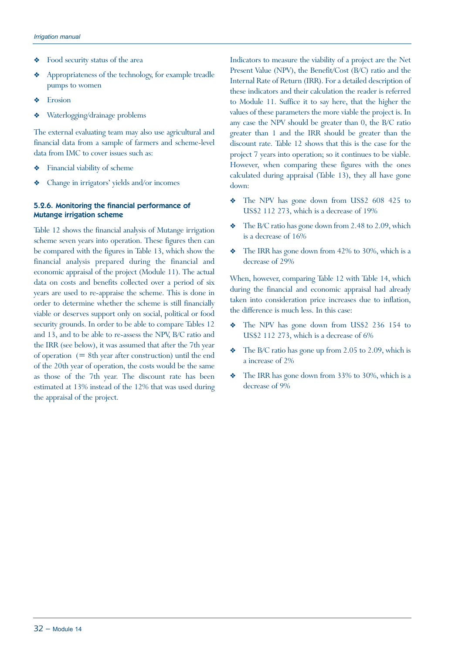- Food security status of the area
- Y Appropriateness of the technology, for example treadle pumps to women
- $\triangleleft$  Erosion
- Waterlogging/drainage problems

The external evaluating team may also use agricultural and financial data from a sample of farmers and scheme-level data from IMC to cover issues such as:

- $\triangleleft$  Financial viability of scheme
- Y Change in irrigators' yields and/or incomes

#### 5.2.6. Monitoring the financial performance of Mutange irrigation scheme

Table 12 shows the financial analysis of Mutange irrigation scheme seven years into operation. These figures then can be compared with the figures in Table 13, which show the financial analysis prepared during the financial and economic appraisal of the project (Module 11). The actual data on costs and benefits collected over a period of six years are used to re-appraise the scheme. This is done in order to determine whether the scheme is still financially viable or deserves support only on social, political or food security grounds. In order to be able to compare Tables 12 and 13, and to be able to re-assess the NPV, B/C ratio and the IRR (see below), it was assumed that after the 7th year of operation  $(= 8th$  year after construction) until the end of the 20th year of operation, the costs would be the same as those of the 7th year. The discount rate has been estimated at 13% instead of the 12% that was used during the appraisal of the project.

Indicators to measure the viability of a project are the Net Present Value (NPV), the Benefit/Cost (B/C) ratio and the Internal Rate of Return (IRR). For a detailed description of these indicators and their calculation the reader is referred to Module 11. Suffice it to say here, that the higher the values of these parameters the more viable the project is. In any case the NPV should be greater than 0, the B/C ratio greater than 1 and the IRR should be greater than the discount rate. Table 12 shows that this is the case for the project 7 years into operation; so it continues to be viable. However, when comparing these figures with the ones calculated during appraisal (Table 13), they all have gone down:

- Y The NPV has gone down from US\$2 608 425 to US\$2 112 273, which is a decrease of 19%
- The B/C ratio has gone down from 2.48 to 2.09, which is a decrease of 16%
- $\bullet$  The IRR has gone down from 42% to 30%, which is a decrease of 29%

When, however, comparing Table 12 with Table 14, which during the financial and economic appraisal had already taken into consideration price increases due to inflation, the difference is much less. In this case:

- The NPV has gone down from US\$2 236 154 to US\$2 112 273, which is a decrease of 6%
- The B/C ratio has gone up from 2.05 to 2.09, which is a increase of 2%
- $\bullet$  The IRR has gone down from 33% to 30%, which is a decrease of 9%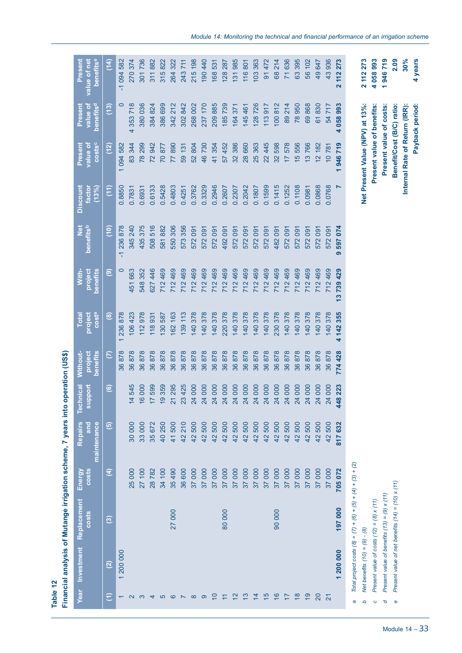| Table 12                 |                                 |                                                               |                        | Financial analysis of Mutange irrigation scheme, 7 years into o |                                      | peration (US\$)                 |                                         |                              |                                |                                           |                                      |                                              |                                       |
|--------------------------|---------------------------------|---------------------------------------------------------------|------------------------|-----------------------------------------------------------------|--------------------------------------|---------------------------------|-----------------------------------------|------------------------------|--------------------------------|-------------------------------------------|--------------------------------------|----------------------------------------------|---------------------------------------|
|                          | Year Investment                 | Replacement<br><b>COSts</b>                                   | Energy<br><b>costs</b> | <b>Repairs</b><br>maintenance<br>and                            | <b>Port</b><br>nical<br>sup<br>Techr | Without-<br>project<br>benefits | <b>COSta</b><br>project<br><b>Total</b> | With-<br>project<br>benefits | <b>Net</b><br><b>benefitsb</b> | <b>Discount</b><br><b>Factor</b><br>(13%) | <b>COStSC</b><br>Present<br>value ot | benefits <sup>d</sup><br>Present<br>value of | benefitse<br>Present<br>value of net  |
| Ξ                        | $\widetilde{\mathcal{L}}$       | $\widehat{\mathbf{e}}$                                        | $\mathbf{f}$           | $\widehat{\mathbf{e}}$                                          | $\widehat{\mathbf{e}}$               | $\in$                           | $\circledast$                           | $\widehat{\mathbf{e}}$       | $\frac{1}{2}$                  | (11)                                      | (12)                                 | (13)                                         | $\frac{4}{14}$                        |
| $\overline{}$            | 200 000<br>$\overline{}$        |                                                               |                        |                                                                 |                                      | 878<br>86                       | 878<br>236<br>$\overline{}$             | $\circ$                      | 236878<br>Π                    | 0.8850                                    | 094 582<br>$\overline{}$             | $\circ$                                      | 094 582<br>Π                          |
| $\mathbf{\Omega}$        |                                 |                                                               | 25 000                 | 30 000                                                          | 545<br>$\overline{4}$                | 878<br>86                       | 423<br>106                              | 663<br>451                   | 240<br>345                     | 0.7831                                    | 344<br>83                            | 718<br>353<br>4                              | 374<br>270                            |
| က                        |                                 |                                                               | 100<br>27              | 33 000                                                          | 000<br>$\frac{6}{5}$                 | 878<br>86                       | 978<br>112                              | 352<br>548                   | 375<br>435                     | 0.6931                                    | 299<br>$\overline{78}$               | 036<br>380                                   | 736<br>301                            |
| 4                        |                                 |                                                               | 28782                  | 672<br>35 <sub>1</sub>                                          | 599<br>$\overline{17}$               | 878<br>36                       | 931<br>118                              | 446<br>627                   | 516<br>508                     | 0.6133                                    | 942<br>72                            | 824<br>384                                   | 882<br>311                            |
| $\sigma$                 |                                 |                                                               | 100<br>$\frac{3}{4}$   | 250<br>$\overline{40}$                                          | 359<br>$\overline{6}$                | 878<br>86                       | 587<br>130                              | 469<br>712                   | 882<br>581                     | 0.5428                                    | 877<br>$\overline{0}$                | 699<br>386                                   | 822<br>315                            |
| $\circ$                  |                                 | 27 000                                                        | 35 490                 | 500<br>$\overline{4}$                                           | 295<br>$\overline{21}$               | 878<br>36                       | 163<br>162                              | 469<br>712                   | 306<br>550                     | 0.4803                                    | 890<br>77                            | 212<br>342                                   | 322<br>264                            |
| $\overline{\phantom{0}}$ |                                 |                                                               | 36 600                 | 210<br>42                                                       | 425<br>23                            | 878<br>86                       | 113<br>139                              | 469<br>712                   | 356<br>573                     | 0.4251                                    | 131<br>59                            | 842<br>302                                   | 711<br>243                            |
| $\infty$                 |                                 |                                                               | 37 000                 | 500<br>42                                                       | 000<br>24                            | 878<br>36                       | 378<br>140                              | 469<br>712                   | 091<br>572                     | 0.3762                                    | 52804                                | 002<br>268                                   | 198<br>215                            |
| ၜ                        |                                 |                                                               | 000<br>$\overline{37}$ | 42 500                                                          | 000<br>24                            | 878<br>36                       | 378<br>140                              | 469<br>712                   | 091<br>572                     | 0.3329                                    | 46730                                | 170<br>237                                   | 190440                                |
| $\overline{C}$           |                                 |                                                               | 000<br>57              | 500<br>42 <sub>1</sub>                                          | 000<br>24                            | 878<br>36                       | 378<br>140                              | 469<br>712                   | 091<br>572                     | 0.2946                                    | 354<br>$\overline{4}$                | 885<br>209                                   | 168531                                |
| $\overline{z}$           |                                 | 80000                                                         | 000<br>$\overline{37}$ | 500<br>42                                                       | 000<br>$\overline{24}$               | 878<br>36                       | 378<br>220                              | 469<br>712                   | $\overline{0}9$<br>492         | 0.2607                                    | 452<br>57                            | 739<br>185                                   | 287<br>$1282$                         |
| $\frac{2}{3}$            |                                 |                                                               | 000<br>$\overline{37}$ | 500<br>42                                                       | 000<br>$\overline{24}$               | 878<br>36                       | 378<br>140                              | 469<br>712                   | 091<br>572                     | 0.2307                                    | 386<br>32                            | 371<br>164                                   | 985<br>131                            |
| $\frac{3}{2}$            |                                 |                                                               | 000<br>57              | 500<br>42                                                       | 000<br>$^{24}$                       | 878<br>36                       | 378<br>140                              | 469<br>712                   | $\overline{50}$<br>572         | 0.2042                                    | 28 660                               | 461<br>145                                   | 116801                                |
| $\overline{4}$           |                                 |                                                               | 000<br>57              | 500<br>42                                                       | 000<br>24                            | 878<br>86                       | 378<br>140                              | 469<br>712                   | $\overline{0}$<br>572          | 0.1807                                    | 363<br>25                            | 726<br>128                                   | 363<br>103                            |
| $\frac{6}{1}$            |                                 |                                                               | 000<br>57              | 500<br>42                                                       | 000<br>24                            | 878<br>36                       | 378<br>140                              | 469<br>712                   | 091<br>572                     | 0.1599                                    | 22445                                | 917<br>113                                   | 472<br>$\overline{6}$                 |
| $\frac{6}{5}$            |                                 | 90000                                                         | 000<br>57              | 500<br>42                                                       | 000<br>24                            | 878<br>86                       | 378<br>230                              | 469<br>712                   | $\overline{0}91$<br>482        | 0.1415                                    | 598<br>32                            | 812<br>100                                   | 214<br>68                             |
| $\overline{1}$           |                                 |                                                               | 000<br>37              | 500<br>42                                                       | 000<br>24                            | 878<br>36                       | 378<br>140                              | 469<br>712                   | $\overline{0}91$<br>572        | 0.1252                                    | 578<br>$\overline{1}$                | 214<br>89                                    | 636<br>$\overline{7}$                 |
| $\frac{8}{18}$           |                                 |                                                               | 000<br>$\overline{37}$ | 500<br>42                                                       | 000<br>24                            | 878<br>86                       | 378<br>140                              | 469<br>712                   | 091<br>572                     | 0.1108                                    | 556<br>$\frac{5}{2}$                 | 950<br>$\overline{78}$                       | 395<br>63                             |
| $\overline{9}$           |                                 |                                                               | 000<br>$\overline{37}$ | 500<br>42                                                       | 000<br>24                            | 878<br>86                       | 378<br>140                              | 469<br>712                   | $\overline{0}91$<br>572        | 0.0981                                    | 766<br>$\infty$                      | 868<br>89                                    | 102<br>56                             |
| 20                       |                                 |                                                               | 37 000                 | 500<br>42                                                       | 000<br>24                            | 878<br>36                       | 378<br>140                              | 469<br>712                   | $\overline{0}$<br>572          | 0.0868                                    | 12 182                               | 830<br>67                                    | 49 647                                |
| $\overline{2}$           |                                 |                                                               | 37 000                 | 42 500                                                          | 000<br>24                            | 878<br>36                       | 378<br>140                              | 469<br>712                   | 091<br>572                     | 0.0768                                    | 10781                                | 717<br>54                                    | 936<br>43                             |
|                          | 1 200 000                       | 197000                                                        | 705 072                | 817632                                                          | 223<br>448                           | 428<br>774                      | 355<br>142<br>4                         | 739 429<br>5                 | 074<br>597<br>൭                | N                                         | 946719<br>٣                          | 993<br>058<br>4                              | 273<br>112<br>$\overline{\mathbf{r}}$ |
| a                        |                                 | Total project costs $(8) = (7) + (6) + (5) + (4) + (3) + (2)$ |                        |                                                                 |                                      |                                 |                                         |                              |                                |                                           |                                      |                                              |                                       |
| q                        | Net benefits $(10) = (9) - (8)$ |                                                               |                        |                                                                 |                                      |                                 |                                         |                              |                                |                                           | Net Present Value (NPV) at 13%:      |                                              | 112 273<br>$\overline{\mathbf{c}}$    |
| $\circ$                  |                                 | Present value of costs $(12) = (8) \times (11)$               |                        |                                                                 |                                      |                                 |                                         |                              |                                |                                           | Present value of benefits:           |                                              | 4 058 993                             |
| p                        |                                 | Present value of benefits $(13) = (9) \times (11)$            |                        |                                                                 |                                      |                                 |                                         |                              |                                |                                           | Present value of costs:              |                                              | 946719<br>۳                           |
| Φ                        |                                 | Present value of net benefits $(14) = (10) \times (11)$       |                        |                                                                 |                                      |                                 |                                         |                              |                                |                                           | Benefit/Cost (B/C) ratio:            |                                              | 2.09                                  |
|                          |                                 |                                                               |                        |                                                                 |                                      |                                 |                                         |                              |                                |                                           | Internal Rate of Return (IRR):       |                                              | 30%                                   |
|                          |                                 |                                                               |                        |                                                                 |                                      |                                 |                                         |                              |                                |                                           |                                      | Payback period:                              | 4 years                               |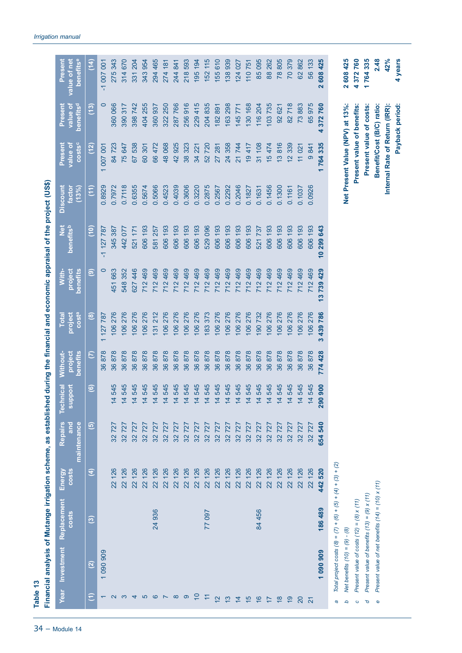|                   |                                 | Financial analysis of Mutange irrigation scheme, as established during the financial and economic appraisal of the project (US\$ |                        |                               |                                                   |                                 |                              |                              |                             |                                    |                                 |                                              |                                      |  |
|-------------------|---------------------------------|----------------------------------------------------------------------------------------------------------------------------------|------------------------|-------------------------------|---------------------------------------------------|---------------------------------|------------------------------|------------------------------|-----------------------------|------------------------------------|---------------------------------|----------------------------------------------|--------------------------------------|--|
|                   | Year Investment                 | Replacement<br><b>costs</b>                                                                                                      | <b>COSts</b><br>Energy | Repairs<br>and<br>maintenance | Inical<br>pport<br><b>Tech</b><br>$\overline{5}$  | project<br>benefits<br>Without- | Costa<br>project<br>Total    | project<br>benefits<br>With- | <b>bi</b><br>Z<br>benefitsb | factor<br><b>Discount</b><br>(13%) | costsc<br>value of<br>Present   | benefits <sup>d</sup><br>value of<br>Present | benefitse<br>value of net<br>Present |  |
| €                 | $\overline{2}$                  | $\odot$                                                                                                                          | E                      | $\widehat{\mathbf{e}}$        | $\circledcirc$                                    | $\mathcal{E}$                   | $\circledast$                | $\circledcirc$               | (10)                        | (11)                               | (12)                            | (13)                                         | (14)                                 |  |
|                   | 1 090 909                       |                                                                                                                                  |                        |                               |                                                   | 878<br>86                       | 787<br>127<br>$\overline{ }$ | $\circ$                      | 787<br>127<br>π             | 0.8929                             | 001<br>007<br>$\overline{}$     | $\circ$                                      | 007001<br>π                          |  |
| $\mathbf{\Omega}$ |                                 |                                                                                                                                  | 126<br>$\overline{2}$  | 727<br>32                     | 545<br>$\overline{4}$                             | 878<br>36                       | 276<br>106                   | 663<br>451                   | 387<br>345                  | 0.7972                             | 723<br>84                       | 066<br>360                                   | 343<br>275                           |  |
| က                 |                                 |                                                                                                                                  | 126<br>$\overline{2}$  | 727<br>32                     | 545<br>$\overline{4}$<br>$\overline{\phantom{0}}$ | 878<br>36                       | 276<br>106                   | 352<br>548                   | 077<br>442                  | 0.7118                             | 75 647                          | 317<br>390                                   | 314670                               |  |
| ↴                 |                                 |                                                                                                                                  | 126<br>22              | 727<br>32                     | 545<br>$\frac{1}{4}$                              | 878<br>36                       | 276<br>106                   | 446<br>627                   | 171<br>521                  | 0.6355                             | 538<br>67                       | 742<br>398                                   | <b>204</b><br>331                    |  |
| 5                 |                                 |                                                                                                                                  | 126<br>$\overline{2}$  | 727<br>32                     | 545<br>$\frac{4}{4}$                              | 878<br>86                       | 276<br>106                   | 469<br>712                   | 193<br>606                  | 0.5674                             | 301<br>60                       | 255<br>404                                   | 954<br>343                           |  |
| ဖ                 |                                 | 24 936                                                                                                                           | 126<br>22              | 727<br>32                     | 545<br>$\frac{4}{3}$                              | 878<br>86                       | 212<br>131                   | 469<br>712                   | 257<br>581                  | 0.5066                             | 66472                           | 937<br>360                                   | 294 465                              |  |
| $\sim$            |                                 |                                                                                                                                  | 126<br>22              | 727<br>32                     | 545<br>$\frac{4}{4}$                              | 878<br>36                       | 276<br>106                   | 469<br>712                   | 193<br>606                  | 0.4523                             | 48068                           | 250<br>322                                   | 181<br>274                           |  |
| $\infty$          |                                 |                                                                                                                                  | 126<br>22              | 727<br>32                     | 545<br>$\frac{4}{3}$                              | 878<br>86                       | 276<br>106                   | 469<br>712                   | 193<br>606                  | 0.4039                             | 42925                           | 766<br>287                                   | 841<br>244                           |  |
| ၜ                 |                                 |                                                                                                                                  | 126<br>22              | 727<br>32                     | 545<br>$\frac{4}{3}$                              | 878<br>36                       | 276<br>106                   | 469<br>712                   | 193<br>606                  | 0.3606                             | 323<br>$\frac{8}{3}$            | 916<br>256                                   | 593<br>218                           |  |
| $\overline{C}$    |                                 |                                                                                                                                  | 126<br>22              | 727<br>32                     | 545<br>$\overline{4}$                             | 878<br>36                       | 276<br>106                   | 469<br>712                   | 193<br>606                  | 0.3220                             | 34 221                          | 415<br>229                                   | 194<br>195                           |  |
| Ξ                 |                                 | 77 097                                                                                                                           | 126<br>22              | 727<br>32                     | 545<br>$\overline{4}$                             | 878<br>36                       | 373<br>183                   | 469<br>712                   | 096<br>529                  | 0.2875                             | 720<br>52                       | 835<br>204                                   | 115<br>152                           |  |
| $\overline{2}$    |                                 |                                                                                                                                  | 126<br>22              | 727<br>32                     | 545<br>$\overline{4}$                             | 878<br>86                       | 276<br>106                   | 469<br>712                   | 193<br>606                  | 0.2567                             | 281<br>27                       | 891<br>182                                   | 155610                               |  |
| $\frac{3}{2}$     |                                 |                                                                                                                                  | 126<br>22              | 727<br>32                     | 14545                                             | 878<br>86                       | 276<br>106                   | 469<br>712                   | 193<br>606                  | 0.2292                             | 24 358                          | 298<br>163                                   | 138939                               |  |
| $\overline{4}$    |                                 |                                                                                                                                  | 126<br>22              | 727<br>32                     | 14545                                             | 878<br>36                       | 276<br>106                   | 469<br>712                   | 193<br>606                  | 0.2046                             | 21744                           | 771<br>145                                   | 124 027                              |  |
| $\frac{5}{3}$     |                                 |                                                                                                                                  | 126<br>$\overline{2}$  | 727<br>32                     | 545<br>$\frac{4}{3}$                              | 878<br>36                       | 276<br>106                   | 469<br>712                   | 193<br>606                  | 0.1827                             | 19417                           | 168<br>130                                   | 110751                               |  |
| $\frac{6}{5}$     |                                 | 84 456                                                                                                                           | 126<br>$\overline{2}$  | 727<br>32                     | 545<br>$\frac{14}{5}$                             | 878<br>36                       | 732<br>190                   | 469<br>712                   | 737<br>521                  | 0.1631                             | 31108                           | <b>204</b><br>116                            | 85095                                |  |
| $\overline{1}$    |                                 |                                                                                                                                  | 126<br>22              | 727<br>32                     | 545<br>$\overline{4}$                             | 878<br>36                       | 276<br>106                   | 469<br>712                   | 193<br>606                  | 0.1456                             | 15474                           | 735<br>103                                   | 88 262                               |  |
| $\frac{8}{10}$    |                                 |                                                                                                                                  | 126<br>22              | 727<br>32                     | 545<br>$\overline{4}$                             | 878<br>36                       | 276<br>106                   | 469<br>712                   | 193<br>606                  | 0.1300                             | 13816                           | 621<br>92                                    | 78805                                |  |
| $\overline{6}$    |                                 |                                                                                                                                  | 126<br>22              | 32727                         | 545<br>$\frac{4}{3}$                              | 878<br>86                       | 276<br>106                   | 469<br>712                   | 193<br>606                  | 0.1161                             | 339<br>$\overline{a}$           | 718<br>$\approx$                             | 70379                                |  |
| $\overline{c}$    |                                 |                                                                                                                                  | 126<br>22              | 32727                         | 545<br>$\frac{4}{3}$                              | 878<br>86                       | 276<br>106                   | 469<br>712                   | 193<br>606                  | 0.1037                             | 11021                           | 883<br>$\overline{73}$                       | 62862                                |  |
| $\overline{2}$    |                                 |                                                                                                                                  | 126<br>22              | 32727                         | 545<br>$\frac{4}{3}$                              | 878<br>36                       | 276<br>106                   | 469<br>712                   | 193<br>606                  | 0.0926                             | 9841                            | 975<br>65                                    | 56 133                               |  |
|                   | 1 090 909                       | 186 489                                                                                                                          | 520<br>442             | 540<br>654                    | 900<br>$\bullet$<br>$\overline{29}$               | 428<br>774                      | 786<br>439<br>S              | 739 429<br>5                 | 643<br>299<br>9             |                                    | 764335                          | 372760<br>4                                  | 608 425<br>$\overline{\mathbf{a}}$   |  |
| a                 |                                 | Total project costs $(8) = (7) + (6) + (5) + (4) + (3) + (2)$                                                                    |                        |                               |                                                   |                                 |                              |                              |                             |                                    |                                 |                                              |                                      |  |
| q                 | Net benefits $(10) = (9) - (8)$ |                                                                                                                                  |                        |                               |                                                   |                                 |                              |                              |                             |                                    | Net Present Value (NPV) at 13%: |                                              | 608425<br>Ñ                          |  |
| $\circ$           |                                 | Present value of costs $(12) = (8) \times (11)$                                                                                  |                        |                               |                                                   |                                 |                              |                              |                             |                                    | Present value of benefits:      |                                              | 372760<br>4                          |  |
| ত                 |                                 | Present value of benefits $(13) = (9) \times (11)$                                                                               |                        |                               |                                                   |                                 |                              |                              |                             |                                    | Present value of costs:         |                                              | 764335<br>۳                          |  |
| Φ                 |                                 | Present value of net benefits $(14) = (10) \times (11)$                                                                          |                        |                               |                                                   |                                 |                              |                              |                             |                                    | Benefit/Cost (B/C) ratio:       |                                              | 2.48                                 |  |
|                   |                                 |                                                                                                                                  |                        |                               |                                                   |                                 |                              |                              |                             |                                    | Internal Rate of Return (IRR):  |                                              | 42%                                  |  |
|                   |                                 |                                                                                                                                  |                        |                               |                                                   |                                 |                              |                              |                             |                                    |                                 | Payback period:                              | 4 years                              |  |

*Irrigation manual*

**Table 13**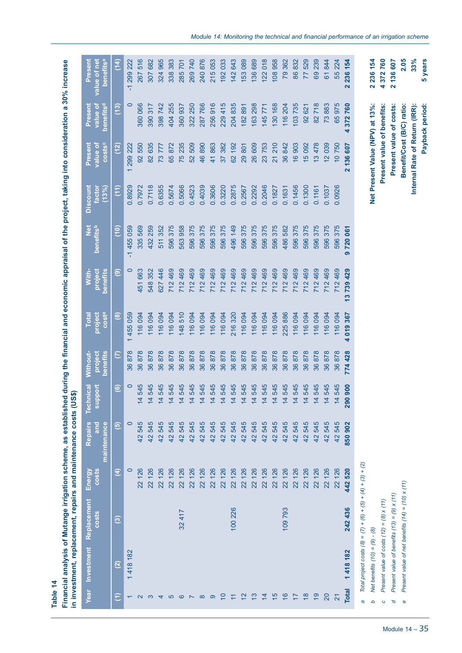Financial analysis of Mutange irrigation scheme, as established during the financial and economic appraisal of the project, taking into consideration a 30% increase<br>in investment, replacement, repairs and maintenance costs **Financial analysis of Mutange irrigation scheme, as established during the financial and economic appraisal of the project, taking into consideration a 30% increase in investment, replacement, repairs and maintenance costs (US\$)**

| benefitse<br>Present<br>value of net                    | $\frac{4}{1}$          | 299 222<br>$\overline{\mathcal{L}}$<br>$\circ$ | 516<br>267               | 682<br>307             | 965<br>324              | 383<br>338           | <b>701</b><br>285     | 269740                | 240 876    | 215053                | 192033               | 142 643              | 153089               | 136 689               | 122018                | 108958                        | 79362                 | 86832                 | 529<br>77             | 239<br>69             | 844<br>61             | 55 224                 | 236 154<br>$\overline{\mathbf{N}}$ |                                                               | 2 236 154                       | 4 372 760                                       | 2 136 607                                          | 2.05                                                    |  |
|---------------------------------------------------------|------------------------|------------------------------------------------|--------------------------|------------------------|-------------------------|----------------------|-----------------------|-----------------------|------------|-----------------------|----------------------|----------------------|----------------------|-----------------------|-----------------------|-------------------------------|-----------------------|-----------------------|-----------------------|-----------------------|-----------------------|------------------------|------------------------------------|---------------------------------------------------------------|---------------------------------|-------------------------------------------------|----------------------------------------------------|---------------------------------------------------------|--|
| benefits <sup>d</sup><br>Present<br>value of            | $\overline{(^{13})}$   |                                                | 360 066                  | 317<br>390             | 742<br>398 <sup>°</sup> | 255<br>404           | 937<br>360            | 250<br>322            | 766<br>287 | 916<br>256            | 415<br>229           | 835<br><b>204</b>    | 182891               | 163 298               | 771<br>145            | 168<br>130                    | 116 204               | 103735                | 621<br>92             | 718<br>$\frac{2}{8}$  | 73883                 | 975<br>65              | 372760<br>4                        |                                                               |                                 |                                                 | Present value of costs:                            |                                                         |  |
| costsc<br>Present<br>value ot                           | (12)                   | 299 222                                        | 550<br>$\overline{8}$    | 635<br>$\frac{8}{2}$   | 777<br>$\overline{73}$  | 65872                | 235<br>75             | 509<br>52             | 46890      | 863<br>$\overline{4}$ | 382<br>37            | 192<br>62            | 29801                | 26 609                | 23753                 | <b>210</b><br>$\overline{21}$ | 36842                 | 16903                 | 15092                 | 478<br>$\frac{3}{2}$  | 12039                 | 10750                  | 136 607<br>$\overline{\mathbf{N}}$ |                                                               | Net Present Value (NPV) at 13%: | Present value of benefits:                      |                                                    | Benefit/Cost (B/C) ratio:                               |  |
| Discount<br>(13%)<br><b>Factor</b>                      | $\left(11\right)$      | 0.8929                                         | 0.7972                   | 0.7118                 | 0.6355                  | 0.5674               | 0.5066                | 0.4523                | 0.4039     | 0.3606                | 0.3220               | 0.2875               | 0.2567               | 0.2292                | 0.2046                | 0.1827                        | 0.1631                | 0.1456                | 0.1300                | 0.1161                | 0.1037                | 0.0926                 |                                    |                                                               |                                 |                                                 |                                                    |                                                         |  |
| benefitsb<br>$\frac{di}{d}$                             | $\frac{6}{2}$          | 455 059<br>$\overline{\mathcal{L}}$            | 335 569                  | 259<br>432             | 352<br>511              | 375<br>596           | 958<br>563            | 375<br>596            | 375<br>596 | 596 375               | 596 375              | 496 149              | 596 375              | 375<br>596            | 375<br>596            | 375<br>596                    | 486 582               | 375<br>596            | 375<br>596            | 375<br>596            | 375<br>596            | 375<br>596             | 720 061<br>൭                       |                                                               |                                 |                                                 |                                                    |                                                         |  |
| benefits<br>project<br>With-                            | $\widehat{\mathbf{e}}$ | $\circ$                                        | 663<br>451               | 352<br>548             | 446<br>627              | 469<br>712           | 469<br>712            | 469<br>712            | 469<br>712 | 469<br>712            | 469<br>712           | 469<br>712           | 469<br>712           | 469<br>712            | 469<br>712            | 469<br>712                    | 469<br>712            | 469<br>712            | 469<br>712            | 469<br>712            | 469<br>712            | 469<br>712             | 429<br>739<br>\$                   |                                                               |                                 |                                                 |                                                    |                                                         |  |
| <b>costa</b><br>project<br><b>Total</b>                 | $\circledast$          | 059<br>455<br>$\overline{ }$                   | 094<br>116               | 094<br>116             | 094<br>116              | 094<br>116           | 510<br>148            | 094<br>116            | 094<br>116 | 094<br>116            | 094<br>116           | 320<br>216           | 094<br>116           | 094<br>116            | 094<br>116            | 094<br>116                    | 886<br>225            | 094<br>116            | 094<br>116            | 094<br>116            | 094<br>116            | 094<br>116             | 367<br>019<br>4                    |                                                               |                                 |                                                 |                                                    |                                                         |  |
| Without-<br>project<br>benefits                         | $\overline{c}$         | 878<br>36                                      | 36878                    | 36878                  | 36878                   | 878<br>86            | 878<br>86             | 36878                 | 878<br>36  | 878<br>36             | 878<br>36            | 36878                | 878<br>36            | 878<br>36             | 36878                 | 878<br>36                     | 878<br>36             | 878<br>36             | 878<br>36             | 878<br>36             | 878<br>36             | 878<br>36              | 428<br>774                         |                                                               |                                 |                                                 |                                                    |                                                         |  |
| <b>Technical</b><br><b>Toodr</b><br>$\bar{\bm{\theta}}$ | $\odot$                | 0                                              | 545<br>4                 | 545<br>$\frac{4}{4}$   | 545<br>$\frac{4}{4}$    | 545<br>$\frac{4}{4}$ | 545<br>$\overline{4}$ | 545<br>$\frac{4}{4}$  | 14545      | 545<br>$\overline{4}$ | 545<br>$\frac{4}{4}$ | 545<br>$\frac{4}{4}$ | 545<br>$\frac{4}{4}$ | 545<br>$\overline{4}$ | 545<br>$\frac{4}{4}$  | 545<br>$\frac{4}{4}$          | 545<br>$\overline{4}$ | 545<br>$\overline{4}$ | 545<br>$\frac{4}{4}$  | 545<br>$\overline{4}$ | 545<br>$\overline{4}$ | 545<br>$\overline{4}$  | 900<br>290                         |                                                               |                                 |                                                 |                                                    |                                                         |  |
| maintenance<br>Repairs                                  | $\widehat{\mathbf{e}}$ | $\circ$                                        | 545<br>$\frac{4}{2}$     | 545<br>42              | 545<br>42               | 545<br>42            | 545<br>42             | 545<br>42             | 545<br>42  | 545<br>42             | 545<br>42            | 545<br>42            | 545<br>42            | 545<br>42             | 545<br>42             | 545<br>42                     | 545<br>42             | 545<br>42             | 545<br>42             | 545<br>42             | 545<br>42             | 545<br>42              | 850902                             |                                                               |                                 |                                                 |                                                    |                                                         |  |
| <b>costs</b><br>Energy                                  | €                      | $\circ$                                        | 126<br>$22 \overline{)}$ | 126<br>$\overline{22}$ | 126<br>22               | 126<br>22            | 126<br>$\overline{2}$ | 126<br>$\overline{2}$ | 126<br>22  | 126<br>22             | 126<br>22            | 126<br>22            | 126<br>22            | 126<br>$\overline{2}$ | 126<br>$\overline{2}$ | 126<br>22                     | 126<br>22             | 126<br>22             | 126<br>$\overline{2}$ | 126<br>22             | 126<br>$\overline{2}$ | 126<br>$\overline{22}$ | 442 520                            |                                                               |                                 |                                                 |                                                    |                                                         |  |
| Replacement<br>$\frac{20}{5}$                           | ම                      |                                                |                          |                        |                         |                      | 32 417                |                       |            |                       |                      | 100 226              |                      |                       |                       |                               | 109793                |                       |                       |                       |                       |                        | 242 436                            | Total project costs $(8) = (7) + (6) + (5) + (4) + (3) + (2)$ |                                 | Present value of costs $(12) = (8) \times (11)$ | Present value of benefits $(13) = (9) \times (11)$ | Present value of net benefits $(14) = (10) \times (11)$ |  |
| Investment                                              | $\widehat{\mathbf{c}}$ | 418 182                                        |                          |                        |                         |                      |                       |                       |            |                       |                      |                      |                      |                       |                       |                               |                       |                       |                       |                       |                       |                        | 1418 182                           |                                                               | Net benefits $(10) = (9) - (8)$ |                                                 |                                                    |                                                         |  |
| Year                                                    | €                      |                                                | $\mathbf{\Omega}$        | ო                      | 4                       | 5                    | ဖ                     |                       | $\infty$   | ၜ                     | $\overline{C}$       |                      | $\frac{2}{3}$        | <u>ლ</u>              | $\frac{4}{4}$         | $\frac{5}{3}$                 | $\frac{6}{5}$         |                       | $\frac{8}{1}$         | $\frac{9}{2}$         | 20                    | 2                      | <b>Total</b>                       | a                                                             | ٩                               | $\circ$                                         | p                                                  | Ф                                                       |  |

**Payback period: 5 years**

Payback period:

5 years  $33%$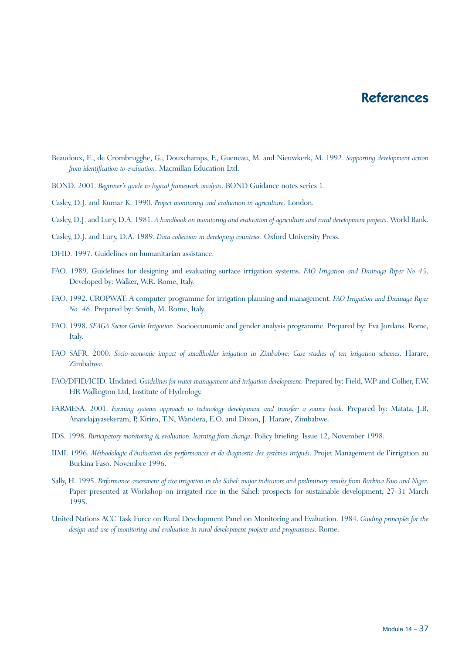# **References**

- Beaudoux, E., de Crombrugghe, G., Douxchamps, F., Gueneau, M. and Nieuwkerk, M. 1992. *Supporting development action from identification to evaluation*. Macmillan Education Ltd.
- BOND. 2001. *Beginner's guide to logical framework analysis*. BOND Guidance notes series 1.
- Casley, D.J. and Kumar K. 1990. *Project monitoring and evaluation in agriculture*. London.
- Casley, D.J. and Lury, D.A. 1981. *A handbook on monitoring and evaluation of agriculture and rural development projects*. World Bank.
- Casley, D.J. and Lury, D.A. 1989. *Data collection in developing countries*. Oxford University Press.
- DFID. 1997. Guidelines on humanitarian assistance.
- FAO. 1989. Guidelines for designing and evaluating surface irrigation systems. *FAO Irrigation and Drainage Paper No 45*. Developed by: Walker, W.R. Rome, Italy.
- FAO. 1992. CROPWAT: A computer programme for irrigation planning and management. *FAO Irrigation and Drainage Paper No. 46*. Prepared by: Smith, M. Rome, Italy.
- FAO. 1998. *SEAGA Sector Guide Irrigation*. Socioeconomic and gender analysis programme. Prepared by: Eva Jordans. Rome, Italy.
- FAO SAFR. 2000. *Socio-economic impact of smallholder irrigation in Zimbabwe: Case studies of ten irrigation schemes*. Harare, Zimbabwe.
- FAO/DFID/ICID. Undated. *Guidelines for water management and irrigation development.* Prepared by: Field, W.P and Collier, F.W. HR Wallington Ltd, Institute of Hydrology.
- FARMESA. 2001. *Farming systems approach to technology development and transfer: a source book*. Prepared by: Matata, J.B, Anandajayasekeram, P, Kiriro, T.N, Wandera, E.O. and Dixon, J. Harare, Zimbabwe.
- IDS. 1998. *Participatory monitoring & evaluation: learning from change*. Policy briefing. Issue 12, November 1998.
- IIMI. 1996. *Méthodologie d'évaluation des performances et de diagnostic des systèmes irrigués*. Projet Management de l'irrigation au Burkina Faso. Novembre 1996.
- Sally, H. 1995. *Performance assessment of rice irrigation in the Sahel: major indicators and preliminary results from Burkina Faso and Niger*. Paper presented at Workshop on irrigated rice in the Sahel: prospects for sustainable development, 27-31 March 1995.
- United Nations ACC Task Force on Rural Development Panel on Monitoring and Evaluation. 1984. *Guiding principles for the design and use of monitoring and evaluation in rural development projects and programmes*. Rome.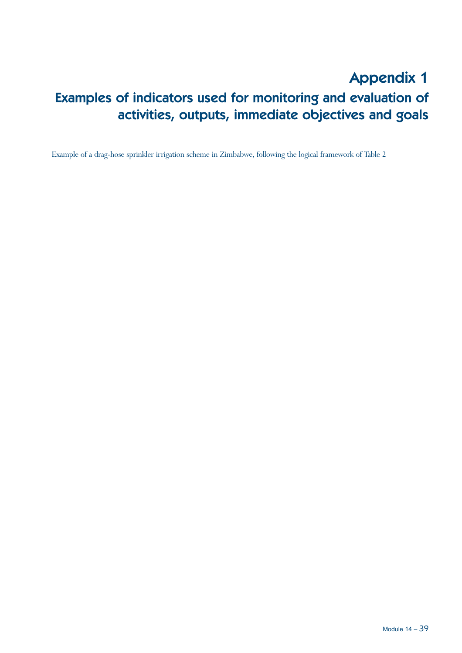# Appendix 1 Examples of indicators used for monitoring and evaluation of activities, outputs, immediate objectives and goals

Example of a drag-hose sprinkler irrigation scheme in Zimbabwe, following the logical framework of Table 2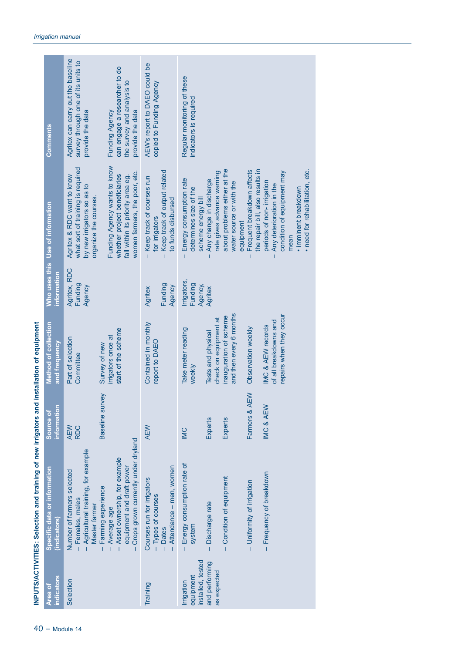| ndicators<br>Area of                                                          | Specific data or information<br>(indicators)                                                                                                                                                                                                                                                 | information<br>Source of                                       | Method of collection<br>and frequency                                                                                                                                                                                           | information                                 | Who uses this Use of information                                                                                                                                                                                                                                                                                                                                                                                                                                | Comments                                                                                                                                                                                          |
|-------------------------------------------------------------------------------|----------------------------------------------------------------------------------------------------------------------------------------------------------------------------------------------------------------------------------------------------------------------------------------------|----------------------------------------------------------------|---------------------------------------------------------------------------------------------------------------------------------------------------------------------------------------------------------------------------------|---------------------------------------------|-----------------------------------------------------------------------------------------------------------------------------------------------------------------------------------------------------------------------------------------------------------------------------------------------------------------------------------------------------------------------------------------------------------------------------------------------------------------|---------------------------------------------------------------------------------------------------------------------------------------------------------------------------------------------------|
| Selection                                                                     | Crops grown currently under dryland<br>Agricultural training, for example<br>Asset ownership, for example<br>equipment and draft power<br>Number of farmers selected<br>Farming experience<br>- Females, males<br>Master farmer<br>Average age<br>Ï<br>$\overline{1}$<br>$\overline{1}$<br>T | Baseline survey<br>AEW<br><b>RDC</b>                           | start of the scheme<br>irrigators once at<br>Part of selection<br>Survey of new<br>Committee                                                                                                                                    | Agritex, RDC<br>Funding<br>Agency           | Funding Agency wants to know<br>what sort of training is required<br>women farmers, the poor, etc.<br>whether project beneficiaries<br>fall within its priority area eg.<br>Agritex & RDC want to know<br>by new irrigators so as to<br>organize the courses.                                                                                                                                                                                                   | Agritex can carry out the baseline<br>survey through one of its units to<br>can engage a researcher to do<br>the survey and analysis to<br>provide the data<br>Funding Agency<br>provide the data |
| Training                                                                      | Attendance - men, women<br>Courses run for irrigators<br>Types of courses<br><b>Dates</b><br>Ï<br>$\mathbf{I}$                                                                                                                                                                               | <b>AEW</b>                                                     | Contained in monthly<br>report to DAEO                                                                                                                                                                                          | Funding<br>Agency<br>Agritex                | Keep track of output related<br>- Keep track of courses run<br>to funds disbursed<br>for irrigators<br>$\mathbf{I}$                                                                                                                                                                                                                                                                                                                                             | AEW's report to DAEO could be<br>copied to Funding Agency                                                                                                                                         |
| installed, tested<br>and performing<br>as expected<br>equipment<br>Irrigation | Energy consumption rate of<br>- Frequency of breakdown<br>- Condition of equipment<br>Uniformity of irrigation<br>- Discharge rate<br>system<br>$\overline{1}$<br>$\overline{1}$                                                                                                             | Farmers & AEW<br>IMC & AEW<br>Experts<br>Experts<br><b>IMC</b> | and then every 6 months<br>repairs when they occur<br>inauguration of scheme<br>check on equipment at<br>of all breakdowns and<br>IMC & AEW records<br>Observation weekly<br>Take meter reading<br>Tests and physical<br>weekly | Irrigators<br>Funding<br>Agency,<br>Agritex | about problems either at the<br>Frequent breakdown affects<br>the repair bill, also results in<br>· need for rehabilitation, etc.<br>rate gives advance warning<br>condition of equipment may<br>Energy consumption rate<br>Any change in discharge<br>periods of non-irrigation<br>water source or with the<br>Any deterioration in the<br>• imminent breakdown<br>determines size of the<br>scheme energy bill<br>equipment<br>mean<br>$\mathbf{I}$<br>T<br>T | Regular monitoring of these<br>indicators is required                                                                                                                                             |

**INPUTS/ACTIVITIES: Selection and training of new irrigators and installation of equipment**

INPUTS/ACTIVITIES: Selection and training of new irrigators and installation of equipment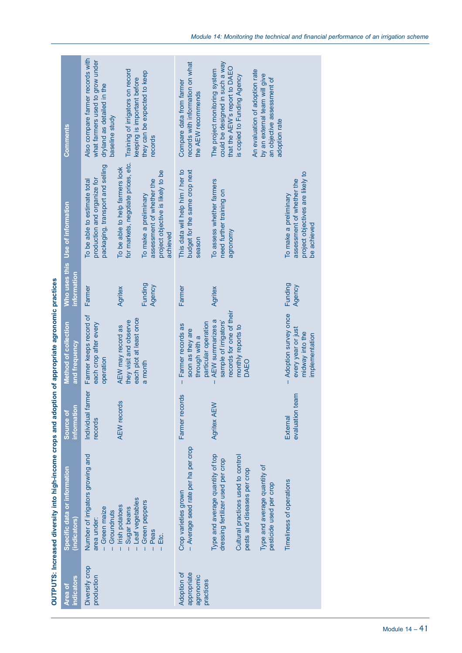| $\sim$ "ncreased diversity into high-income crops and adontion of annoniate annon-side masses $\sim$ |  |
|------------------------------------------------------------------------------------------------------|--|
|                                                                                                      |  |
|                                                                                                      |  |
|                                                                                                      |  |
| <b>ANDRUSTING</b><br><b>CONTROLLER</b>                                                               |  |

|                                                      | OUTPUTS: Increased diversity into high-income crops and adoption of appropriate agronomic practices |                              |                                                                                                   |                   |                                                                                                       |                                                                                                                     |
|------------------------------------------------------|-----------------------------------------------------------------------------------------------------|------------------------------|---------------------------------------------------------------------------------------------------|-------------------|-------------------------------------------------------------------------------------------------------|---------------------------------------------------------------------------------------------------------------------|
| indicators<br>Area of                                | Specific data or information<br><b>indicators</b>                                                   | information<br>Source of     | Method of collection<br>and frequency                                                             | information       | Who uses this Use of information                                                                      | <b>Comments</b>                                                                                                     |
| Diversify crop<br>production                         | Number of irrigators growing and<br>- Green maize<br>Groundnuts<br>area under:                      | Individual farmer<br>records | Farmer keeps record of<br>each crop after every<br>operation                                      | Farmer            | packaging, transport and selling<br>production and organize for<br>To be able to estimate total       | Also compare farmer records with<br>what farmers used to grow under<br>dryland as detailed in the<br>baseline study |
|                                                      | Leaf vegetables<br>- Irish potatoes<br>Sugar beans<br>Ť                                             | <b>AEW</b> records           | each plot at least once<br>they visit and observe<br>AEW may record as                            | Agritex           | for markets, negotiate prices, etc.<br>To be able to help farmers look                                | Training of irrigators on record<br>keeping is important before                                                     |
|                                                      | Green peppers<br>Peas<br>Etc.<br>$\overline{1}$                                                     |                              | a month                                                                                           | Funding<br>Agency | project objective is likely to be<br>assessment of whether the<br>To make a preliminary<br>achieved   | they can be expected to keep<br>records                                                                             |
| Adoption of<br>appropriate<br>agronomic<br>practices | Average seed rate per ha per crop<br>Crop varieties grown                                           | Farmer records               | particular operation<br>Farmer records as<br>soon as they are<br>through with a<br>Ť              | Farmer            | budget for the same crop next<br>This data will help him / her to<br>season                           | records with information on what<br>Compare data from farmer<br>the AEW recommends                                  |
|                                                      | Type and average quantity of top<br>dressing fertilizer used per crop                               | Agritex AEW                  | records for one of their<br>AEW summarizes a<br>sample of irrigators'<br>T                        | Agritex           | To assess whether farmers<br>need further training on<br>agronomy                                     | could be designed in such a way<br>that the AEW's report to DAEO<br>The project monitoring system                   |
|                                                      | Cultural practices used to control<br>pests and diseases per crop                                   |                              | monthly reports to<br>DAEO                                                                        |                   |                                                                                                       | is copied to Funding Agency                                                                                         |
|                                                      | Type and average quantity of<br>pesticide used per crop                                             |                              |                                                                                                   |                   |                                                                                                       | An evaluation of adoption rate<br>by an external team will give<br>an objective assessment of<br>adoption rate      |
|                                                      | Timeliness of operations                                                                            | evaluation team<br>External  | Adoption survey once<br>every year or just<br>midway into the<br>implementation<br>$\overline{1}$ | Funding<br>Agency | project objectives are likely to<br>assessment of whether the<br>To make a preliminary<br>be achieved |                                                                                                                     |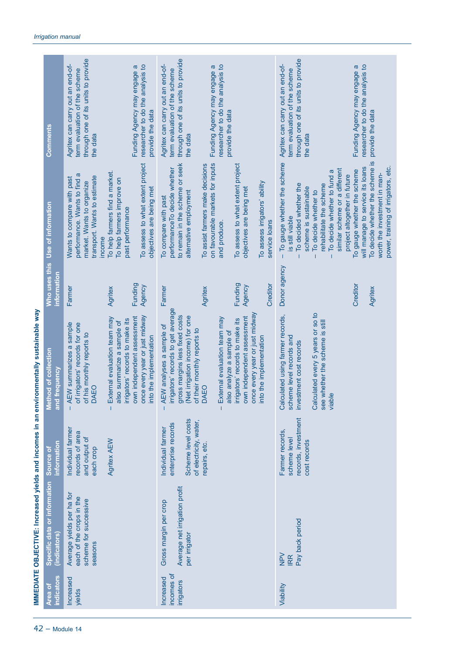|                                                                                         | <b>Comments</b>                              | through one of its units to provide<br>Agritex can carry out an end-of-<br>term evaluation of the scheme<br>the data                                                | researcher to do the analysis to<br>Funding Agency may engage a<br>provide the data                                                                      | through one of its units to provide<br>Agritex can carry out an end-of-<br>term evaluation of the scheme<br>the data                                               | researcher to do the analysis to<br>Funding Agency may engage a                     | provide the data                                                                                                            |                                                | through one of its units to provide<br>Agritex can carry out an end-of-<br>term evaluation of the scheme<br>the data |                                                                                                                 | researcher to do the analysis to<br>Funding Agency may engage a                                 | provide the data                                                                                       |
|-----------------------------------------------------------------------------------------|----------------------------------------------|---------------------------------------------------------------------------------------------------------------------------------------------------------------------|----------------------------------------------------------------------------------------------------------------------------------------------------------|--------------------------------------------------------------------------------------------------------------------------------------------------------------------|-------------------------------------------------------------------------------------|-----------------------------------------------------------------------------------------------------------------------------|------------------------------------------------|----------------------------------------------------------------------------------------------------------------------|-----------------------------------------------------------------------------------------------------------------|-------------------------------------------------------------------------------------------------|--------------------------------------------------------------------------------------------------------|
|                                                                                         | Use of information                           | To help farmers find a market.<br>performance. Wants to find a<br>transport. Wants to estimate<br>Wants to compare with past<br>market. Wants to organize<br>income | To assess to what extent project<br>To help farmers improve on<br>objectives are being met<br>past performance                                           | to remain in the scheme or seek<br>performance To decide whether<br>alternative employment<br>To compare with past                                                 | on favourable markets for inputs<br>To assist farmers make decisions<br>and produce | To assess to what extent project<br>objectives are being met                                                                | To assess irrigators' ability<br>service loans | To gauge whether the scheme<br>To decided whether the<br>scheme is sustainable<br>is still viable<br>$\overline{1}$  | similar scheme or a different<br>To decide whether to fund a<br>rehabilitate the scheme<br>To decide whether to | will manage to service its loans<br>To gauge whether the scheme<br>project altogether in future | To decide whether the scheme is<br>power, training of irrigators, etc.<br>worth the investment in man- |
|                                                                                         | Who uses this<br>information                 | Agritex<br>Farmer                                                                                                                                                   | Funding<br>Agency                                                                                                                                        | Farmer                                                                                                                                                             | Agritex                                                                             | Funding<br>Agency                                                                                                           | Creditor                                       | Donor agency                                                                                                         |                                                                                                                 | Creditor                                                                                        | Agritex                                                                                                |
| IMMEDIATE OBJECTIVE: Increased yields and incomes in an environmentally sustainable way | Method of collection<br>and frequency        | External evaluation team may<br>- AEW summarizes a sample<br>of irrigators' records for one<br>of his monthly reports to<br>DAEO                                    | once every year or just midway<br>own independent assessment<br>irrigators' records to make its<br>also summarize a sample of<br>into the implementation | irrigators' records to get average<br>gross margins less fixed costs<br>(Net irrigation income) for one<br>AEW analyses a sample of<br>of their monthly reports to | External evaluation team may<br><b>DAEO</b>                                         | once every year or just midway<br>own independent assessment<br>irrigators' records to make its<br>also analyze a sample of | into the implementation                        | Calculated using farmer records,<br>scheme level records and<br>estment cost records<br>$\sum$                       | Calculated every 5 years or so to<br>see whether the scheme is still<br>viable                                  |                                                                                                 |                                                                                                        |
|                                                                                         | information<br>Source of                     | Individual farmer<br>records of area<br>and output of<br>Agritex AEW<br>each crop                                                                                   |                                                                                                                                                          | Scheme level costs<br>of electricity, water,<br>enterprise records<br>Individual farmer                                                                            | repairs, etc.                                                                       |                                                                                                                             |                                                | records, investment<br>Farmer records,<br>scheme level<br>cost records                                               |                                                                                                                 |                                                                                                 |                                                                                                        |
|                                                                                         | Specific data or information<br>(indicators) | Average yields per ha for<br>each of the crops in the<br>scheme for successive<br>seasons                                                                           |                                                                                                                                                          | Average net irrigation profit<br>Gross margin per crop<br>per irrigator                                                                                            |                                                                                     |                                                                                                                             |                                                | Pay back period<br>$\geq$<br><b>IRR</b>                                                                              |                                                                                                                 |                                                                                                 |                                                                                                        |
|                                                                                         | ndicators<br>Area of                         | Increased<br>yields                                                                                                                                                 |                                                                                                                                                          | incomes of<br>Increased<br>irrigators                                                                                                                              |                                                                                     |                                                                                                                             |                                                | Viability                                                                                                            |                                                                                                                 |                                                                                                 |                                                                                                        |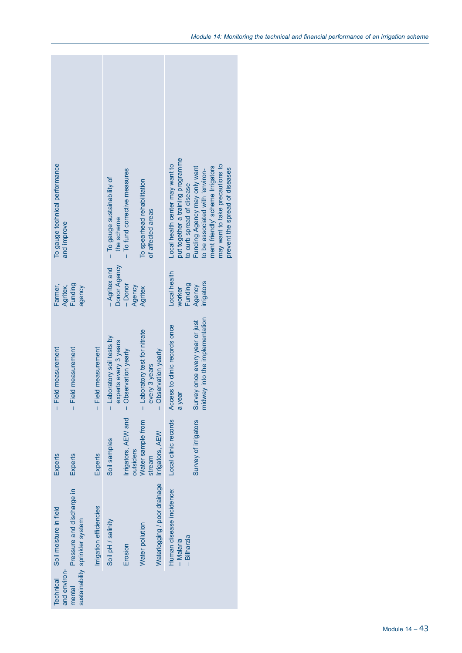| To gauge technical performance<br>and improve                                          |                         | - To gauge sustainability of<br>the scheme          | To fund corrective measures<br>Ï | To spearhead rehabilitation<br>of affected areas |                                              | put together a training programme<br>Local health center may want to<br>to curb spread of disease | Funding Agency may only want<br>to be associated with 'environ-  | may want to take precautions to<br>ment friendly' scheme Irrigators<br>prevent the spread of diseases |  |
|----------------------------------------------------------------------------------------|-------------------------|-----------------------------------------------------|----------------------------------|--------------------------------------------------|----------------------------------------------|---------------------------------------------------------------------------------------------------|------------------------------------------------------------------|-------------------------------------------------------------------------------------------------------|--|
| Funding<br>Farmer,<br>Agritex,<br>agency                                               |                         | Donor Agency<br>- Agritex and                       | $-Donor$<br>Agency               | Agritex                                          |                                              | Local health<br>Funding<br>worker                                                                 | irrigators<br>Agency                                             |                                                                                                       |  |
| - Field measurement<br>- Field measurement                                             | - Field measurement     | - Laboratory soil tests by<br>experts every 3 years | - Observation yearly             | - Laboratory test for nitrate<br>every 3 years   | - Observation yearly                         | Access to clinic records once<br>a year                                                           | midway into the implementation<br>Survey once every year or just |                                                                                                       |  |
| Experts<br>Experts                                                                     | Experts                 | Soil samples                                        | Irrigators, AEW and<br>outsiders | Water sample from<br>stream                      |                                              | Local clinic records                                                                              | Survey of irrigators                                             |                                                                                                       |  |
| Pressure and discharge in<br>Soil moisture in field<br>sustainability sprinkler system | Irrigation efficiencies | Soil pH / salinity                                  | Erosion                          | Water pollution                                  | Waterlogging / poor drainage Irrigators, AEW | Human disease incidence:<br>- Bilharzia<br>- Malaria                                              |                                                                  |                                                                                                       |  |
| and environ-<br><b>Technical</b><br>mental                                             |                         |                                                     |                                  |                                                  |                                              |                                                                                                   |                                                                  |                                                                                                       |  |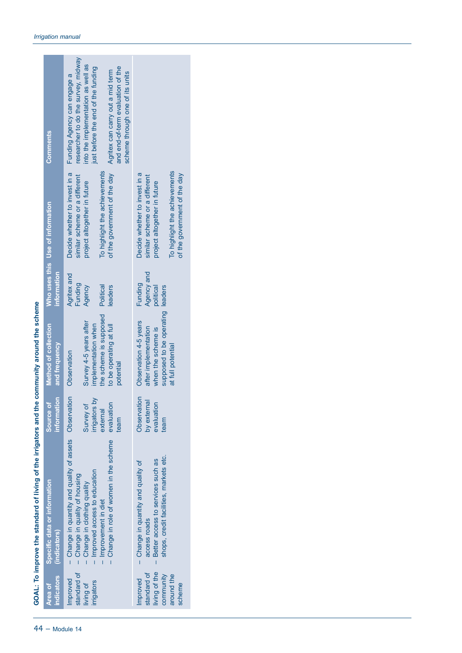|                                                                                          | Specific data or information | Source of                     | Method of collection                                  |                         | Who uses this Use of information                               | <b>Comments</b>                                                                                          |
|------------------------------------------------------------------------------------------|------------------------------|-------------------------------|-------------------------------------------------------|-------------------------|----------------------------------------------------------------|----------------------------------------------------------------------------------------------------------|
| (indicators)                                                                             |                              | information                   | and frequency                                         | information             |                                                                |                                                                                                          |
| - Change in quantity and quality of assets Observation<br>- Change in quality of housing |                              |                               | Observation                                           | Agritex and<br>Funding  | Decide whether to invest in a<br>similar scheme or a different | researcher to do the survey, midway<br>Funding Agency can engage a                                       |
| Improved access to education<br>Change in clothing quality<br>Ī                          |                              | ਨੋ<br>Survey of<br>irrigators | Survey 4-5 years after<br>implementation when         | Agency                  | project altogether in future                                   | into the implementation as well as<br>just before the end of the funding                                 |
| Improvement in diet                                                                      |                              | external                      | the scheme is supposed                                | Political               | To highlight the achievements                                  |                                                                                                          |
| - Change in role of women in the scheme                                                  |                              | evaluation<br>team            | to be operating at full<br>potential                  | leaders                 | of the government of the day                                   | and end-of-term evaluation of the<br>Agritex can carry out a mid term<br>scheme through one of its units |
| - Change in quantity and quality of                                                      |                              | Observation                   | Observation 4-5 years                                 | Funding                 | Decide whether to invest in a                                  |                                                                                                          |
| Better access to services such as<br>access roads<br>$\mathbf{I}$                        |                              | by external<br>evaluation     | after implementation<br>when the scheme is            | Agency and<br>political | similar scheme or a different<br>project altogether in future  |                                                                                                          |
| shops, credit facilities, markets etc.                                                   |                              | team                          | supposed to be operating leaders<br>at full potential |                         | To highlight the achievements<br>of the government of the day  |                                                                                                          |

44 – Module 14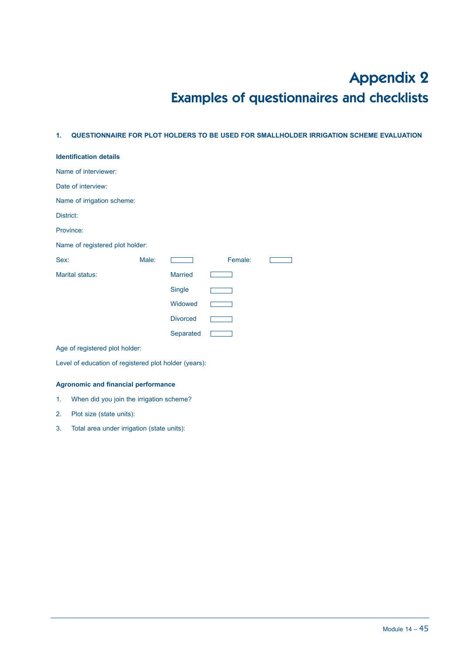# Appendix 2 Examples of questionnaires and checklists

#### **1. QUESTIONNAIRE FOR PLOT HOLDERS TO BE USED FOR SMALLHOLDER IRRIGATION SCHEME EVALUATION**

| <b>Identification details</b>   |       |                 |         |  |  |  |
|---------------------------------|-------|-----------------|---------|--|--|--|
| Name of interviewer:            |       |                 |         |  |  |  |
| Date of interview:              |       |                 |         |  |  |  |
| Name of irrigation scheme:      |       |                 |         |  |  |  |
| District:                       |       |                 |         |  |  |  |
| Province:                       |       |                 |         |  |  |  |
| Name of registered plot holder: |       |                 |         |  |  |  |
| Sex:                            | Male: |                 | Female: |  |  |  |
|                                 |       |                 |         |  |  |  |
| Marital status:                 |       | <b>Married</b>  |         |  |  |  |
|                                 |       | Single          |         |  |  |  |
|                                 |       | Widowed         |         |  |  |  |
|                                 |       | <b>Divorced</b> |         |  |  |  |
|                                 |       | Separated       |         |  |  |  |

Level of education of registered plot holder (years):

#### **Agronomic and financial performance**

- 1. When did you join the irrigation scheme?
- 2. Plot size (state units):
- 3. Total area under irrigation (state units):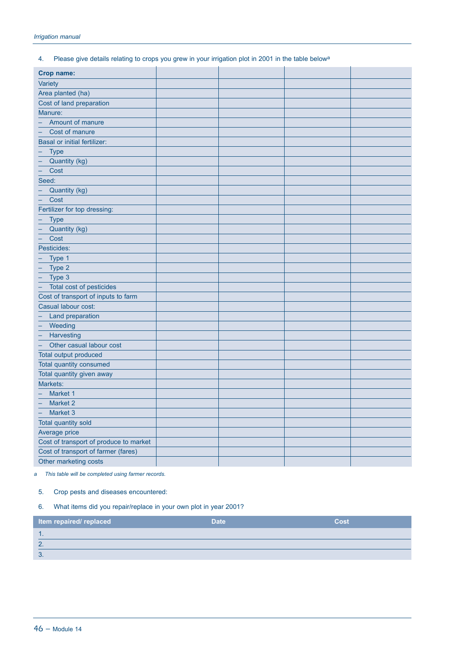#### 4. Please give details relating to crops you grew in your irrigation plot in 2001 in the table belowa

| Crop name:                                    |  |  |
|-----------------------------------------------|--|--|
| Variety                                       |  |  |
| Area planted (ha)                             |  |  |
| Cost of land preparation                      |  |  |
| Manure:                                       |  |  |
| Amount of manure                              |  |  |
| Cost of manure                                |  |  |
| <b>Basal or initial fertilizer:</b>           |  |  |
| Type                                          |  |  |
| Quantity (kg)                                 |  |  |
| Cost<br>-                                     |  |  |
| Seed:                                         |  |  |
| Quantity (kg)<br>$\equiv$                     |  |  |
| Cost<br>÷                                     |  |  |
| Fertilizer for top dressing:                  |  |  |
| <b>Type</b>                                   |  |  |
| Quantity (kg)                                 |  |  |
| Cost                                          |  |  |
| Pesticides:                                   |  |  |
| Type 1<br>$\equiv$                            |  |  |
| Type 2<br>$\overline{\phantom{0}}$            |  |  |
| Type 3                                        |  |  |
| Ξ<br>Total cost of pesticides                 |  |  |
| Cost of transport of inputs to farm           |  |  |
| Casual labour cost:                           |  |  |
| Land preparation                              |  |  |
| Weeding                                       |  |  |
| - Harvesting                                  |  |  |
| Other casual labour cost<br>$\qquad \qquad -$ |  |  |
| Total output produced                         |  |  |
| Total quantity consumed                       |  |  |
| Total quantity given away                     |  |  |
| Markets:                                      |  |  |
| Market 1                                      |  |  |
| Market 2                                      |  |  |
| Market 3                                      |  |  |
| Total quantity sold                           |  |  |
| Average price                                 |  |  |
| Cost of transport of produce to market        |  |  |
| Cost of transport of farmer (fares)           |  |  |
| Other marketing costs                         |  |  |

*a This table will be completed using farmer records.*

#### 5. Crop pests and diseases encountered:

### 6. What items did you repair/replace in your own plot in year 2001?

| <b>Item repaired/ replaced</b> | <b>Date</b> | Cost |
|--------------------------------|-------------|------|
| . .                            |             |      |
| $\sqrt{2}$                     |             |      |
| $\circ$<br>U.                  |             |      |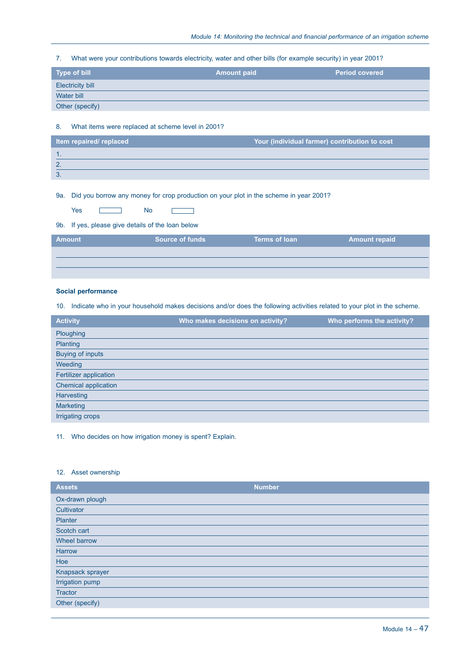7. What were your contributions towards electricity, water and other bills (for example security) in year 2001?

| Type of bill            | <b>Amount paid</b> | <b>Period covered</b> |
|-------------------------|--------------------|-----------------------|
| <b>Electricity bill</b> |                    |                       |
| Water bill              |                    |                       |
| Other (specify)         |                    |                       |

#### 8. What items were replaced at scheme level in 2001?

| Item repaired/ replaced | Your (individual farmer) contribution to cost |
|-------------------------|-----------------------------------------------|
|                         |                                               |
| - 2                     |                                               |
| 3.                      |                                               |

#### 9a. Did you borrow any money for crop production on your plot in the scheme in year 2001?

| -5 |  | Nο<br>___ |  |
|----|--|-----------|--|
|----|--|-----------|--|

#### 9b. If yes, please give details of the loan below

| <b>Amount</b> | <b>Source of funds</b> | <b>Terms of loan</b> | <b>Amount repaid</b> |
|---------------|------------------------|----------------------|----------------------|
|               |                        |                      |                      |
|               |                        |                      |                      |

#### **Social performance**

10. Indicate who in your household makes decisions and/or does the following activities related to your plot in the scheme.

| <b>Activity</b>         | Who makes decisions on activity? | Who performs the activity? |
|-------------------------|----------------------------------|----------------------------|
| Ploughing               |                                  |                            |
| Planting                |                                  |                            |
| <b>Buying of inputs</b> |                                  |                            |
| Weeding                 |                                  |                            |
| Fertilizer application  |                                  |                            |
| Chemical application    |                                  |                            |
| Harvesting              |                                  |                            |
| <b>Marketing</b>        |                                  |                            |
| Irrigating crops        |                                  |                            |

#### 11. Who decides on how irrigation money is spent? Explain.

#### 12. Asset ownership

| <b>Assets</b>    | <b>Number</b> |
|------------------|---------------|
| Ox-drawn plough  |               |
| Cultivator       |               |
| Planter          |               |
| Scotch cart      |               |
| Wheel barrow     |               |
| Harrow           |               |
| Hoe              |               |
| Knapsack sprayer |               |
| Irrigation pump  |               |
| <b>Tractor</b>   |               |
| Other (specify)  |               |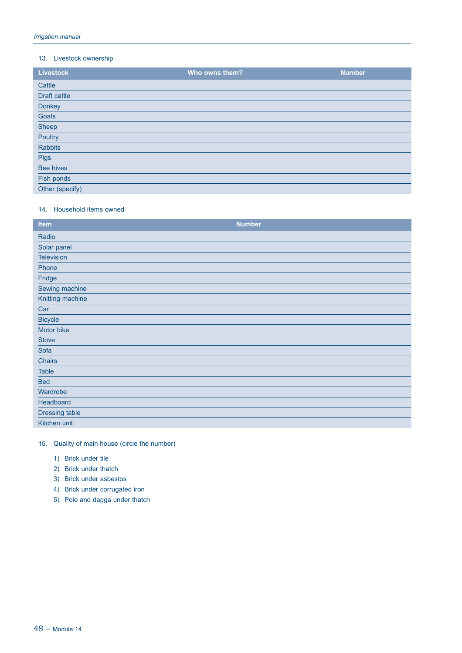#### 13. Livestock ownership

| <b>Livestock</b> | Who owns them? | <b>Number</b> |
|------------------|----------------|---------------|
| Cattle           |                |               |
| Draft cattle     |                |               |
| Donkey           |                |               |
| Goats            |                |               |
| Sheep            |                |               |
| Poultry          |                |               |
| <b>Rabbits</b>   |                |               |
| Pigs             |                |               |
| <b>Bee hives</b> |                |               |
| Fish ponds       |                |               |
| Other (specify)  |                |               |

#### 14. Household items owned

| <b>Item</b>       | <b>Number</b> |
|-------------------|---------------|
| Radio             |               |
| Solar panel       |               |
| <b>Television</b> |               |
| Phone             |               |
| Fridge            |               |
| Sewing machine    |               |
| Knitting machine  |               |
| Car               |               |
| <b>Bicycle</b>    |               |
| Motor bike        |               |
| <b>Stove</b>      |               |
| Sofa              |               |
| Chairs            |               |
| <b>Table</b>      |               |
| <b>Bed</b>        |               |
| Wardrobe          |               |
| Headboard         |               |
| Dressing table    |               |
| Kitchen unit      |               |

### 15. Quality of main house (circle the number)

- 1) Brick under tile
- 2) Brick under thatch
- 3) Brick under asbestos
- 4) Brick under corrugated iron
- 5) Pole and dagga under thatch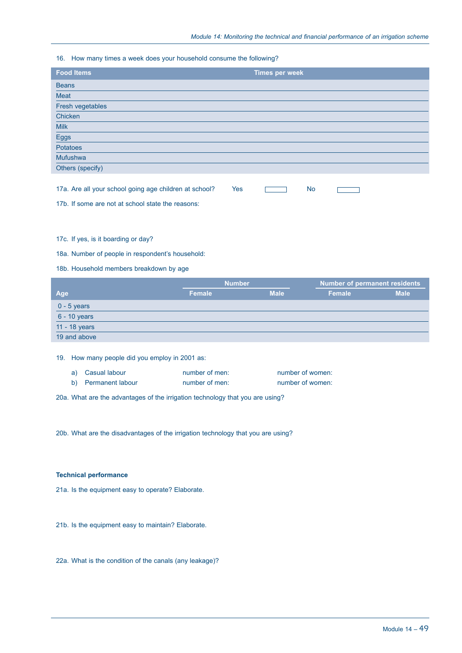#### 16. How many times a week does your household consume the following?

| <b>Food Items</b> | <b>Times per week</b> |
|-------------------|-----------------------|
| <b>Beans</b>      |                       |
| Meat              |                       |
| Fresh vegetables  |                       |
| Chicken           |                       |
| <b>Milk</b>       |                       |
| Eggs              |                       |
| Potatoes          |                       |
| Mufushwa          |                       |
| Others (specify)  |                       |
|                   |                       |

| 17a. Are all your school going age children at school? |  |  |  |
|--------------------------------------------------------|--|--|--|
|--------------------------------------------------------|--|--|--|

17b. If some are not at school state the reasons:

#### 17c. If yes, is it boarding or day?

18a. Number of people in respondent's household:

#### 18b. Household members breakdown by age

|                | <b>Number</b> |             | <b>Number of permanent residents</b> |             |
|----------------|---------------|-------------|--------------------------------------|-------------|
| Age            | Female        | <b>Male</b> | Female                               | <b>Male</b> |
| $0 - 5$ years  |               |             |                                      |             |
| $6 - 10$ years |               |             |                                      |             |
| 11 - 18 years  |               |             |                                      |             |
| 19 and above   |               |             |                                      |             |

19. How many people did you employ in 2001 as:

| a) Casual labour    | number of men: | number of women: |
|---------------------|----------------|------------------|
| b) Permanent labour | number of men: | number of women: |

20a. What are the advantages of the irrigation technology that you are using?

20b. What are the disadvantages of the irrigation technology that you are using?

#### **Technical performance**

21a. Is the equipment easy to operate? Elaborate.

21b. Is the equipment easy to maintain? Elaborate.

22a. What is the condition of the canals (any leakage)?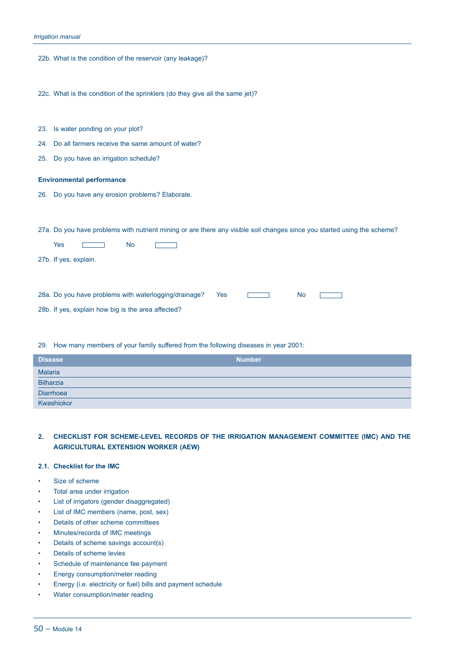|     | 22b. What is the condition of the reservoir (any leakage)?                                                               |
|-----|--------------------------------------------------------------------------------------------------------------------------|
|     | 22c. What is the condition of the sprinklers (do they give all the same jet)?                                            |
|     | 23. Is water ponding on your plot?                                                                                       |
|     | 24. Do all farmers receive the same amount of water?                                                                     |
| 25. | Do you have an irrigation schedule?                                                                                      |
|     | <b>Environmental performance</b>                                                                                         |
|     | 26. Do you have any erosion problems? Elaborate.                                                                         |
|     |                                                                                                                          |
|     | 27a. Do you have problems with nutrient mining or are there any visible soil changes since you started using the scheme? |
|     | <b>Yes</b><br><b>No</b>                                                                                                  |
|     | 27b. If yes, explain.                                                                                                    |
|     |                                                                                                                          |
|     | 28a. Do you have problems with waterlogging/drainage?<br><b>No</b><br>Yes                                                |
|     | 28b. If yes, explain how big is the area affected?                                                                       |
|     |                                                                                                                          |
|     | 29. How many members of your family suffered from the following diseases in year 2001:                                   |

| <b>Disease</b>       | <b>Number</b> |
|----------------------|---------------|
|                      |               |
| Malaria<br>Bilharzia |               |
| Diarrhoea            |               |
| Kwashiokor           |               |

**2. CHECKLIST FOR SCHEME-LEVEL RECORDS OF THE IRRIGATION MANAGEMENT COMMITTEE (IMC) AND THE AGRICULTURAL EXTENSION WORKER (AEW)**

#### **2.1. Checklist for the IMC**

- Size of scheme
- Total area under irrigation
- List of irrigators (gender disaggregated)
- List of IMC members (name, post, sex)
- Details of other scheme committees
- Minutes/records of IMC meetings
- Details of scheme savings account(s)
- Details of scheme levies
- Schedule of maintenance fee payment
- Energy consumption/meter reading
- Energy (i.e. electricity or fuel) bills and payment schedule
- Water consumption/meter reading